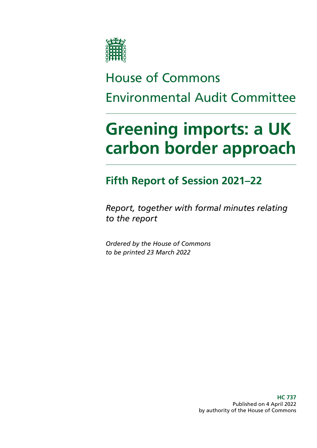

# House of Commons Environmental Audit Committee

# **Greening imports: a UK carbon border approach**

## **Fifth Report of Session 2021–22**

*Report, together with formal minutes relating to the report*

*Ordered by the House of Commons to be printed 23 March 2022*

> **HC 737** Published on 4 April 2022 by authority of the House of Commons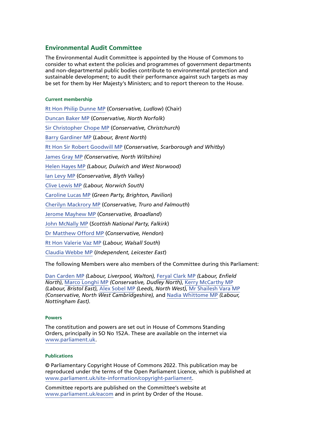#### **Environmental Audit Committee**

The Environmental Audit Committee is appointed by the House of Commons to consider to what extent the policies and programmes of government departments and non-departmental public bodies contribute to environmental protection and sustainable development; to audit their performance against such targets as may be set for them by Her Majesty's Ministers; and to report thereon to the House.

#### **Current membership**

[Rt Hon Philip Dunne MP](https://www.parliament.uk/biographies/commons/mr-philip-dunne/1542) (*Conservative, Ludlow*) (Chair) [Duncan Baker MP](https://members.parliament.uk/member/4784/contact) (*Conservative, North Norfolk*) [Sir Christopher Chope MP](https://members.parliament.uk/member/242/contact) (*Conservative, Christchurch*) [Barry Gardiner MP](https://members.parliament.uk/member/146/contact) (*Labour, Brent North*) [Rt Hon Sir Robert Goodwill MP](https://members.parliament.uk/member/1562/contact) (*Conservative, Scarborough and Whitby*) [James Gray MP](https://members.parliament.uk/member/261/contact) *(Conservative, North Wiltshire)* [Helen Hayes MP](https://members.parliament.uk/member/4510/contact) *(Labour, Dulwich and West Norwood)* [Ian Levy MP](https://members.parliament.uk/member/4749/contact) (*Conservative, Blyth Valley*) [Clive Lewis MP](https://members.parliament.uk/member/4500/contact) *(Labour, Norwich South)* [Caroline Lucas MP](https://members.parliament.uk/member/3930/contact) (*Green Party, Brighton, Pavilion*) [Cherilyn Mackrory MP](https://members.parliament.uk/member/4758/contact) (*Conservative, Truro and Falmouth*) [Jerome Mayhew MP](https://members.parliament.uk/member/4739/contact) (*Conservative, Broadland*) [John McNally MP](https://members.parliament.uk/member/4424/contact) (*Scottish National Party, Falkirk*) [Dr Matthew Offord MP](https://members.parliament.uk/member/4006/contact) (*Conservative, Hendon*) [Rt Hon Valerie Vaz MP](https://members.parliament.uk/member/4076/contact) (*Labour, Walsall South*) [Claudia Webbe MP](https://members.parliament.uk/member/4848/contact) (*Independent, Leicester East*)

The following Members were also members of the Committee during this Parliament:

[Dan Carden MP](https://members.parliament.uk/member/4651/contact) *(Labour, Liverpool, Walton),* [Feryal Clark MP](https://members.parliament.uk/member/4822/contact) *(Labour, Enfield North)*, [Marco Longhi MP](https://members.parliament.uk/member/4789/contact) *(Conservative, Dudley North)*, [Kerry McCarthy MP](https://members.parliament.uk/member/1491/contact) *(Labour, Bristol East)*, [Alex Sobel MP](https://members.parliament.uk/member/4658/contact) *(Leeds, North West)*, [Mr Shailesh Vara MP](https://members.parliament.uk/member/1496/contact) *(Conservative, North West Cambridgeshire),* and [Nadia Whittome MP](https://members.parliament.uk/member/4869/contact) *(Labour, Nottingham East)*.

#### **Powers**

The constitution and powers are set out in House of Commons Standing Orders, principally in SO No 152A. These are available on the internet via [www.parliament.uk](https://www.parliament.uk/).

#### **Publications**

© Parliamentary Copyright House of Commons 2022. This publication may be reproduced under the terms of the Open Parliament Licence, which is published at [www.parliament.uk/site-information/copyright-parliament.](https://www.parliament.uk/site-information/copyright-parliament/)

Committee reports are published on the Committee's website at [www.parliament.uk/eacom](https://www.parliament.uk/eacom) and in print by Order of the House.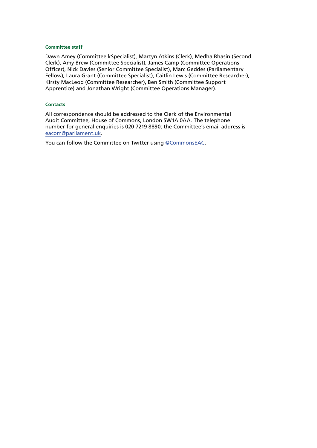#### **Committee staff**

Dawn Amey (Committee kSpecialist), Martyn Atkins (Clerk), Medha Bhasin (Second Clerk), Amy Brew (Committee Specialist), James Camp (Committee Operations Officer), Nick Davies (Senior Committee Specialist), Marc Geddes (Parliamentary Fellow), Laura Grant (Committee Specialist), Caitlin Lewis (Committee Researcher), Kirsty MacLeod (Committee Researcher), Ben Smith (Committee Support Apprentice) and Jonathan Wright (Committee Operations Manager).

#### **Contacts**

All correspondence should be addressed to the Clerk of the Environmental Audit Committee, House of Commons, London SW1A 0AA. The telephone number for general enquiries is 020 7219 8890; the Committee's email address is [eacom@parliament.uk.](mailto:eacom%40parliament.uk?subject=)

You can follow the Committee on Twitter using [@CommonsEAC](https://twitter.com/CommonsEAC).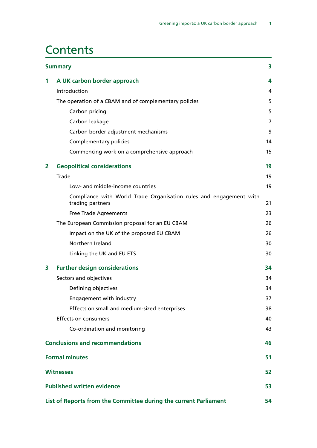### **Contents**

| <b>Summary</b><br>3 |                                                                                        |    |
|---------------------|----------------------------------------------------------------------------------------|----|
| 1                   | A UK carbon border approach                                                            | 4  |
|                     | Introduction                                                                           | 4  |
|                     | The operation of a CBAM and of complementary policies                                  | 5  |
|                     | Carbon pricing                                                                         | 5  |
|                     | Carbon leakage                                                                         | 7  |
|                     | Carbon border adjustment mechanisms                                                    | 9  |
|                     | Complementary policies                                                                 | 14 |
|                     | Commencing work on a comprehensive approach                                            | 15 |
| $\overline{2}$      | <b>Geopolitical considerations</b>                                                     | 19 |
|                     | <b>Trade</b>                                                                           | 19 |
|                     | Low- and middle-income countries                                                       | 19 |
|                     | Compliance with World Trade Organisation rules and engagement with<br>trading partners | 21 |
|                     | <b>Free Trade Agreements</b>                                                           | 23 |
|                     | The European Commission proposal for an EU CBAM                                        | 26 |
|                     | Impact on the UK of the proposed EU CBAM                                               | 26 |
|                     | Northern Ireland                                                                       | 30 |
|                     | Linking the UK and EU ETS                                                              | 30 |
| 3                   | <b>Further design considerations</b>                                                   | 34 |
|                     | Sectors and objectives                                                                 | 34 |
|                     | Defining objectives                                                                    | 34 |
|                     | Engagement with industry                                                               | 37 |
|                     | Effects on small and medium-sized enterprises                                          | 38 |
|                     | <b>Effects on consumers</b>                                                            | 40 |
|                     | Co-ordination and monitoring                                                           | 43 |
|                     | <b>Conclusions and recommendations</b>                                                 | 46 |
|                     | <b>Formal minutes</b>                                                                  | 51 |
|                     | <b>Witnesses</b>                                                                       | 52 |
|                     | <b>Published written evidence</b>                                                      | 53 |
|                     | List of Reports from the Committee during the current Parliament                       | 54 |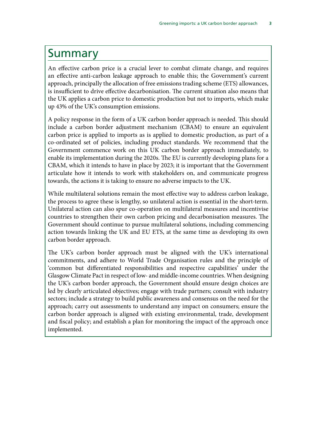### <span id="page-6-0"></span>Summary

An effective carbon price is a crucial lever to combat climate change, and requires an effective anti-carbon leakage approach to enable this; the Government's current approach, principally the allocation of free emissions trading scheme (ETS) allowances, is insufficient to drive effective decarbonisation. The current situation also means that the UK applies a carbon price to domestic production but not to imports, which make up 43% of the UK's consumption emissions.

A policy response in the form of a UK carbon border approach is needed. This should include a carbon border adjustment mechanism (CBAM) to ensure an equivalent carbon price is applied to imports as is applied to domestic production, as part of a co-ordinated set of policies, including product standards. We recommend that the Government commence work on this UK carbon border approach immediately, to enable its implementation during the 2020s. The EU is currently developing plans for a CBAM, which it intends to have in place by 2023; it is important that the Government articulate how it intends to work with stakeholders on, and communicate progress towards, the actions it is taking to ensure no adverse impacts to the UK.

While multilateral solutions remain the most effective way to address carbon leakage, the process to agree these is lengthy, so unilateral action is essential in the short-term. Unilateral action can also spur co-operation on multilateral measures and incentivise countries to strengthen their own carbon pricing and decarbonisation measures. The Government should continue to pursue multilateral solutions, including commencing action towards linking the UK and EU ETS, at the same time as developing its own carbon border approach.

The UK's carbon border approach must be aligned with the UK's international commitments, and adhere to World Trade Organisation rules and the principle of 'common but differentiated responsibilities and respective capabilities' under the Glasgow Climate Pact in respect of low- and middle-income countries. When designing the UK's carbon border approach, the Government should ensure design choices are led by clearly articulated objectives; engage with trade partners; consult with industry sectors; include a strategy to build public awareness and consensus on the need for the approach; carry out assessments to understand any impact on consumers; ensure the carbon border approach is aligned with existing environmental, trade, development and fiscal policy; and establish a plan for monitoring the impact of the approach once implemented.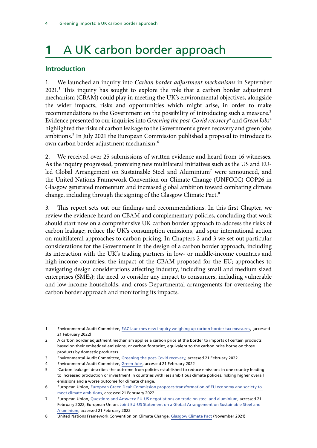# <span id="page-7-0"></span>**1** A UK carbon border approach

#### **Introduction**

1. We launched an inquiry into *Carbon border adjustment mechanisms* in September 2021.<sup>1</sup> This inquiry has sought to explore the role that a carbon border adjustment mechanism (CBAM) could play in meeting the UK's environmental objectives, alongside the wider impacts, risks and opportunities which might arise, in order to make recommendations to the Government on the possibility of introducing such a measure.<sup>2</sup> Evidence presented to our inquiries into *Greening the post-Covid recovery*3 and *Green Jobs*4 highlighted the risks of carbon leakage to the Government's green recovery and green jobs ambitions.<sup>5</sup> In July 2021 the European Commission published a proposal to introduce its own carbon border adjustment mechanism.6

2. We received over 25 submissions of written evidence and heard from 16 witnesses. As the inquiry progressed, promising new multilateral initiatives such as the US and EUled Global Arrangement on Sustainable Steel and Aluminium<sup>7</sup> were announced, and the United Nations Framework Convention on Climate Change (UNFCCC) COP26 in Glasgow generated momentum and increased global ambition toward combating climate change, including through the signing of the Glasgow Climate Pact.<sup>8</sup>

3. This report sets out our findings and recommendations. In this first Chapter, we review the evidence heard on CBAM and complementary policies, concluding that work should start now on a comprehensive UK carbon border approach to address the risks of carbon leakage; reduce the UK's consumption emissions, and spur international action on multilateral approaches to carbon pricing. In Chapters 2 and 3 we set out particular considerations for the Government in the design of a carbon border approach, including its interaction with the UK's trading partners in low- or middle-income countries and high-income countries; the impact of the CBAM proposed for the EU; approaches to navigating design considerations affecting industry, including small and medium sized enterprises (SMEs); the need to consider any impact to consumers, including vulnerable and low-income households, and cross-Departmental arrangements for overseeing the carbon border approach and monitoring its impacts.

1 Environmental Audit Committee, [EAC launches new inquiry weighing up carbon border tax measures](https://committees.parliament.uk/work/1535/carbon-border-adjustment-mechanisms/news/157728/eac-launches-new-inquiry-weighing-up-carbon-border-tax-measures/), [accessed 21 February 2022]

<sup>2</sup> A carbon border adjustment mechanism applies a carbon price at the border to imports of certain products based on their embedded emissions, or carbon footprint, equivalent to the carbon price borne on those products by domestic producers.

<sup>3</sup> Environmental Audit Committee, [Greening the post-Covid recovery](https://committees.parliament.uk/work/306/greening-the-postcovid-recovery/), accessed 21 February 2022

<sup>4</sup> Environmental Audit Committee, [Green Jobs,](https://committees.parliament.uk/work/816/green-jobs/) accessed 21 February 2022

<sup>5</sup> 'Carbon leakage' describes the outcome from policies established to reduce emissions in one country leading to increased production or investment in countries with less ambitious climate policies, risking higher overall emissions and a worse outcome for climate change.

<sup>6</sup> European Union, [European Green Deal: Commission proposes transformation of EU economy and society to](https://ec.europa.eu/commission/presscorner/detail/en/ip_21_3541)  [meet climate ambitions,](https://ec.europa.eu/commission/presscorner/detail/en/ip_21_3541) accessed 21 February 2022

<sup>7</sup> European Union, [Questions and Answers: EU-US negotiations on trade on steel and aluminium](https://ec.europa.eu/commission/presscorner/detail/en/QANDA_21_5722), accessed 21 February 2022; European Union, [Joint EU-US Statement on a Global Arrangement on Sustainable Steel and](https://ec.europa.eu/commission/presscorner/detail/en/IP_21_5724)  [Aluminium](https://ec.europa.eu/commission/presscorner/detail/en/IP_21_5724), accessed 21 February 2022

<sup>8</sup> United Nations Framework Convention on Climate Change, [Glasgow Climate Pact](https://unfccc.int/sites/default/files/resource/cma3_auv_2_cover%20decision.pdf) (November 2021)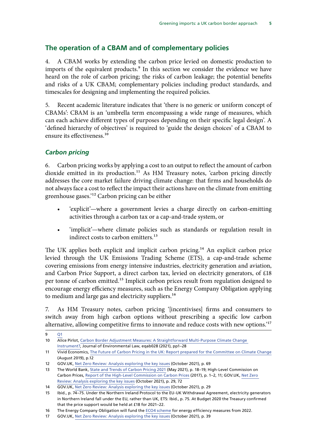#### <span id="page-8-0"></span>**The operation of a CBAM and of complementary policies**

4. A CBAM works by extending the carbon price levied on domestic production to imports of the equivalent products.<sup>9</sup> In this section we consider the evidence we have heard on the role of carbon pricing; the risks of carbon leakage; the potential benefits and risks of a UK CBAM; complementary policies including product standards, and timescales for designing and implementing the required policies.

5. Recent academic literature indicates that 'there is no generic or uniform concept of CBAMs': CBAM is an 'umbrella term encompassing a wide range of measures, which can each achieve different types of purposes depending on their specific legal design'. A 'defined hierarchy of objectives' is required to 'guide the design choices' of a CBAM to ensure its effectiveness.<sup>10</sup>

#### *Carbon pricing*

6. Carbon pricing works by applying a cost to an output to reflect the amount of carbon dioxide emitted in its production.11 As HM Treasury notes, 'carbon pricing directly addresses the core market failure driving climate change: that firms and households do not always face a cost to reflect the impact their actions have on the climate from emitting greenhouse gases.'12 Carbon pricing can be either

- 'explicit'—where a government levies a charge directly on carbon-emitting activities through a carbon tax or a cap-and-trade system, or
- 'implicit'—where climate policies such as standards or regulation result in indirect costs to carbon emitters.<sup>13</sup>

The UK applies both explicit and implicit carbon pricing.<sup>14</sup> An explicit carbon price levied through the UK Emissions Trading Scheme (ETS), a cap-and-trade scheme covering emissions from energy intensive industries, electricity generation and aviation, and Carbon Price Support, a direct carbon tax, levied on electricity generators, of £18 per tonne of carbon emitted.<sup>15</sup> Implicit carbon prices result from regulation designed to encourage energy efficiency measures, such as the Energy Company Obligation applying to medium and large gas and electricity suppliers.<sup>16</sup>

7. As HM Treasury notes, carbon pricing '[incentivises] firms and consumers to switch away from high carbon options without prescribing a specific low carbon alternative, allowing competitive firms to innovate and reduce costs with new options.'17

<sup>9</sup> [Q1](https://committees.parliament.uk/oralevidence/3092/html/) 10 Alice Pirlot, [Carbon Border Adjustment Measures: A Straightforward Multi-Purpose Climate Change](https://academic.oup.com/jel/advance-article/doi/10.1093/jel/eqab028/6423116?login=true)  [Instrument?,](https://academic.oup.com/jel/advance-article/doi/10.1093/jel/eqab028/6423116?login=true) Journal of Environmental Law, eqab028 (2021), pp1–28

<sup>11</sup> Vivid Economics, [The Future of Carbon Pricing in the UK: Report prepared for the Committee on Climate Change](https://www.theccc.org.uk/wp-content/uploads/2019/08/Vivid-Economics-The-Future-of-Carbon-Pricing-in-the-UK.pdf) (August 2019), p.12

<sup>12</sup> GOV.UK, [Net Zero Review: Analysis exploring the key issues](https://assets.publishing.service.gov.uk/government/uploads/system/uploads/attachment_data/file/1026725/NZR_-_Final_Report_-_Published_version.pdf) (October 2021), p. 69

<sup>13</sup> The World Bank, [State and Trends of Carbon Pricing 2021](https://openknowledge.worldbank.org/handle/10986/35620) (May 2021), p. 18–19; High-Level Commission on Carbon Prices, [Report of the High-Level Commission on Carbon Prices](https://static1.squarespace.com/static/54ff9c5ce4b0a53decccfb4c/t/59b7f2409f8dce5316811916/1505227332748/CarbonPricing_FullReport.pdf) (2017), p. 1–2, 11; GOV.UK, [Net Zero](https://assets.publishing.service.gov.uk/government/uploads/system/uploads/attachment_data/file/1026725/NZR_-_Final_Report_-_Published_version.pdf)  [Review: Analysis exploring the key issues](https://assets.publishing.service.gov.uk/government/uploads/system/uploads/attachment_data/file/1026725/NZR_-_Final_Report_-_Published_version.pdf) (October 2021), p. 29, 72

<sup>14</sup> GOV.UK, [Net Zero Review: Analysis exploring the key issues](https://assets.publishing.service.gov.uk/government/uploads/system/uploads/attachment_data/file/1026725/NZR_-_Final_Report_-_Published_version.pdf) (October 2021), p. 29

<sup>15</sup> Ibid., p. 74–75. Under the Northern Ireland Protocol to the EU-UK Withdrawal Agreement, electricity generators in Northern Ireland fall under the EU, rather than UK, ETS: Ibid., p. 75. At Budget 2020 the Treasury confirmed that the price support would be held at £18 for 2021–22.

<sup>16</sup> The Energy Company Obligation will fund the [ECO4 scheme](https://eco4.org.uk/) for energy efficiency measures from 2022.

<sup>17</sup> GOV.UK, [Net Zero Review: Analysis exploring the key issues](https://assets.publishing.service.gov.uk/government/uploads/system/uploads/attachment_data/file/1026725/NZR_-_Final_Report_-_Published_version.pdf) (October 2021), p. 39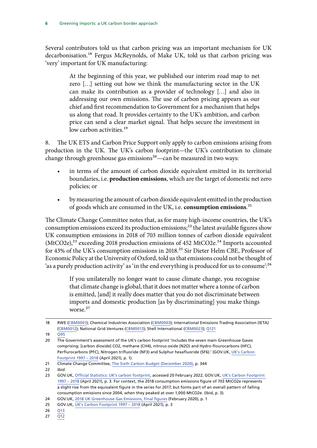Several contributors told us that carbon pricing was an important mechanism for UK decarbonisation.<sup>18</sup> Fergus McReynolds, of Make UK, told us that carbon pricing was 'very' important for UK manufacturing:

> At the beginning of this year, we published our interim road map to net zero […] setting out how we think the manufacturing sector in the UK can make its contribution as a provider of technology […] and also in addressing our own emissions. The use of carbon pricing appears as our chief and first recommendation to Government for a mechanism that helps us along that road. It provides certainty to the UK's ambition, and carbon price can send a clear market signal. That helps secure the investment in low carbon activities.<sup>19</sup>

8. The UK ETS and Carbon Price Support only apply to carbon emissions arising from production in the UK. The UK's carbon footprint—the UK's contribution to climate change through greenhouse gas emissions<sup>20</sup>—can be measured in two ways:

- in terms of the amount of carbon dioxide equivalent emitted in its territorial boundaries, i.e. **production emissions**, which are the target of domestic net zero policies; or
- by measuring the amount of carbon dioxide equivalent emitted in the production of goods which are consumed in the UK, i.e. **consumption emissions**.21

The Climate Change Committee notes that, as for many high-income countries, the UK's consumption emissions exceed its production emissions;<sup>22</sup> the latest available figures show UK consumption emissions in 2018 of 703 million tonnes of carbon dioxide equivalent  $(MtCO2e),<sup>23</sup> exceeding 2018 production emissions of 452  $MtCO2e.<sup>24</sup>$  Imports accounted$ for 43% of the UK's consumption emissions in 2018.25 Sir Dieter Helm CBE, Professor of Economic Policy at the University of Oxford, told us that emissions could not be thought of 'as a purely production activity' as 'in the end everything is produced for us to consume':<sup>26</sup>

> If you unilaterally no longer want to cause climate change, you recognise that climate change is global, that it does not matter where a tonne of carbon is emitted, [and] it really does matter that you do not discriminate between imports and domestic production [as by discriminating] you make things worse.27

27 [Q12](https://committees.parliament.uk/oralevidence/3092/html/)

<sup>18</sup> RWE ([CBM0001](https://committees.parliament.uk/writtenevidence/40167/html/)); Chemical Industries Association [\(CBM0003](https://committees.parliament.uk/writtenevidence/40294/html/)); International Emissions Trading Association (IETA) [\(CBM0012\)](https://committees.parliament.uk/writtenevidence/40331/html/); National Grid Ventures ([CBM0013\)](https://committees.parliament.uk/writtenevidence/40332/html/); Shell International [\(CBM0023](https://committees.parliament.uk/writtenevidence/40361/html/)); [Q121](https://committees.parliament.uk/oralevidence/3179/html/)

<sup>19</sup> [Q95](https://committees.parliament.uk/oralevidence/3179/html/)

<sup>20</sup> The Government's assessment of the UK's carbon footprint 'includes the seven main Greenhouse Gases comprising: [carbon dioxide] CO2, methane (CH4), nitrous oxide (N2O) and Hydro-flourocarbons (HFC), Perflurocarbons (PFC), Nitrogen trifluoride (NF3) and Sulphur hexafluoride (SF6).' (GOV.UK, [UK's Carbon](https://hopuk-my.sharepoint.com/personal/brewa_parliament_uk/Documents/UK)  [Footprint 1997 – 2018](https://hopuk-my.sharepoint.com/personal/brewa_parliament_uk/Documents/UK) (April 2021), p. 1).

<sup>21</sup> Climate Change Committee, [The Sixth Carbon Budget](https://www.theccc.org.uk/wp-content/uploads/2020/12/The-Sixth-Carbon-Budget-The-UKs-path-to-Net-Zero.pdf) (December 2020), p. 344

<sup>22</sup> *Ibid.*

<sup>23</sup> GOV.UK, [Official Statistics: UK's carbon footprint](https://www.gov.uk/government/statistics/uks-carbon-footprint), accessed 20 February 2022; GOV.UK, [UK's Carbon Footprint](https://hopuk-my.sharepoint.com/personal/brewa_parliament_uk/Documents/UK)  [1997 – 2018](https://hopuk-my.sharepoint.com/personal/brewa_parliament_uk/Documents/UK) (April 2021), p. 3. For context, the 2018 consumption emissions figure of 703 MtCO2e represents a slight rise from the equivalent figure in the series for 2017, but forms part of an overall pattern of falling consumption emissions since 2004, when they peaked at over 1,000 MtCO2e. (Ibid, p. 3).

<sup>24</sup> GOV.UK, [2018 UK Greenhouse Gas Emissions, Final figures](https://assets.publishing.service.gov.uk/government/uploads/system/uploads/attachment_data/file/862887/2018_Final_greenhouse_gas_emissions_statistical_release.pdf) (February 2020), p. 1

<sup>25</sup> GOV.UK, [UK's Carbon Footprint 1997 – 2018](https://hopuk-my.sharepoint.com/personal/brewa_parliament_uk/Documents/UK) (April 2021), p. 3

<sup>26</sup> [Q13](https://committees.parliament.uk/oralevidence/3092/html/)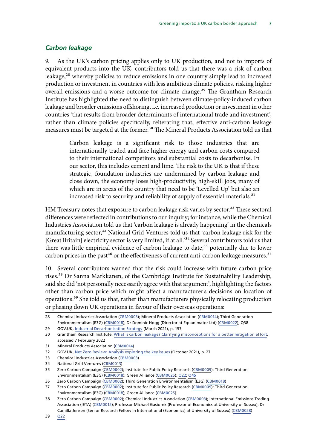#### <span id="page-10-0"></span>*Carbon leakage*

9. As the UK's carbon pricing applies only to UK production, and not to imports of equivalent products into the UK, contributors told us that there was a risk of carbon leakage,<sup>28</sup> whereby policies to reduce emissions in one country simply lead to increased production or investment in countries with less ambitious climate policies, risking higher overall emissions and a worse outcome for climate change.<sup>29</sup> The Grantham Research Institute has highlighted the need to distinguish between climate-policy-induced carbon leakage and broader emissions offshoring, i.e. increased production or investment in other countries 'that results from broader determinants of international trade and investment', rather than climate policies specifically, reiterating that, effective anti-carbon leakage measures must be targeted at the former.<sup>30</sup> The Mineral Products Association told us that

> Carbon leakage is a significant risk to those industries that are internationally traded and face higher energy and carbon costs compared to their international competitors and substantial costs to decarbonise. In our sector, this includes cement and lime. The risk to the UK is that if these strategic, foundation industries are undermined by carbon leakage and close down, the economy loses high-productivity, high-skill jobs, many of which are in areas of the country that need to be 'Levelled Up' but also an increased risk to security and reliability of supply of essential materials.<sup>31</sup>

HM Treasury notes that exposure to carbon leakage risk varies by sector.<sup>32</sup> These sectoral differences were reflected in contributions to our inquiry; for instance, while the Chemical Industries Association told us that 'carbon leakage is already happening' in the chemicals manufacturing sector,<sup>33</sup> National Grid Ventures told us that 'carbon leakage risk for the [Great Britain] electricity sector is very limited, if at all.<sup>34</sup> Several contributors told us that there was little empirical evidence of carbon leakage to date,<sup>35</sup> potentially due to lower carbon prices in the past<sup>36</sup> or the effectiveness of current anti-carbon leakage measures.<sup>37</sup>

10. Several contributors warned that the risk could increase with future carbon price rises.<sup>38</sup> Dr Sanna Markkanen, of the Cambridge Institute for Sustainability Leadership, said she did 'not personally necessarily agree with that argument', highlighting the factors other than carbon price which might affect a manufacturer's decisions on location of operations.<sup>39</sup> She told us that, rather than manufacturers physically relocating production or phasing down UK operations in favour of their overseas operations:

29 GOV.UK, [Industrial Decarbonisation Strategy](https://assets.publishing.service.gov.uk/government/uploads/system/uploads/attachment_data/file/970229/Industrial_Decarbonisation_Strategy_March_2021.pdf) (March 2021), p. 157

<sup>28</sup> Chemical Industries Association ([CBM0003\)](https://committees.parliament.uk/writtenevidence/40294/html/); Mineral Products Association ([CBM0014](https://committees.parliament.uk/writtenevidence/40333/html/)); Third Generation Environmentalism (E3G) ([CBM0018](https://committees.parliament.uk/writtenevidence/40347/html/)); Dr Dominic Hogg (Director at Equanimator Ltd) ([CBM0022](https://committees.parliament.uk/writtenevidence/40360/html/)); Q38

<sup>30</sup> Grantham Research Institute, [What is carbon leakage? Clarifying misconceptions for a better mitigation effort,](https://www.lse.ac.uk/granthaminstitute/news/what-is-carbon-leakage-clarifying-misconceptions-for-a-better-mitigation-effort/) accessed 7 February 2022

<sup>31</sup> Mineral Products Association [\(CBM0014\)](https://committees.parliament.uk/writtenevidence/40333/html/)

<sup>32</sup> GOV.UK, [Net Zero Review: Analysis exploring the key issues](https://assets.publishing.service.gov.uk/government/uploads/system/uploads/attachment_data/file/1026725/NZR_-_Final_Report_-_Published_version.pdf) (October 2021), p. 27

<sup>33</sup> Chemical Industries Association ([CBM0003\)](https://committees.parliament.uk/writtenevidence/40294/html/)

<sup>34</sup> National Grid Ventures [\(CBM0013](https://committees.parliament.uk/writtenevidence/40332/html/))

<sup>35</sup> Zero Carbon Campaign ([CBM0002\)](https://committees.parliament.uk/writtenevidence/40278/html/); Institute for Public Policy Research ([CBM0009](https://committees.parliament.uk/writtenevidence/40311/html/)); Third Generation Environmentalism (E3G) ([CBM0018](https://committees.parliament.uk/writtenevidence/40347/html/)); Green Alliance ([CBM0025\)](https://committees.parliament.uk/writtenevidence/40510/html/); [Q22;](https://committees.parliament.uk/oralevidence/3092/html/) [Q45](https://committees.parliament.uk/oralevidence/3092/html/)

<sup>36</sup> Zero Carbon Campaign ([CBM0002\)](https://committees.parliament.uk/writtenevidence/40278/html/); Third Generation Environmentalism (E3G) [\(CBM0018\)](https://committees.parliament.uk/writtenevidence/40347/html/)

<sup>37</sup> Zero Carbon Campaign ([CBM0002\)](https://committees.parliament.uk/writtenevidence/40278/html/); Institute for Public Policy Research ([CBM0009](https://committees.parliament.uk/writtenevidence/40311/html/)); Third Generation Environmentalism (E3G) ([CBM0018](https://committees.parliament.uk/writtenevidence/40347/html/)); Green Alliance ([CBM0025\)](https://committees.parliament.uk/writtenevidence/40510/html/)

<sup>38</sup> Zero Carbon Campaign ([CBM0002\)](https://committees.parliament.uk/writtenevidence/40278/html/); Chemical Industries Association ([CBM0003\)](https://committees.parliament.uk/writtenevidence/40294/html/); International Emissions Trading Association (IETA) [\(CBM0012\)](https://committees.parliament.uk/writtenevidence/40331/html/); Professor Michael Gasiorek (Professor of Economics at University of Sussex); Dr Camilla Jensen (Senior Research Fellow in International (Economics) at University of Sussex) [\(CBM0028](https://committees.parliament.uk/writtenevidence/40914/html/))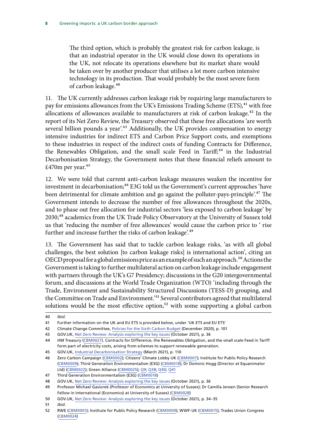The third option, which is probably the greatest risk for carbon leakage, is that an industrial operator in the UK would close down its operations in the UK, not relocate its operations elsewhere but its market share would be taken over by another producer that utilises a lot more carbon intensive technology in its production. That would probably be the most severe form of carbon leakage.40

11. The UK currently addresses carbon leakage risk by requiring large manufacturers to pay for emissions allowances from the UK's Emissions Trading Scheme (ETS),<sup>41</sup> with free allocations of allowances available to manufacturers at risk of carbon leakage.<sup>42</sup> In the report of its Net Zero Review, the Treasury observed that these free allocations 'are worth several billion pounds a year'.<sup>43</sup> Additionally, the UK provides compensation to energy intensive industries for indirect ETS and Carbon Price Support costs, and exemptions to these industries in respect of the indirect costs of funding Contracts for Difference, the Renewables Obligation, and the small scale Feed in Tariff;<sup>44</sup> in the Industrial Decarbonisation Strategy, the Government notes that these financial reliefs amount to  $£470m$  per year.<sup>45</sup>

12. We were told that current anti-carbon leakage measures weaken the incentive for investment in decarbonisation;<sup>46</sup> E3G told us the Government's current approaches 'have been detrimental for climate ambition and go against the polluter-pays-principle'.<sup>47</sup> The Government intends to decrease the number of free allowances throughout the 2020s, and to phase out free allocation for industrial sectors 'less exposed to carbon leakage' by 2030;<sup>48</sup> academics from the UK Trade Policy Observatory at the University of Sussex told us that 'reducing the number of free allowances' would cause the carbon price to ' rise further and increase further the risks of carbon leakage'.<sup>49</sup>

13. The Government has said that to tackle carbon leakage risks, 'as with all global challenges, the best solution [to carbon leakage risks] is international action', citing an OECD proposal for a global emissions price as an example of such an approach.<sup>50</sup> Actions the Government is taking to further multilateral action on carbon leakage include engagement with partners through the UK's G7 Presidency; discussions in the G20 intergovernmental forum, and discussions at the World Trade Organization (WTO) 'including through the Trade, Environment and Sustainability Structured Discussions (TESS-D) grouping, and the Committee on Trade and Environment.'<sup>51</sup> Several contributors agreed that multilateral solutions would be the most effective option,<sup>52</sup> with some supporting a global carbon

<sup>40</sup> *Ibid.*

<sup>41</sup> Further information on the UK and EU ETS is provided below, under 'UK ETS and EU ETS'

<sup>42</sup> Climate Change Committee, [Policies for the Sixth Carbon Budget](https://www.theccc.org.uk/wp-content/uploads/2020/12/Policies-for-the-Sixth-Carbon-Budget-and-Net-Zero.pdf) (December 2020), p. 101

<sup>43</sup> GOV.UK, [Net Zero Review: Analysis exploring the key issues](https://assets.publishing.service.gov.uk/government/uploads/system/uploads/attachment_data/file/1026725/NZR_-_Final_Report_-_Published_version.pdf) (October 2021), p. 36

<sup>44</sup> HM Treasury [\(CBM0027](https://committees.parliament.uk/writtenevidence/40714/html/)). Contracts for Difference, the Renewables Obligation, and the small scale Feed in Tariff form part of electricity costs, arising from schemes to support renewable generation.

<sup>45</sup> GOV.UK, [Industrial Decarbonisation Strategy](https://assets.publishing.service.gov.uk/government/uploads/system/uploads/attachment_data/file/970229/Industrial_Decarbonisation_Strategy_March_2021.pdf) (March 2021), p. 110

<sup>46</sup> Zero Carbon Campaign ([CBM0002\)](https://committees.parliament.uk/writtenevidence/40278/html/); Citizens' Climate Lobby UK ([CBM0007\)](https://committees.parliament.uk/writtenevidence/40304/html/); Institute for Public Policy Research [\(CBM0009](https://committees.parliament.uk/writtenevidence/40311/html/)); Third Generation Environmentalism (E3G) [\(CBM0018](https://committees.parliament.uk/writtenevidence/40347/html/)); Dr Dominic Hogg (Director at Equanimator Ltd) [\(CBM0022](https://committees.parliament.uk/writtenevidence/40360/html/)); Green Alliance ([CBM0025\)](https://committees.parliament.uk/writtenevidence/40510/html/); [Q9](https://committees.parliament.uk/oralevidence/3092/html/); [Q38](https://committees.parliament.uk/oralevidence/3092/html/); [Q40](https://committees.parliament.uk/oralevidence/3092/html/); [Q41](https://committees.parliament.uk/oralevidence/3092/html/)

<sup>47</sup> Third Generation Environmentalism (E3G) [\(CBM0018\)](https://committees.parliament.uk/writtenevidence/40347/html/)

<sup>48</sup> GOV.UK, [Net Zero Review: Analysis exploring the key issues](https://assets.publishing.service.gov.uk/government/uploads/system/uploads/attachment_data/file/1026725/NZR_-_Final_Report_-_Published_version.pdf) (October 2021), p. 36

<sup>49</sup> Professor Michael Gasiorek (Professor of Economics at University of Sussex); Dr Camilla Jensen (Senior Research Fellow in International (Economics) at University of Sussex) [\(CBM0028\)](https://committees.parliament.uk/writtenevidence/40914/html/)

<sup>50</sup> GOV.UK, [Net Zero Review: Analysis exploring the key issues](https://assets.publishing.service.gov.uk/government/uploads/system/uploads/attachment_data/file/1026725/NZR_-_Final_Report_-_Published_version.pdf) (October 2021), p. 34–35

<sup>51</sup> *Ibid.*

<sup>52</sup> RWE ([CBM0001](https://committees.parliament.uk/writtenevidence/40167/html/)); Institute for Public Policy Research [\(CBM0009\)](https://committees.parliament.uk/writtenevidence/40311/html/); WWF-UK ([CBM0015](https://committees.parliament.uk/writtenevidence/40337/html/)); Trades Union Congress [\(CBM0024](https://committees.parliament.uk/writtenevidence/40441/html/))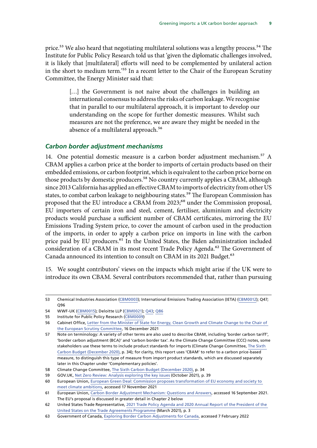<span id="page-12-0"></span>price.<sup>53</sup> We also heard that negotiating multilateral solutions was a lengthy process.<sup>54</sup> The Institute for Public Policy Research told us that 'given the diplomatic challenges involved, it is likely that [multilateral] efforts will need to be complemented by unilateral action in the short to medium term.'55 In a recent letter to the Chair of the European Scrutiny Committee, the Energy Minister said that:

> [...] the Government is not naive about the challenges in building an international consensus to address the risks of carbon leakage. We recognise that in parallel to our multilateral approach, it is important to develop our understanding on the scope for further domestic measures. Whilst such measures are not the preference, we are aware they might be needed in the absence of a multilateral approach.<sup>56</sup>

#### *Carbon border adjustment mechanisms*

14. One potential domestic measure is a carbon border adjustment mechanism.<sup>57</sup> A CBAM applies a carbon price at the border to imports of certain products based on their embedded emissions, or carbon footprint, which is equivalent to the carbon price borne on those products by domestic producers.<sup>58</sup> No country currently applies a CBAM, although since 2013 California has applied an effective CBAM to imports of electricity from other US states, to combat carbon leakage to neighbouring states.<sup>59</sup> The European Commission has proposed that the EU introduce a CBAM from 2023;<sup>60</sup> under the Commission proposal, EU importers of certain iron and steel, cement, fertiliser, aluminium and electricity products would purchase a sufficient number of CBAM certificates, mirroring the EU Emissions Trading System price, to cover the amount of carbon used in the production of the imports, in order to apply a carbon price on imports in line with the carbon price paid by EU producers.<sup>61</sup> In the United States, the Biden administration included consideration of a CBAM in its most recent Trade Policy Agenda.<sup>62</sup> The Government of Canada announced its intention to consult on CBAM in its 2021 Budget.<sup>63</sup>

15. We sought contributors' views on the impacts which might arise if the UK were to introduce its own CBAM. Several contributors recommended that, rather than pursuing

58 Climate Change Committee, [The Sixth Carbon Budget](https://www.theccc.org.uk/wp-content/uploads/2020/12/The-Sixth-Carbon-Budget-The-UKs-path-to-Net-Zero.pdf) (December 2020), p. 34

<sup>53</sup> Chemical Industries Association ([CBM0003\)](https://committees.parliament.uk/writtenevidence/40294/html/); International Emissions Trading Association (IETA) [\(CBM0012\)](https://committees.parliament.uk/writtenevidence/40331/html/); Q47; Q96

<sup>54</sup> WWF-UK [\(CBM0015\)](https://committees.parliament.uk/writtenevidence/40337/html/); Deloitte LLP [\(CBM0021\)](https://committees.parliament.uk/writtenevidence/40351/html/); [Q43;](https://committees.parliament.uk/oralevidence/3092/html/) [Q86](https://committees.parliament.uk/oralevidence/3179/html/)

<sup>55</sup> Institute for Public Policy Research ([CBM0009](https://committees.parliament.uk/writtenevidence/40311/html/))

<sup>56</sup> Cabinet Office, [Letter from the Minister of State for Energy, Clean Growth and Climate Change to the Chair of](https://europeanmemoranda.cabinetoffice.gov.uk/files/2022/01/Response_to_Sir_Cash_CBAM_EM_16.12_.21_.pdf)  [the European Scrutiny Committee,](https://europeanmemoranda.cabinetoffice.gov.uk/files/2022/01/Response_to_Sir_Cash_CBAM_EM_16.12_.21_.pdf) 16 December 2021

<sup>57</sup> Note on terminology: A variety of other terms are also used to describe CBAM, including 'border carbon tariff', 'border carbon adjustment (BCA)' and 'carbon border tax'. As the Climate Change Committee (CCC) notes, some stakeholders use these terms to include product standards for imports (Climate Change Committee, [The Sixth](https://www.theccc.org.uk/wp-content/uploads/2020/12/The-Sixth-Carbon-Budget-The-UKs-path-to-Net-Zero.pdf)  [Carbon Budget](https://www.theccc.org.uk/wp-content/uploads/2020/12/The-Sixth-Carbon-Budget-The-UKs-path-to-Net-Zero.pdf) (December 2020), p. 34); for clarity, this report uses 'CBAM' to refer to a carbon price-based measure, to distinguish this type of measure from import product standards, which are discussed separately later in this Chapter under 'Complementary policies'.

<sup>59</sup> GOV.UK, [Net Zero Review: Analysis exploring the key issues](https://assets.publishing.service.gov.uk/government/uploads/system/uploads/attachment_data/file/1026725/NZR_-_Final_Report_-_Published_version.pdf) (October 2021), p. 39

<sup>60</sup> European Union, [European Green Deal: Commission proposes transformation of EU economy and society to](https://ec.europa.eu/commission/presscorner/detail/en/ip_21_3541)  [meet climate ambitions,](https://ec.europa.eu/commission/presscorner/detail/en/ip_21_3541) accessed 17 November 2021

<sup>61</sup> European Union, [Carbon Border Adjustment Mechanism: Questions and Answers](https://ec.europa.eu/commission/presscorner/detail/en/qanda_21_3661), accessed 16 September 2021. The EU's proposal is discussed in greater detail in Chapter 2 below

<sup>62</sup> United States Trade Representative, [2021 Trade Policy Agenda and 2020 Annual Report of the President of the](https://ustr.gov/sites/default/files/files/reports/2021/2021%20Trade%20Agenda/Online%20PDF%202021%20Trade%20Policy%20Agenda%20and%202020%20Annual%20Report.pdf)  [United States on the Trade Agreements Programme](https://ustr.gov/sites/default/files/files/reports/2021/2021%20Trade%20Agenda/Online%20PDF%202021%20Trade%20Policy%20Agenda%20and%202020%20Annual%20Report.pdf) (March 2021), p. 3

<sup>63</sup> Government of Canada, [Exploring Border Carbon Adjustments for Canada](https://www.canada.ca/en/department-finance/programs/consultations/2021/border-carbon-adjustments/exploring-border-carbon-adjustments-canada.html), accessed 7 February 2022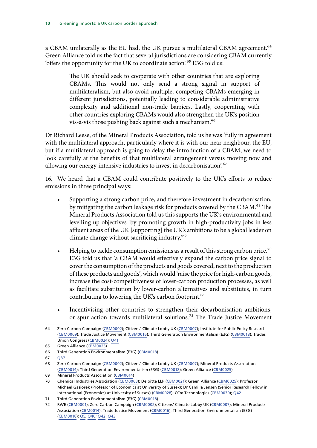a CBAM unilaterally as the EU had, the UK pursue a multilateral CBAM agreement.<sup>64</sup> Green Alliance told us the fact that several jurisdictions are considering CBAM currently 'offers the opportunity for the UK to coordinate action'.65 E3G told us:

> The UK should seek to cooperate with other countries that are exploring CBAMs. This would not only send a strong signal in support of multilateralism, but also avoid multiple, competing CBAMs emerging in different jurisdictions, potentially leading to considerable administrative complexity and additional non-trade barriers. Lastly, cooperating with other countries exploring CBAMs would also strengthen the UK's position vis-à-vis those pushing back against such a mechanism.<sup>66</sup>

Dr Richard Leese, of the Mineral Products Association, told us he was 'fully in agreement with the multilateral approach, particularly where it is with our near neighbour, the EU, but if a multilateral approach is going to delay the introduction of a CBAM, we need to look carefully at the benefits of that multilateral arrangement versus moving now and allowing our energy-intensive industries to invest in decarbonisation<sup>'.67</sup>

16. We heard that a CBAM could contribute positively to the UK's efforts to reduce emissions in three principal ways:

- Supporting a strong carbon price, and therefore investment in decarbonisation, by mitigating the carbon leakage risk for products covered by the CBAM.<sup>68</sup> The Mineral Products Association told us this supports the UK's environmental and levelling up objectives 'by promoting growth in high-productivity jobs in less affluent areas of the UK [supporting] the UK's ambitions to be a global leader on climate change without sacrificing industry.'69
- Helping to tackle consumption emissions as a result of this strong carbon price.<sup>70</sup> E3G told us that 'a CBAM would effectively expand the carbon price signal to cover the consumption of the products and goods covered, next to the production of these products and goods', which would 'raise the price for high-carbon goods, increase the cost-competitiveness of lower-carbon production processes, as well as facilitate substitution by lower-carbon alternatives and substitutes, in turn contributing to lowering the UK's carbon footprint.'71
- Incentivising other countries to strengthen their decarbonisation ambitions, or spur action towards multilateral solutions.72 The Trade Justice Movement

67 [Q87](https://committees.parliament.uk/oralevidence/3179/html/)

<sup>64</sup> Zero Carbon Campaign ([CBM0002\)](https://committees.parliament.uk/writtenevidence/40278/html/); Citizens' Climate Lobby UK ([CBM0007\)](https://committees.parliament.uk/writtenevidence/40304/html/); Institute for Public Policy Research [\(CBM0009](https://committees.parliament.uk/writtenevidence/40311/html/)); Trade Justice Movement [\(CBM0016\)](https://committees.parliament.uk/writtenevidence/40338/html/); Third Generation Environmentalism (E3G) ([CBM0018](https://committees.parliament.uk/writtenevidence/40347/html/)); Trades Union Congress [\(CBM0024\)](https://committees.parliament.uk/writtenevidence/40441/html/); [Q41](https://committees.parliament.uk/oralevidence/3092/html/)

<sup>65</sup> Green Alliance ([CBM0025](https://committees.parliament.uk/writtenevidence/40510/html/))

<sup>66</sup> Third Generation Environmentalism (E3G) [\(CBM0018\)](https://committees.parliament.uk/writtenevidence/40347/html/)

<sup>68</sup> Zero Carbon Campaign ([CBM0002\)](https://committees.parliament.uk/writtenevidence/40278/html/); Citizens' Climate Lobby UK ([CBM0007\)](https://committees.parliament.uk/writtenevidence/40304/html/); Mineral Products Association [\(CBM0014\)](https://committees.parliament.uk/writtenevidence/40333/html/); Third Generation Environmentalism (E3G) ([CBM0018](https://committees.parliament.uk/writtenevidence/40347/html/)); Green Alliance ([CBM0025\)](https://committees.parliament.uk/writtenevidence/40510/html/)

<sup>69</sup> Mineral Products Association [\(CBM0014\)](https://committees.parliament.uk/writtenevidence/40333/html/)

<sup>70</sup> Chemical Industries Association ([CBM0003\)](https://committees.parliament.uk/writtenevidence/40294/html/); Deloitte LLP [\(CBM0021\)](https://committees.parliament.uk/writtenevidence/40351/html/); Green Alliance [\(CBM0025](https://committees.parliament.uk/writtenevidence/40510/html/)); Professor Michael Gasiorek (Professor of Economics at University of Sussex); Dr Camilla Jensen (Senior Research Fellow in International (Economics) at University of Sussex) ([CBM0028\)](https://committees.parliament.uk/writtenevidence/40914/html/); CCm Technologies ([CBM0030\)](https://committees.parliament.uk/writtenevidence/41310/html/); [Q42](https://committees.parliament.uk/oralevidence/3092/html/)

<sup>71</sup> Third Generation Environmentalism (E3G) [\(CBM0018\)](https://committees.parliament.uk/writtenevidence/40347/html/)

<sup>72</sup> RWE ([CBM0001](https://committees.parliament.uk/writtenevidence/40167/html/)); Zero Carbon Campaign [\(CBM0002](https://committees.parliament.uk/writtenevidence/40278/html/)); Citizens' Climate Lobby UK ([CBM0007](https://committees.parliament.uk/writtenevidence/40304/html/)); Mineral Products Association [\(CBM0014\)](https://committees.parliament.uk/writtenevidence/40333/html/); Trade Justice Movement [\(CBM0016\)](https://committees.parliament.uk/writtenevidence/40338/html/); Third Generation Environmentalism (E3G) [\(CBM0018\)](https://committees.parliament.uk/writtenevidence/40347/html/); [Q5](https://committees.parliament.uk/oralevidence/3092/html/); [Q40](https://committees.parliament.uk/oralevidence/3092/html/); [Q42](https://committees.parliament.uk/oralevidence/3092/html/); [Q43](https://committees.parliament.uk/oralevidence/3092/html/)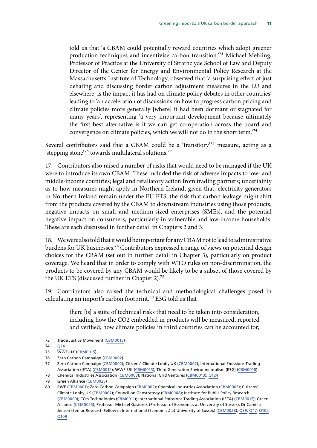told us that 'a CBAM could potentially reward countries which adopt greener production techniques and incentivise carbon transition.'73 Michael Mehling, Professor of Practice at the University of Strathclyde School of Law and Deputy Director of the Center for Energy and Environmental Policy Research at the Massachusetts Institute of Technology, observed that 'a surprising effect of just debating and discussing border carbon adjustment measures in the EU and elsewhere, is the impact it has had on climate policy debates in other countries' leading to 'an acceleration of discussions on how to progress carbon pricing and climate policies more generally [where] it had been dormant or stagnated for many years', representing 'a very important development because ultimately the first best alternative is if we can get co-operation across the board and convergence on climate policies, which we will not do in the short term.'74

Several contributors said that a CBAM could be a 'transitory'<sup>75</sup> measure, acting as a 'stepping stone'76 towards multilateral solutions.77

17. Contributors also raised a number of risks that would need to be managed if the UK were to introduce its own CBAM. These included the risk of adverse impacts to low- and middle-income countries; legal and retaliatory action from trading partners; uncertainty as to how measures might apply in Northern Ireland, given that, electricity generators in Northern Ireland remain under the EU ETS; the risk that carbon leakage might shift from the products covered by the CBAM to downstream industries using those products; negative impacts on small and medium-sized enterprises (SMEs), and the potential negative impact on consumers, particularly in vulnerable and low-income households. These are each discussed in further detail in Chapters 2 and 3.

18. We were also told that it would be important for any CBAM not to lead to administrative burdens for UK businesses.78 Contributors expressed a range of views on potential design choices for the CBAM (set out in further detail in Chapter 3), particularly on product coverage. We heard that in order to comply with WTO rules on non-discrimination, the products to be covered by any CBAM would be likely to be a subset of those covered by the UK ETS (discussed further in Chapter 2).<sup>79</sup>

19. Contributors also raised the technical and methodological challenges posed in calculating an import's carbon footprint.<sup>80</sup> E3G told us that

> there [is] a suite of technical risks that need to be taken into consideration, including how the CO2 embedded in products will be measured, reported and verified; how climate policies in third countries can be accounted for;

<sup>73</sup> Trade Justice Movement ([CBM0016](https://committees.parliament.uk/writtenevidence/40338/html/))

<sup>74</sup> [Q24](https://committees.parliament.uk/oralevidence/3092/html/)

<sup>75</sup> WWF-UK [\(CBM0015\)](https://committees.parliament.uk/writtenevidence/40337/html/)

<sup>76</sup> Zero Carbon Campaign ([CBM0002\)](https://committees.parliament.uk/writtenevidence/40278/html/)

<sup>77</sup> Zero Carbon Campaign ([CBM0002\)](https://committees.parliament.uk/writtenevidence/40278/html/); Citizens' Climate Lobby UK ([CBM0007\)](https://committees.parliament.uk/writtenevidence/40304/html/); International Emissions Trading Association (IETA) [\(CBM0012\)](https://committees.parliament.uk/writtenevidence/40331/html/); WWF-UK ([CBM0015](https://committees.parliament.uk/writtenevidence/40337/html/)); Third Generation Environmentalism (E3G) [\(CBM0018](https://committees.parliament.uk/writtenevidence/40347/html/))

<sup>78</sup> Chemical Industries Association ([CBM0003\)](https://committees.parliament.uk/writtenevidence/40294/html/); National Grid Ventures ([CBM0013](https://committees.parliament.uk/writtenevidence/40332/html/)); [Q124](https://committees.parliament.uk/oralevidence/3179/html/)

<sup>79</sup> Green Alliance ([CBM0025](https://committees.parliament.uk/writtenevidence/40510/html/))

<sup>80</sup> RWE ([CBM0001](https://committees.parliament.uk/writtenevidence/40167/html/)); Zero Carbon Campaign [\(CBM0002](https://committees.parliament.uk/writtenevidence/40278/html/)); Chemical Industries Association [\(CBM0003](https://committees.parliament.uk/writtenevidence/40294/html/)); Citizens' Climate Lobby UK ([CBM0007\)](https://committees.parliament.uk/writtenevidence/40304/html/); Council on Geostrategy ([CBM0008](https://committees.parliament.uk/writtenevidence/40307/html/)); Institute for Public Policy Research [\(CBM0009](https://committees.parliament.uk/writtenevidence/40311/html/)); CCm Technologies [\(CBM0011](https://committees.parliament.uk/writtenevidence/40327/html/)); International Emissions Trading Association (IETA) ([CBM0012\)](https://committees.parliament.uk/writtenevidence/40331/html/); Green Alliance ([CBM0025\)](https://committees.parliament.uk/writtenevidence/40510/html/); Professor Michael Gasiorek (Professor of Economics at University of Sussex); Dr Camilla Jensen (Senior Research Fellow in International (Economics) at University of Sussex) [\(CBM0028](https://committees.parliament.uk/writtenevidence/40914/html/)); [Q39; Q47](https://committees.parliament.uk/oralevidence/3092/html/); [Q102;](https://committees.parliament.uk/oralevidence/3179/html/) [Q109](https://committees.parliament.uk/oralevidence/3179/html/)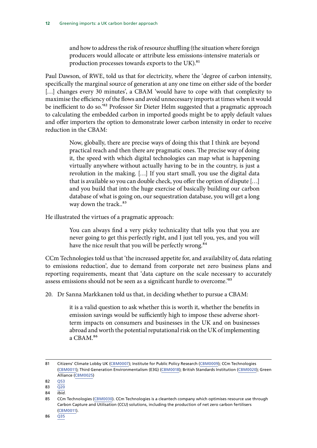and how to address the risk of resource shuffling (the situation where foreign producers would allocate or attribute less emissions-intensive materials or production processes towards exports to the UK).<sup>81</sup>

Paul Dawson, of RWE, told us that for electricity, where the 'degree of carbon intensity, specifically the marginal source of generation at any one time on either side of the border [...] changes every 30 minutes', a CBAM 'would have to cope with that complexity to maximise the efficiency of the flows and avoid unnecessary imports at times when it would be inefficient to do so.<sup>82</sup> Professor Sir Dieter Helm suggested that a pragmatic approach to calculating the embedded carbon in imported goods might be to apply default values and offer importers the option to demonstrate lower carbon intensity in order to receive reduction in the CBAM:

> Now, globally, there are precise ways of doing this that I think are beyond practical reach and then there are pragmatic ones. The precise way of doing it, the speed with which digital technologies can map what is happening virtually anywhere without actually having to be in the country, is just a revolution in the making. […] If you start small, you use the digital data that is available so you can double check, you offer the option of dispute […] and you build that into the huge exercise of basically building our carbon database of what is going on, our sequestration database, you will get a long way down the track..<sup>83</sup>

He illustrated the virtues of a pragmatic approach:

You can always find a very picky technicality that tells you that you are never going to get this perfectly right, and I just tell you, yes, and you will have the nice result that you will be perfectly wrong.<sup>84</sup>

CCm Technologies told us that 'the increased appetite for, and availability of, data relating to emissions reduction', due to demand from corporate net zero business plans and reporting requirements, meant that 'data capture on the scale necessary to accurately assess emissions should not be seen as a significant hurdle to overcome.'85

20. Dr Sanna Markkanen told us that, in deciding whether to pursue a CBAM:

it is a valid question to ask whether this is worth it, whether the benefits in emission savings would be sufficiently high to impose these adverse shortterm impacts on consumers and businesses in the UK and on businesses abroad and worth the potential reputational risk on the UK of implementing a CBAM.86

<sup>81</sup> Citizens' Climate Lobby UK ([CBM0007\)](https://committees.parliament.uk/writtenevidence/40304/html/); Institute for Public Policy Research ([CBM0009\)](https://committees.parliament.uk/writtenevidence/40311/html/); CCm Technologies [\(CBM0011](https://committees.parliament.uk/writtenevidence/40327/html/)); Third Generation Environmentalism (E3G) [\(CBM0018\)](https://committees.parliament.uk/writtenevidence/40347/html/); British Standards Institution ([CBM0020](https://committees.parliament.uk/writtenevidence/40349/html/)); Green Alliance ([CBM0025\)](https://committees.parliament.uk/writtenevidence/40510/html/)

<sup>82</sup> [Q53](https://committees.parliament.uk/oralevidence/3179/html/)

<sup>83</sup> [Q20](https://committees.parliament.uk/oralevidence/3092/html/)

<sup>84</sup> *Ibid.*

<sup>85</sup> CCm Technologies [\(CBM0030](https://committees.parliament.uk/writtenevidence/41310/html/)). CCm Technologies is a cleantech company which optimises resource use through Carbon Capture and Utilisation (CCU) solutions, including the production of net zero carbon fertilisers [\(CBM0011](https://committees.parliament.uk/writtenevidence/40327/html/)).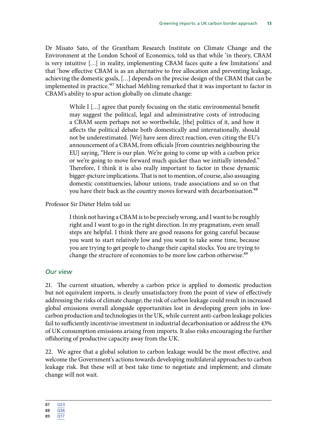Dr Misato Sato, of the Grantham Research Institute on Climate Change and the Environment at the London School of Economics, told us that while 'in theory, CBAM is very intuitive […] in reality, implementing CBAM faces quite a few limitations' and that 'how effective CBAM is as an alternative to free allocation and preventing leakage, achieving the domestic goals, […] depends on the precise design of the CBAM that can be implemented in practice.<sup>87</sup> Michael Mehling remarked that it was important to factor in CBAM's ability to spur action globally on climate change:

> While I [...] agree that purely focusing on the static environmental benefit may suggest the political, legal and administrative costs of introducing a CBAM seem perhaps not so worthwhile, [the] politics of it, and how it affects the political debate both domestically and internationally, should not be underestimated. [We] have seen direct reaction, even citing the EU's announcement of a CBAM, from officials [from countries neighbouring the EU] saying, "Here is our plan. We're going to come up with a carbon price or we're going to move forward much quicker than we initially intended." Therefore, I think it is also really important to factor in these dynamic bigger-picture implications. That is not to mention, of course, also assuaging domestic constituencies, labour unions, trade associations and so on that you have their back as the country moves forward with decarbonisation.<sup>88</sup>

Professor Sir Dieter Helm told us:

I think not having a CBAM is to be precisely wrong, and I want to be roughly right and I want to go in the right direction. In my pragmatism, even small steps are helpful. I think there are good reasons for going careful because you want to start relatively low and you want to take some time, because you are trying to get people to change their capital stocks. You are trying to change the structure of economies to be more low carbon otherwise.<sup>89</sup>

#### *Our view*

21. The current situation, whereby a carbon price is applied to domestic production but not equivalent imports, is clearly unsatisfactory from the point of view of effectively addressing the risks of climate change; the risk of carbon leakage could result in increased global emissions overall alongside opportunities lost in developing green jobs in lowcarbon production and technologies in the UK, while current anti-carbon leakage policies fail to sufficiently incentivise investment in industrial decarbonisation or address the 43% of UK consumption emissions arising from imports. It also risks encouraging the further offshoring of productive capacity away from the UK.

22. We agree that a global solution to carbon leakage would be the most effective, and welcome the Government's actions towards developing multilateral approaches to carbon leakage risk. But these will at best take time to negotiate and implement; and climate change will not wait.

<sup>87</sup> [Q23](https://committees.parliament.uk/oralevidence/3092/html/)

<sup>88</sup> [Q36](https://committees.parliament.uk/oralevidence/3092/html/)

<sup>89</sup> [Q17](https://committees.parliament.uk/oralevidence/3092/html/)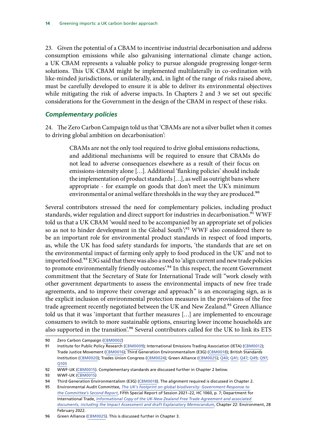<span id="page-17-0"></span>23. Given the potential of a CBAM to incentivise industrial decarbonisation and address consumption emissions while also galvanising international climate change action, a UK CBAM represents a valuable policy to pursue alongside progressing longer-term solutions. This UK CBAM might be implemented multilaterally in co-ordination with like-minded jurisdictions, or unilaterally, and, in light of the range of risks raised above, must be carefully developed to ensure it is able to deliver its environmental objectives while mitigating the risk of adverse impacts. In Chapters 2 and 3 we set out specific considerations for the Government in the design of the CBAM in respect of these risks.

#### *Complementary policies*

24. The Zero Carbon Campaign told us that 'CBAMs are not a silver bullet when it comes to driving global ambition on decarbonisation':

> CBAMs are not the only tool required to drive global emissions reductions, and additional mechanisms will be required to ensure that CBAMs do not lead to adverse consequences elsewhere as a result of their focus on emissions-intensity alone […]. Additional 'flanking policies' should include the implementation of product standards […], as well as outright bans where appropriate - for example on goods that don't meet the UK's minimum environmental or animal welfare thresholds in the way they are produced.<sup>90</sup>

Several contributors stressed the need for complementary policies, including product standards, wider regulation and direct support for industries in decarbonisation.<sup>91</sup> WWF told us that a UK CBAM 'would need to be accompanied by an appropriate set of policies so as not to hinder development in the Global South';<sup>92</sup> WWF also considered there to be an important role for environmental product standards in respect of food imports, as, while the UK has food safety standards for imports, 'the standards that are set on the environmental impact of farming only apply to food produced in the UK' and not to imported food.<sup>93</sup> E3G said that there was also a need to 'align current and new trade policies to promote environmentally friendly outcomes'.<sup>94</sup> In this respect, the recent Government commitment that the Secretary of State for International Trade will "work closely with other government departments to assess the environmental impacts of new free trade agreements, and to improve their coverage and approach" is an encouraging sign, as is the explicit inclusion of environmental protection measures in the provisions of the free trade agreement recently negotiated between the UK and New Zealand.<sup>95</sup> Green Alliance told us that it was 'important that further measures […] are implemented to encourage consumers to switch to more sustainable options, ensuring lower income households are also supported in the transition<sup>', 96</sup> Several contributors called for the UK to link its ETS

<sup>90</sup> Zero Carbon Campaign ([CBM0002\)](https://committees.parliament.uk/writtenevidence/40278/html/)

<sup>91</sup> Institute for Public Policy Research ([CBM0009](https://committees.parliament.uk/writtenevidence/40311/html/)); International Emissions Trading Association (IETA) ([CBM0012\)](https://committees.parliament.uk/writtenevidence/40331/html/); Trade Justice Movement ([CBM0016](https://committees.parliament.uk/writtenevidence/40338/html/)); Third Generation Environmentalism (E3G) [\(CBM0018\)](https://committees.parliament.uk/writtenevidence/40347/html/); British Standards Institution ([CBM0020\)](https://committees.parliament.uk/writtenevidence/40349/html/); Trades Union Congress ([CBM0024\)](https://committees.parliament.uk/writtenevidence/40441/html/); Green Alliance [\(CBM0025](https://committees.parliament.uk/writtenevidence/40510/html/)); [Q40;](https://committees.parliament.uk/oralevidence/3092/html/) [Q41;](https://committees.parliament.uk/oralevidence/3092/html/) [Q47; Q49;](https://committees.parliament.uk/oralevidence/3092/html/) [Q97](https://committees.parliament.uk/oralevidence/3179/html/); [Q105](https://committees.parliament.uk/oralevidence/3179/html/)

<sup>92</sup> WWF-UK [\(CBM0015\)](https://committees.parliament.uk/writtenevidence/40337/html/). Complementary standards are discussed further in Chapter 2 below.

<sup>93</sup> WWF-UK [\(CBM0015\)](https://committees.parliament.uk/writtenevidence/40337/html/)

<sup>94</sup> Third Generation Environmentalism (E3G) [\(CBM0018\)](https://committees.parliament.uk/writtenevidence/40347/html/). The alignment required is discussed in Chapter 2.

<sup>95</sup> Environmental Audit Committee, *The UK's footprint on global biodiversity: Government Response to the Committee's Second Report*, Fifth Special Report of Session 2021–22, HC 1060, p. 7; Department for International Trade, *[Informational Copy of the UK-New Zealand Free Trade Agreement and associated](https://www.gov.uk/government/collections/free-trade-agreement-between-the-united-kingdom-of-great-britain-and-northern-ireland-and-new-zealand)  [documents, including the Impact Assessment and draft Explanatory Memorandum](https://www.gov.uk/government/collections/free-trade-agreement-between-the-united-kingdom-of-great-britain-and-northern-ireland-and-new-zealand)*, Chapter 22: Environment, 28 February 2022.

<sup>96</sup> Green Alliance ([CBM0025](https://committees.parliament.uk/writtenevidence/40510/html/)). This is discussed further in Chapter 3.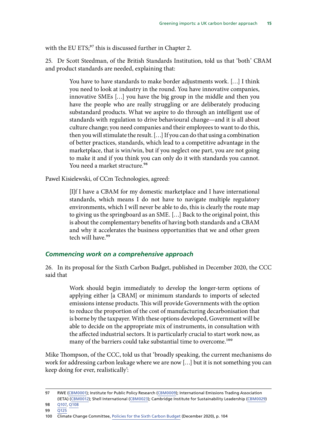<span id="page-18-0"></span>with the EU ETS;<sup>97</sup> this is discussed further in Chapter 2.

25. Dr Scott Steedman, of the British Standards Institution, told us that 'both' CBAM and product standards are needed, explaining that:

> You have to have standards to make border adjustments work. […] I think you need to look at industry in the round. You have innovative companies, innovative SMEs […] you have the big group in the middle and then you have the people who are really struggling or are deliberately producing substandard products. What we aspire to do through an intelligent use of standards with regulation to drive behavioural change—and it is all about culture change; you need companies and their employees to want to do this, then you will stimulate the result. […] If you can do that using a combination of better practices, standards, which lead to a competitive advantage in the marketplace, that is win/win, but if you neglect one part, you are not going to make it and if you think you can only do it with standards you cannot. You need a market structure.<sup>98</sup>

Pawel Kisielewski, of CCm Technologies, agreed:

[I]f I have a CBAM for my domestic marketplace and I have international standards, which means I do not have to navigate multiple regulatory environments, which I will never be able to do, this is clearly the route map to giving us the springboard as an SME. […] Back to the original point, this is about the complementary benefits of having both standards and a CBAM and why it accelerates the business opportunities that we and other green tech will have.99

#### *Commencing work on a comprehensive approach*

26. In its proposal for the Sixth Carbon Budget, published in December 2020, the CCC said that

> Work should begin immediately to develop the longer-term options of applying either [a CBAM] or minimum standards to imports of selected emissions intense products. This will provide Governments with the option to reduce the proportion of the cost of manufacturing decarbonisation that is borne by the taxpayer. With these options developed, Government will be able to decide on the appropriate mix of instruments, in consultation with the affected industrial sectors. It is particularly crucial to start work now, as many of the barriers could take substantial time to overcome.<sup>100</sup>

Mike Thompson, of the CCC, told us that 'broadly speaking, the current mechanisms do work for addressing carbon leakage where we are now […] but it is not something you can keep doing for ever, realistically':

<sup>97</sup> RWE ([CBM0001](https://committees.parliament.uk/writtenevidence/40167/html/)); Institute for Public Policy Research [\(CBM0009\)](https://committees.parliament.uk/writtenevidence/40311/html/); International Emissions Trading Association (IETA) [\(CBM0012\)](https://committees.parliament.uk/writtenevidence/40331/html/); Shell International [\(CBM0023\)](https://committees.parliament.uk/writtenevidence/40361/html/); Cambridge Institute for Sustainability Leadership ([CBM0029\)](https://committees.parliament.uk/writtenevidence/41145/html/)

<sup>98</sup> [Q107](https://committees.parliament.uk/oralevidence/3179/html/), [Q108](https://committees.parliament.uk/oralevidence/3179/html/)

<sup>99</sup> [Q125](https://committees.parliament.uk/oralevidence/3179/html/)

<sup>100</sup> Climate Change Committee, [Policies for the Sixth Carbon Budget](https://www.theccc.org.uk/wp-content/uploads/2020/12/Policies-for-the-Sixth-Carbon-Budget-and-Net-Zero.pdf) (December 2020), p. 104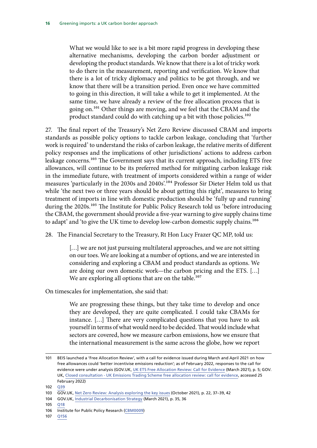What we would like to see is a bit more rapid progress in developing these alternative mechanisms, developing the carbon border adjustment or developing the product standards. We know that there is a lot of tricky work to do there in the measurement, reporting and verification. We know that there is a lot of tricky diplomacy and politics to be got through, and we know that there will be a transition period. Even once we have committed to going in this direction, it will take a while to get it implemented. At the same time, we have already a review of the free allocation process that is going on.<sup>101</sup> Other things are moving, and we feel that the CBAM and the product standard could do with catching up a bit with those policies.<sup>102</sup>

27. The final report of the Treasury's Net Zero Review discussed CBAM and imports standards as possible policy options to tackle carbon leakage, concluding that 'further work is required' to understand the risks of carbon leakage, the relative merits of different policy responses and the implications of other jurisdictions' actions to address carbon leakage concerns.<sup>103</sup> The Government says that its current approach, including ETS free allowances, will continue to be its preferred method for mitigating carbon leakage risk in the immediate future, with treatment of imports considered within a range of wider measures 'particularly in the 2030s and 2040s'.104 Professor Sir Dieter Helm told us that while 'the next two or three years should be about getting this right', measures to bring treatment of imports in line with domestic production should be 'fully up and running' during the 2020s.<sup>105</sup> The Institute for Public Policy Research told us 'before introducing the CBAM, the government should provide a five-year warning to give supply chains time to adapt' and 'to give the UK time to develop low-carbon domestic supply chains.<sup>106</sup>

28. The Financial Secretary to the Treasury, Rt Hon Lucy Frazer QC MP, told us:

[...] we are not just pursuing multilateral approaches, and we are not sitting on our toes. We are looking at a number of options, and we are interested in considering and exploring a CBAM and product standards as options. We are doing our own domestic work—the carbon pricing and the ETS. […] We are exploring all options that are on the table.<sup>107</sup>

On timescales for implementation, she said that:

We are progressing these things, but they take time to develop and once they are developed, they are quite complicated. I could take CBAMs for instance. […] There are very complicated questions that you have to ask yourself in terms of what would need to be decided. That would include what sectors are covered, how we measure carbon emissions, how we ensure that the international measurement is the same across the globe, how we report

105 [Q18](https://committees.parliament.uk/oralevidence/3092/html/)

107 [Q156](https://committees.parliament.uk/oralevidence/3460/html/)

<sup>101</sup> BEIS launched a 'Free Allocation Review', with a call for evidence issued during March and April 2021 on how free allowances could 'better incentivise emissions reduction'; as of February 2022, responses to the call for evidence were under analysis (GOV.UK, [UK ETS Free Allocation Review: Call for Evidence](https://assets.publishing.service.gov.uk/government/uploads/system/uploads/attachment_data/file/969576/uk-ets-call-for-evidence.pdf) (March 2021), p. 5; GOV. UK, [Closed consultation - UK Emissions Trading Scheme free allocation review: call for evidence](https://www.gov.uk/government/consultations/uk-emissions-trading-scheme-free-allocation-review-call-for-evidence), accessed 25 February 2022)

<sup>102</sup> [Q39](https://committees.parliament.uk/oralevidence/3092/html/)

<sup>103</sup> GOV.UK, [Net Zero Review: Analysis exploring the key issues](https://assets.publishing.service.gov.uk/government/uploads/system/uploads/attachment_data/file/1026725/NZR_-_Final_Report_-_Published_version.pdf) (October 2021), p. 22, 37–39, 42

<sup>104</sup> GOV.UK, [Industrial Decarbonisation Strategy](https://assets.publishing.service.gov.uk/government/uploads/system/uploads/attachment_data/file/970229/Industrial_Decarbonisation_Strategy_March_2021.pdf) (March 2021), p. 35, 36

<sup>106</sup> Institute for Public Policy Research ([CBM0009](https://committees.parliament.uk/writtenevidence/40311/html/))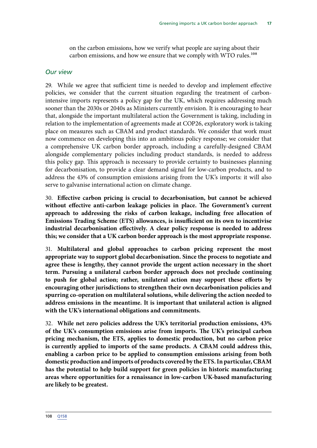on the carbon emissions, how we verify what people are saying about their carbon emissions, and how we ensure that we comply with WTO rules.<sup>108</sup>

#### *Our view*

29. While we agree that sufficient time is needed to develop and implement effective policies, we consider that the current situation regarding the treatment of carbonintensive imports represents a policy gap for the UK, which requires addressing much sooner than the 2030s or 2040s as Ministers currently envision. It is encouraging to hear that, alongside the important multilateral action the Government is taking, including in relation to the implementation of agreements made at COP26, exploratory work is taking place on measures such as CBAM and product standards. We consider that work must now commence on developing this into an ambitious policy response; we consider that a comprehensive UK carbon border approach, including a carefully-designed CBAM alongside complementary policies including product standards, is needed to address this policy gap. This approach is necessary to provide certainty to businesses planning for decarbonisation, to provide a clear demand signal for low-carbon products, and to address the 43% of consumption emissions arising from the UK's imports: it will also serve to galvanise international action on climate change.

30. **Effective carbon pricing is crucial to decarbonisation, but cannot be achieved without effective anti-carbon leakage policies in place. The Government's current approach to addressing the risks of carbon leakage, including free allocation of Emissions Trading Scheme (ETS) allowances, is insufficient on its own to incentivise industrial decarbonisation effectively. A clear policy response is needed to address this; we consider that a UK carbon border approach is the most appropriate response.**

31. **Multilateral and global approaches to carbon pricing represent the most appropriate way to support global decarbonisation. Since the process to negotiate and agree these is lengthy, they cannot provide the urgent action necessary in the short term. Pursuing a unilateral carbon border approach does not preclude continuing to push for global action; rather, unilateral action may support these efforts by encouraging other jurisdictions to strengthen their own decarbonisation policies and spurring co-operation on multilateral solutions, while delivering the action needed to address emissions in the meantime. It is important that unilateral action is aligned with the UK's international obligations and commitments.**

32. **While net zero policies address the UK's territorial production emissions, 43% of the UK's consumption emissions arise from imports. The UK's principal carbon pricing mechanism, the ETS, applies to domestic production, but no carbon price is currently applied to imports of the same products. A CBAM could address this, enabling a carbon price to be applied to consumption emissions arising from both domestic production and imports of products covered by the ETS. In particular, CBAM has the potential to help build support for green policies in historic manufacturing areas where opportunities for a renaissance in low-carbon UK-based manufacturing are likely to be greatest.**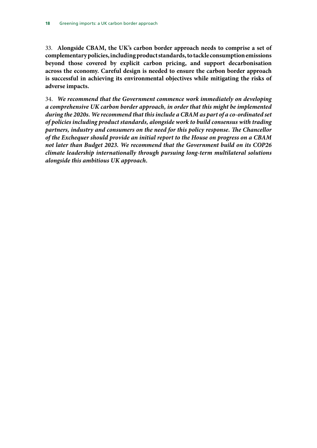33. **Alongside CBAM, the UK's carbon border approach needs to comprise a set of complementary policies, including product standards, to tackle consumption emissions beyond those covered by explicit carbon pricing, and support decarbonisation across the economy. Careful design is needed to ensure the carbon border approach is successful in achieving its environmental objectives while mitigating the risks of adverse impacts.**

34. *We recommend that the Government commence work immediately on developing a comprehensive UK carbon border approach, in order that this might be implemented during the 2020s. We recommend that this include a CBAM as part of a co-ordinated set of policies including product standards, alongside work to build consensus with trading partners, industry and consumers on the need for this policy response. The Chancellor of the Exchequer should provide an initial report to the House on progress on a CBAM not later than Budget 2023. We recommend that the Government build on its COP26 climate leadership internationally through pursuing long-term multilateral solutions alongside this ambitious UK approach.*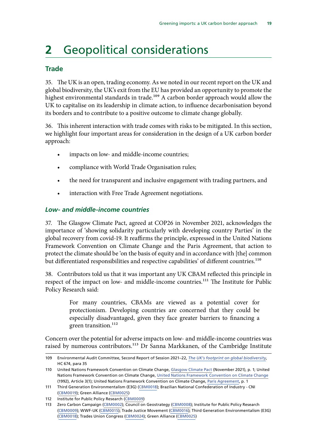# <span id="page-22-0"></span>**2** Geopolitical considerations

#### **Trade**

35. The UK is an open, trading economy. As we noted in our recent report on the UK and global biodiversity, the UK's exit from the EU has provided an opportunity to promote the highest environmental standards in trade.<sup>109</sup> A carbon border approach would allow the UK to capitalise on its leadership in climate action, to influence decarbonisation beyond its borders and to contribute to a positive outcome to climate change globally.

36. This inherent interaction with trade comes with risks to be mitigated. In this section, we highlight four important areas for consideration in the design of a UK carbon border approach:

- impacts on low- and middle-income countries;
- compliance with World Trade Organisation rules;
- the need for transparent and inclusive engagement with trading partners, and
- interaction with Free Trade Agreement negotiations.

#### *Low- and middle-income countries*

37. The Glasgow Climate Pact, agreed at COP26 in November 2021, acknowledges the importance of 'showing solidarity particularly with developing country Parties' in the global recovery from covid-19. It reaffirms the principle, expressed in the United Nations Framework Convention on Climate Change and the Paris Agreement, that action to protect the climate should be 'on the basis of equity and in accordance with [the] common but differentiated responsibilities and respective capabilities' of different countries.<sup>110</sup>

38. Contributors told us that it was important any UK CBAM reflected this principle in respect of the impact on low- and middle-income countries.<sup>111</sup> The Institute for Public Policy Research said:

> For many countries, CBAMs are viewed as a potential cover for protectionism. Developing countries are concerned that they could be especially disadvantaged, given they face greater barriers to financing a green transition.<sup>112</sup>

Concern over the potential for adverse impacts on low- and middle-income countries was raised by numerous contributors.<sup>113</sup> Dr Sanna Markkanen, of the Cambridge Institute

<sup>109</sup> Environmental Audit Committee, Second Report of Session 2021–22, *[The UK's footprint on global biodiversity](https://committees.parliament.uk/publications/7462/documents/78136/default/)*, HC 674, para 35

<sup>110</sup> United Nations Framework Convention on Climate Change, [Glasgow Climate Pact](https://unfccc.int/sites/default/files/resource/cma3_auv_2_cover%20decision.pdf) (November 2021), p. 1; United Nations Framework Convention on Climate Change, [United Nations Framework Convention on Climate Change](https://unfccc.int/files/essential_background/background_publications_htmlpdf/application/pdf/conveng.pdf) (1992), Article 3(1); United Nations Framework Convention on Climate Change, [Paris Agreement](https://unfccc.int/sites/default/files/english_paris_agreement.pdf), p. 1

<sup>111</sup> Third Generation Environmentalism (E3G) [\(CBM0018\)](https://committees.parliament.uk/writtenevidence/40347/html/); Brazilian National Confederation of Industry - CNI [\(CBM0019\)](https://committees.parliament.uk/writtenevidence/40348/html/); Green Alliance [\(CBM0025](https://committees.parliament.uk/writtenevidence/40510/html/))

<sup>112</sup> Institute for Public Policy Research ([CBM0009](https://committees.parliament.uk/writtenevidence/40311/html/))

<sup>113</sup> Zero Carbon Campaign ([CBM0002\)](https://committees.parliament.uk/writtenevidence/40278/html/); Council on Geostrategy ([CBM0008](https://committees.parliament.uk/writtenevidence/40307/html/)); Institute for Public Policy Research [\(CBM0009](https://committees.parliament.uk/writtenevidence/40311/html/)); WWF-UK ([CBM0015](https://committees.parliament.uk/writtenevidence/40337/html/)); Trade Justice Movement ([CBM0016](https://committees.parliament.uk/writtenevidence/40338/html/)); Third Generation Environmentalism (E3G) [\(CBM0018\)](https://committees.parliament.uk/writtenevidence/40347/html/); Trades Union Congress ([CBM0024\)](https://committees.parliament.uk/writtenevidence/40441/html/); Green Alliance [\(CBM0025](https://committees.parliament.uk/writtenevidence/40510/html/))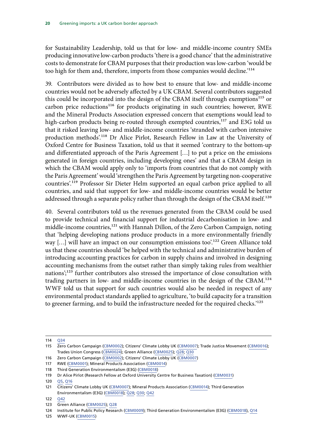for Sustainability Leadership, told us that for low- and middle-income country SMEs producing innovative low-carbon products 'there is a good chance' that the administrative costs to demonstrate for CBAM purposes that their production was low-carbon 'would be too high for them and, therefore, imports from those companies would decline.'<sup>114</sup>

39. Contributors were divided as to how best to ensure that low- and middle-income countries would not be adversely affected by a UK CBAM. Several contributors suggested this could be incorporated into the design of the CBAM itself through exemptions<sup>115</sup> or carbon price reductions<sup>116</sup> for products originating in such countries; however, RWE and the Mineral Products Association expressed concern that exemptions would lead to high-carbon products being re-routed through exempted countries,<sup>117</sup> and E3G told us that it risked leaving low- and middle-income countries 'stranded with carbon intensive production methods'.118 Dr Alice Pirlot, Research Fellow in Law at the University of Oxford Centre for Business Taxation, told us that it seemed 'contrary to the bottom-up and differentiated approach of the Paris Agreement […] to put a price on the emissions generated in foreign countries, including developing ones' and that a CBAM design in which the CBAM would apply only to 'imports from countries that do not comply with the Paris Agreement' would 'strengthen the Paris Agreement by targeting non-cooperative countries'.119 Professor Sir Dieter Helm supported an equal carbon price applied to all countries, and said that support for low- and middle-income countries would be better addressed through a separate policy rather than through the design of the CBAM itself.<sup>120</sup>

40. Several contributors told us the revenues generated from the CBAM could be used to provide technical and financial support for industrial decarbonisation in low- and middle-income countries,<sup>121</sup> with Hannah Dillon, of the Zero Carbon Campaign, noting that 'helping developing nations produce products in a more environmentally friendly way [...] will have an impact on our consumption emissions too'.<sup>122</sup> Green Alliance told us that these countries should 'be helped with the technical and administrative burden of introducing accounting practices for carbon in supply chains and involved in designing accounting mechanisms from the outset rather than simply taking rules from wealthier nations';<sup>123</sup> further contributors also stressed the importance of close consultation with trading partners in low- and middle-income countries in the design of the CBAM.124 WWF told us that support for such countries would also be needed in respect of any environmental product standards applied to agriculture, 'to build capacity for a transition to greener farming, and to build the infrastructure needed for the required checks.<sup>'125</sup>

<sup>114</sup> [Q34](https://committees.parliament.uk/oralevidence/3092/html/)

<sup>115</sup> Zero Carbon Campaign ([CBM0002\)](https://committees.parliament.uk/writtenevidence/40278/html/); Citizens' Climate Lobby UK ([CBM0007\)](https://committees.parliament.uk/writtenevidence/40304/html/); Trade Justice Movement [\(CBM0016](https://committees.parliament.uk/writtenevidence/40338/html/)); Trades Union Congress [\(CBM0024](https://committees.parliament.uk/writtenevidence/40441/html/)); Green Alliance ([CBM0025\)](https://committees.parliament.uk/writtenevidence/40510/html/); [Q28](https://committees.parliament.uk/oralevidence/3092/html/); [Q30](https://committees.parliament.uk/oralevidence/3092/html/)

<sup>116</sup> Zero Carbon Campaign ([CBM0002\)](https://committees.parliament.uk/writtenevidence/40278/html/); Citizens' Climate Lobby UK ([CBM0007\)](https://committees.parliament.uk/writtenevidence/40304/html/)

<sup>117</sup> RWE ([CBM0001](https://committees.parliament.uk/writtenevidence/40167/html/)); Mineral Products Association [\(CBM0014\)](https://committees.parliament.uk/writtenevidence/40333/html/)

<sup>118</sup> Third Generation Environmentalism (E3G) [\(CBM0018\)](https://committees.parliament.uk/writtenevidence/40347/html/)

<sup>119</sup> Dr Alice Pirlot (Research Fellow at Oxford University Centre for Business Taxation) [\(CBM0031\)](https://committees.parliament.uk/writtenevidence/42611/html/)

<sup>120</sup> [Q5, Q16](https://committees.parliament.uk/oralevidence/3092/html/)

<sup>121</sup> Citizens' Climate Lobby UK ([CBM0007\)](https://committees.parliament.uk/writtenevidence/40304/html/); Mineral Products Association ([CBM0014](https://committees.parliament.uk/writtenevidence/40333/html/)); Third Generation Environmentalism (E3G) ([CBM0018](https://committees.parliament.uk/writtenevidence/40347/html/)); [Q28](https://committees.parliament.uk/oralevidence/3092/html/); [Q30; Q42](https://committees.parliament.uk/oralevidence/3092/html/)

<sup>122</sup> [Q42](https://committees.parliament.uk/oralevidence/3092/html/)

<sup>123</sup> Green Alliance ([CBM0025](https://committees.parliament.uk/writtenevidence/40510/html/)); [Q28](https://committees.parliament.uk/oralevidence/3092/html/)

<sup>124</sup> Institute for Public Policy Research ([CBM0009](https://committees.parliament.uk/writtenevidence/40311/html/)); Third Generation Environmentalism (E3G) [\(CBM0018\)](https://committees.parliament.uk/writtenevidence/40347/html/), [Q14](https://committees.parliament.uk/oralevidence/3092/html/)

<sup>125</sup> WWF-UK [\(CBM0015\)](https://committees.parliament.uk/writtenevidence/40337/html/)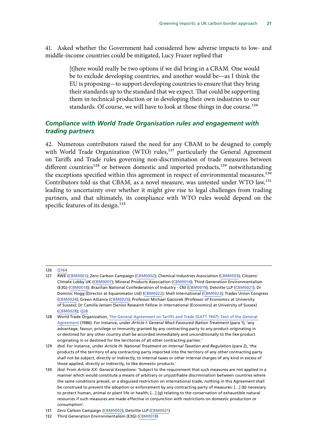<span id="page-24-0"></span>41. Asked whether the Government had considered how adverse impacts to low- and middle-income countries could be mitigated, Lucy Frazer replied that

> [t]here would really be two options if we did bring in a CBAM. One would be to exclude developing countries, and another would be—as I think the EU is proposing—to support developing countries to ensure that they bring their standards up to the standard that we expect. That could be supporting them in technical production or in developing their own industries to our standards. Of course, we will have to look at those things in due course.<sup>126</sup>

#### *Compliance with World Trade Organisation rules and engagement with trading partners*

42. Numerous contributors raised the need for any CBAM to be designed to comply with World Trade Organization (WTO) rules,<sup>127</sup> particularly the General Agreement on Tariffs and Trade rules governing non-discrimination of trade measures between different countries<sup>128</sup> or between domestic and imported products,<sup>129</sup> notwithstanding the exceptions specified within this agreement in respect of environmental measures.<sup>130</sup> Contributors told us that CBAM, as a novel measure, was untested under WTO law,<sup>131</sup> leading to uncertainty over whether it might give rise to legal challenges from trading partners, and that ultimately, its compliance with WTO rules would depend on the specific features of its design.<sup>132</sup>

<sup>126</sup> [Q164](https://committees.parliament.uk/oralevidence/3460/html/)

<sup>127</sup> RWE ([CBM0001](https://committees.parliament.uk/writtenevidence/40167/html/)); Zero Carbon Campaign [\(CBM0002](https://committees.parliament.uk/writtenevidence/40278/html/)); Chemical Industries Association [\(CBM0003](https://committees.parliament.uk/writtenevidence/40294/html/)); Citizens' Climate Lobby UK ([CBM0007\)](https://committees.parliament.uk/writtenevidence/40304/html/); Mineral Products Association [\(CBM0014](https://committees.parliament.uk/writtenevidence/40333/html/)); Third Generation Environmentalism (E3G) [\(CBM0018\)](https://committees.parliament.uk/writtenevidence/40347/html/); Brazilian National Confederation of Industry - CNI [\(CBM0019](https://committees.parliament.uk/writtenevidence/40348/html/)); Deloitte LLP ([CBM0021](https://committees.parliament.uk/writtenevidence/40351/html/)); Dr Dominic Hogg (Director at Equanimator Ltd) ([CBM0022\)](https://committees.parliament.uk/writtenevidence/40360/html/); Shell International [\(CBM0023\)](https://committees.parliament.uk/writtenevidence/40361/html/); Trades Union Congress [\(CBM0024](https://committees.parliament.uk/writtenevidence/40441/html/)); Green Alliance ([CBM0025](https://committees.parliament.uk/writtenevidence/40510/html/)); Professor Michael Gasiorek (Professor of Economics at University of Sussex); Dr Camilla Jensen (Senior Research Fellow in International (Economics) at University of Sussex) [\(CBM0028](https://committees.parliament.uk/writtenevidence/40914/html/)); [Q28](https://committees.parliament.uk/oralevidence/3092/html/)

<sup>128</sup> World Trade Organization, The General Agreement on Tariffs and Trade (GATT 1947): Text of the General [Agreement](https://www.wto.org/english/docs_e/legal_e/gatt47_e.pdf) (1986). For instance, under *Article I: General Most-Favoured-Nation Treatment* (para 1), 'any advantage, favour, privilege or immunity granted by any contracting party to any product originating in or destined for any other country shall be accorded immediately and unconditionally to the like product originating in or destined for the territories of all other contracting parties.'

<sup>129</sup> *Ibid*. For instance, under *Article III: National Treatment on Internal Taxation and Regulation* (para 2), 'the products of the territory of any contracting party imported into the territory of any other contracting party shall not be subject, directly or indirectly, to internal taxes or other internal charges of any kind in excess of those applied, directly or indirectly, to like domestic products.'

<sup>130</sup> *Ibid*. From *Article XX: General Exceptions*: 'Subject to the requirement that such measures are not applied in a manner which would constitute a means of arbitrary or unjustifiable discrimination between countries where the same conditions prevail, or a disguised restriction on international trade, nothing in this Agreement shall be construed to prevent the adoption or enforcement by any contracting party of measures: […] (b) necessary to protect human, animal or plant life or health; […] (g) relating to the conservation of exhaustible natural resources if such measures are made effective in conjunction with restrictions on domestic production or consumption'.

<sup>131</sup> Zero Carbon Campaign ([CBM0002\)](https://committees.parliament.uk/writtenevidence/40278/html/); Deloitte LLP [\(CBM0021\)](https://committees.parliament.uk/writtenevidence/40351/html/)

<sup>132</sup> Third Generation Environmentalism (E3G) [\(CBM0018\)](https://committees.parliament.uk/writtenevidence/40347/html/)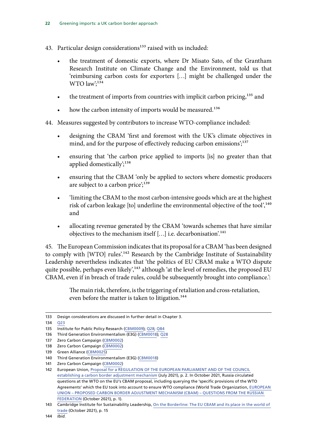- 43. Particular design considerations<sup>133</sup> raised with us included:
	- the treatment of domestic exports, where Dr Misato Sato, of the Grantham Research Institute on Climate Change and the Environment, told us that 'reimbursing carbon costs for exporters […] might be challenged under the WTO law';<sup>134</sup>
	- the treatment of imports from countries with implicit carbon pricing,<sup>135</sup> and
	- how the carbon intensity of imports would be measured.<sup>136</sup>
- 44. Measures suggested by contributors to increase WTO-compliance included:
	- designing the CBAM 'first and foremost with the UK's climate objectives in mind, and for the purpose of effectively reducing carbon emissions';<sup>137</sup>
	- ensuring that 'the carbon price applied to imports [is] no greater than that applied domestically $\ddot{ }$ ;<sup>138</sup>
	- ensuring that the CBAM 'only be applied to sectors where domestic producers are subject to a carbon price';<sup>139</sup>
	- 'limiting the CBAM to the most carbon-intensive goods which are at the highest risk of carbon leakage [to] underline the environmental objective of the tool',<sup>140</sup> and
	- allocating revenue generated by the CBAM 'towards schemes that have similar objectives to the mechanism itself […] i.e. decarbonisation'.141

45. The European Commission indicates that its proposal for a CBAM 'has been designed to comply with [WTO] rules'.<sup>142</sup> Research by the Cambridge Institute of Sustainability Leadership nevertheless indicates that 'the politics of EU CBAM make a WTO dispute quite possible, perhaps even likely',<sup>143</sup> although 'at the level of remedies, the proposed EU CBAM, even if in breach of trade rules, could be subsequently brought into compliance.':

> The main risk, therefore, is the triggering of retaliation and cross-retaliation, even before the matter is taken to litigation.<sup>144</sup>

<sup>133</sup> Design considerations are discussed in further detail in Chapter 3.

<sup>134</sup> [Q23](https://committees.parliament.uk/oralevidence/3092/html/)

<sup>135</sup> Institute for Public Policy Research ([CBM0009](https://committees.parliament.uk/writtenevidence/40311/html/)); [Q28](https://committees.parliament.uk/oralevidence/3092/html/); [Q84](https://committees.parliament.uk/oralevidence/3179/html/)

<sup>136</sup> Third Generation Environmentalism (E3G) [\(CBM0018\)](https://committees.parliament.uk/writtenevidence/40347/html/); [Q28](https://committees.parliament.uk/oralevidence/3092/html/)

<sup>137</sup> Zero Carbon Campaign ([CBM0002\)](https://committees.parliament.uk/writtenevidence/40278/html/)

<sup>138</sup> Zero Carbon Campaign ([CBM0002\)](https://committees.parliament.uk/writtenevidence/40278/html/)

<sup>139</sup> Green Alliance ([CBM0025](https://committees.parliament.uk/writtenevidence/40510/html/))

<sup>140</sup> Third Generation Environmentalism (E3G) [\(CBM0018\)](https://committees.parliament.uk/writtenevidence/40347/html/)

<sup>141</sup> Zero Carbon Campaign ([CBM0002\)](https://committees.parliament.uk/writtenevidence/40278/html/)

<sup>142</sup> European Union, [Proposal for a REGULATION OF THE EUROPEAN PARLIAMENT AND OF THE COUNCIL](https://ec.europa.eu/info/sites/default/files/carbon_border_adjustment_mechanism_0.pdf)  [establishing a carbon border adjustment mechanism](https://ec.europa.eu/info/sites/default/files/carbon_border_adjustment_mechanism_0.pdf) (July 2021), p. 2. In October 2021, Russia circulated questions at the WTO on the EU's CBAM proposal, including querying the 'specific provisions of the WTO Agreements' which the EU took into account to ensure WTO compliance (World Trade Organization, [EUROPEAN](https://docs.wto.org/dol2fe/Pages/SS/directdoc.aspx?filename=q:/G/MA/W172.pdf&Open=True)  [UNION – PROPOSED CARBON BORDER ADJUSTMENT MECHANISM \(CBAM\) – QUESTIONS FROM THE RUSSIAN](https://docs.wto.org/dol2fe/Pages/SS/directdoc.aspx?filename=q:/G/MA/W172.pdf&Open=True)  [FEDERATION](https://docs.wto.org/dol2fe/Pages/SS/directdoc.aspx?filename=q:/G/MA/W172.pdf&Open=True) (October 2021), p. 1).

<sup>143</sup> Cambridge Institute for Sustainability Leadership, On the Borderline: The EU CBAM and its place in the world of [trade](https://www.cisl.cam.ac.uk/files/cbam_report.pdf) (October 2021), p. 15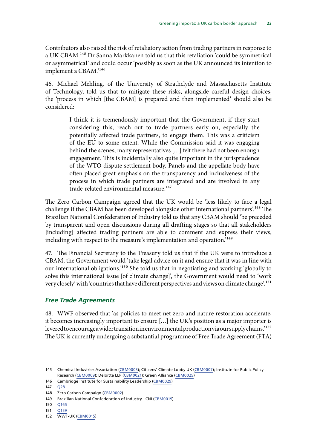<span id="page-26-0"></span>Contributors also raised the risk of retaliatory action from trading partners in response to a UK CBAM.<sup>145</sup> Dr Sanna Markkanen told us that this retaliation 'could be symmetrical or asymmetrical' and could occur 'possibly as soon as the UK announced its intention to implement a CBAM.'146

46. Michael Mehling, of the University of Strathclyde and Massachusetts Institute of Technology, told us that to mitigate these risks, alongside careful design choices, the 'process in which [the CBAM] is prepared and then implemented' should also be considered:

> I think it is tremendously important that the Government, if they start considering this, reach out to trade partners early on, especially the potentially affected trade partners, to engage them. This was a criticism of the EU to some extent. While the Commission said it was engaging behind the scenes, many representatives […] felt there had not been enough engagement. This is incidentally also quite important in the jurisprudence of the WTO dispute settlement body. Panels and the appellate body have often placed great emphasis on the transparency and inclusiveness of the process in which trade partners are integrated and are involved in any trade-related environmental measure.<sup>147</sup>

The Zero Carbon Campaign agreed that the UK would be 'less likely to face a legal challenge if the CBAM has been developed alongside other international partners'.<sup>148</sup> The Brazilian National Confederation of Industry told us that any CBAM should 'be preceded by transparent and open discussions during all drafting stages so that all stakeholders [including] affected trading partners are able to comment and express their views, including with respect to the measure's implementation and operation.'149

47. The Financial Secretary to the Treasury told us that if the UK were to introduce a CBAM, the Government would 'take legal advice on it and ensure that it was in line with our international obligations.'150 She told us that in negotiating and working 'globally to solve this international issue [of climate change]', the Government would need to 'work very closely' with 'countries that have different perspectives and views on climate change'.151

#### *Free Trade Agreements*

48. WWF observed that 'as policies to meet net zero and nature restoration accelerate, it becomes increasingly important to ensure […] the UK's position as a major importer is levered to encourage a wider transition in environmental production via our supply chains.<sup>'152</sup> The UK is currently undergoing a substantial programme of Free Trade Agreement (FTA)

151 [Q159](https://committees.parliament.uk/oralevidence/3460/html/)

<sup>145</sup> Chemical Industries Association ([CBM0003\)](https://committees.parliament.uk/writtenevidence/40294/html/); Citizens' Climate Lobby UK [\(CBM0007\)](https://committees.parliament.uk/writtenevidence/40304/html/); Institute for Public Policy Research ([CBM0009](https://committees.parliament.uk/writtenevidence/40311/html/)); Deloitte LLP ([CBM0021](https://committees.parliament.uk/writtenevidence/40351/html/)); Green Alliance ([CBM0025](https://committees.parliament.uk/writtenevidence/40510/html/))

<sup>146</sup> Cambridge Institute for Sustainability Leadership [\(CBM0029\)](https://committees.parliament.uk/writtenevidence/41145/html/)

<sup>147</sup> [Q28](https://committees.parliament.uk/oralevidence/3092/html/)

<sup>148</sup> Zero Carbon Campaign ([CBM0002\)](https://committees.parliament.uk/writtenevidence/40278/html/)

<sup>149</sup> Brazilian National Confederation of Industry - CNI [\(CBM0019\)](https://committees.parliament.uk/writtenevidence/40348/html/)

<sup>150</sup> [Q165](https://committees.parliament.uk/oralevidence/3460/html/)

<sup>152</sup> WWF-UK [\(CBM0015\)](https://committees.parliament.uk/writtenevidence/40337/html/)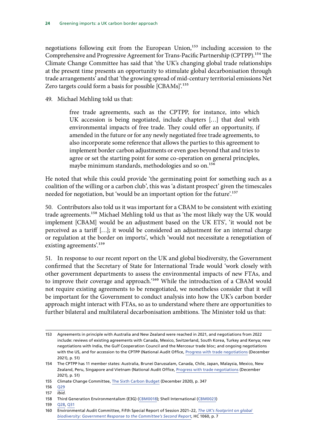negotiations following exit from the European Union,<sup>153</sup> including accession to the Comprehensive and Progressive Agreement for Trans-Pacific Partnership (CPTPP).154 The Climate Change Committee has said that 'the UK's changing global trade relationships at the present time presents an opportunity to stimulate global decarbonisation through trade arrangements' and that 'the growing spread of mid-century territorial emissions Net Zero targets could form a basis for possible [CBAMs]'.<sup>155</sup>

49. Michael Mehling told us that:

free trade agreements, such as the CPTPP, for instance, into which UK accession is being negotiated, include chapters […] that deal with environmental impacts of free trade. They could offer an opportunity, if amended in the future or for any newly negotiated free trade agreements, to also incorporate some reference that allows the parties to this agreement to implement border carbon adjustments or even goes beyond that and tries to agree or set the starting point for some co-operation on general principles, maybe minimum standards, methodologies and so on.<sup>156</sup>

He noted that while this could provide 'the germinating point for something such as a coalition of the willing or a carbon club', this was 'a distant prospect' given the timescales needed for negotiation, but 'would be an important option for the future'.<sup>157</sup>

50. Contributors also told us it was important for a CBAM to be consistent with existing trade agreements.158 Michael Mehling told us that as 'the most likely way the UK would implement [CBAM] would be an adjustment based on the UK ETS', 'it would not be perceived as a tariff […]; it would be considered an adjustment for an internal charge or regulation at the border on imports', which 'would not necessitate a renegotiation of existing agreements'.159

51. In response to our recent report on the UK and global biodiversity, the Government confirmed that the Secretary of State for International Trade would 'work closely with other government departments to assess the environmental impacts of new FTAs, and to improve their coverage and approach.'<sup>160</sup> While the introduction of a CBAM would not require existing agreements to be renegotiated, we nonetheless consider that it will be important for the Government to conduct analysis into how the UK's carbon border approach might interact with FTAs, so as to understand where there are opportunities to further bilateral and multilateral decarbonisation ambitions. The Minister told us that:

<sup>153</sup> Agreements in principle with Australia and New Zealand were reached in 2021, and negotiations from 2022 include: reviews of existing agreements with Canada, Mexico, Switzerland, South Korea, Turkey and Kenya; new negotiations with India, the Gulf Cooperation Council and the Mercosur trade bloc; and ongoing negotiations with the US, and for accession to the CPTPP (National Audit Office, [Progress with trade negotiations](https://www.nao.org.uk/wp-content/uploads/2021/12/Progress-with-trade-negotiations.pdf) (December 2021), p. 51)

<sup>154</sup> The CPTPP has 11 member states: Australia, Brunei Darussalam, Canada, Chile, Japan, Malaysia, Mexico, New Zealand, Peru, Singapore and Vietnam (National Audit Office, [Progress with trade negotiations](https://www.nao.org.uk/wp-content/uploads/2021/12/Progress-with-trade-negotiations.pdf) (December 2021), p. 51)

<sup>155</sup> Climate Change Committee, [The Sixth Carbon Budget](https://www.theccc.org.uk/wp-content/uploads/2020/12/The-Sixth-Carbon-Budget-The-UKs-path-to-Net-Zero.pdf) (December 2020), p. 347

<sup>156</sup> [Q29](https://committees.parliament.uk/oralevidence/3092/html/)

<sup>157</sup> *Ibid.*

<sup>158</sup> Third Generation Environmentalism (E3G) [\(CBM0018\)](https://committees.parliament.uk/writtenevidence/40347/html/); Shell International [\(CBM0023\)](https://committees.parliament.uk/writtenevidence/40361/html/)

<sup>159</sup> [Q28](https://committees.parliament.uk/oralevidence/3092/html/), [Q31](https://committees.parliament.uk/oralevidence/3092/html/)

<sup>160</sup> Environmental Audit Committee, Fifth Special Report of Session 2021–22, *[The UK's footprint on global](https://committees.parliament.uk/publications/8678/documents/88187/default/)  [biodiversity: Government Response to the Committee's Second Report](https://committees.parliament.uk/publications/8678/documents/88187/default/)*, HC 1060, p. 7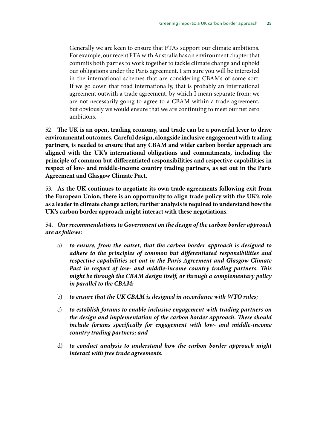Generally we are keen to ensure that FTAs support our climate ambitions. For example, our recent FTA with Australia has an environment chapter that commits both parties to work together to tackle climate change and uphold our obligations under the Paris agreement. I am sure you will be interested in the international schemes that are considering CBAMs of some sort. If we go down that road internationally, that is probably an international agreement outwith a trade agreement, by which I mean separate from: we are not necessarily going to agree to a CBAM within a trade agreement, but obviously we would ensure that we are continuing to meet our net zero ambitions.

52. **The UK is an open, trading economy, and trade can be a powerful lever to drive environmental outcomes. Careful design, alongside inclusive engagement with trading partners, is needed to ensure that any CBAM and wider carbon border approach are aligned with the UK's international obligations and commitments, including the principle of common but differentiated responsibilities and respective capabilities in respect of low- and middle-income country trading partners, as set out in the Paris Agreement and Glasgow Climate Pact.**

53. **As the UK continues to negotiate its own trade agreements following exit from the European Union, there is an opportunity to align trade policy with the UK's role as a leader in climate change action; further analysis is required to understand how the UK's carbon border approach might interact with these negotiations.**

54. *Our recommendations to Government on the design of the carbon border approach are as follows:*

- a) *to ensure, from the outset, that the carbon border approach is designed to adhere to the principles of common but differentiated responsibilities and respective capabilities set out in the Paris Agreement and Glasgow Climate Pact in respect of low- and middle-income country trading partners. This might be through the CBAM design itself, or through a complementary policy in parallel to the CBAM;*
- b) *to ensure that the UK CBAM is designed in accordance with WTO rules;*
- c) *to establish forums to enable inclusive engagement with trading partners on the design and implementation of the carbon border approach. These should include forums specifically for engagement with low- and middle-income country trading partners; and*
- d) *to conduct analysis to understand how the carbon border approach might interact with free trade agreements.*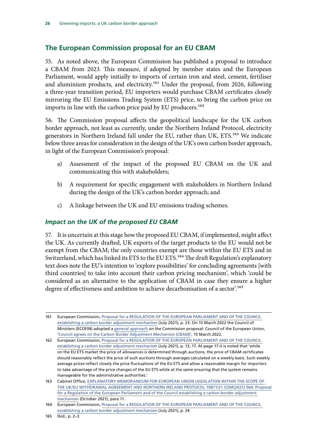#### <span id="page-29-0"></span>**The European Commission proposal for an EU CBAM**

55. As noted above, the European Commission has published a proposal to introduce a CBAM from 2023. This measure, if adopted by member states and the European Parliament, would apply initially to imports of certain iron and steel, cement, fertiliser and aluminium products, and electricity.<sup>161</sup> Under the proposal, from 2026, following a three-year transition period, EU importers would purchase CBAM certificates closely mirroring the EU Emissions Trading System (ETS) price, to bring the carbon price on imports in line with the carbon price paid by EU producers.<sup>162</sup>

56. The Commission proposal affects the geopolitical landscape for the UK carbon border approach, not least as currently, under the Northern Ireland Protocol, electricity generators in Northern Ireland fall under the EU, rather than UK, ETS.<sup>163</sup> We indicate below three areas for consideration in the design of the UK's own carbon border approach, in light of the European Commission's proposal:

- a) Assessment of the impact of the proposed EU CBAM on the UK and communicating this with stakeholders;
- b) A requirement for specific engagement with stakeholders in Northern Ireland during the design of the UK's carbon border approach; and
- c) A linkage between the UK and EU emissions trading schemes.

#### *Impact on the UK of the proposed EU CBAM*

57. It is uncertain at this stage how the proposed EU CBAM, if implemented, might affect the UK. As currently drafted, UK exports of the target products to the EU would not be exempt from the CBAM; the only countries exempt are those within the EU ETS and in Switzerland, which has linked its ETS to the EU ETS.<sup>164</sup> The draft Regulation's explanatory text does note the EU's intention to 'explore possibilities' for concluding agreements [with third countries] to take into account their carbon pricing mechanism', which 'could be considered as an alternative to the application of CBAM in case they ensure a higher degree of effectiveness and ambition to achieve decarbonisation of a sector.<sup>165</sup>

<sup>161</sup> European Commission, [Proposal for a REGULATION OF THE EUROPEAN PARLIAMENT AND OF THE COUNCIL](https://ec.europa.eu/info/sites/default/files/carbon_border_adjustment_mechanism_0.pdf)  [establishing a carbon border adjustment mechanism](https://ec.europa.eu/info/sites/default/files/carbon_border_adjustment_mechanism_0.pdf) (July 2021), p. 23. On 15 March 2022 the Council of Ministers (ECOFIN) adopted a [general approach](https://data.consilium.europa.eu/doc/document/ST-7226-2022-INIT/en/pdf) on the Commission proposal: Council of the European Union, '[Council agrees on the Carbon Border Adjustment Mechanism \(CBAM\)'](https://www.consilium.europa.eu/en/press/press-releases/2022/03/15/carbon-border-adjustment-mechanism-cbam-council-agrees-its-negotiating-mandate/), 15 March 2022.

<sup>162</sup> European Commission, [Proposal for a REGULATION OF THE EUROPEAN PARLIAMENT AND OF THE COUNCIL](https://ec.europa.eu/info/sites/default/files/carbon_border_adjustment_mechanism_0.pdf) [establishing a carbon border adjustment mechanism](https://ec.europa.eu/info/sites/default/files/carbon_border_adjustment_mechanism_0.pdf) (July 2021), p. 13, 17. At page 17 it is noted that 'while on the EU ETS market the price of allowances is determined through auctions, the price of CBAM certificates should reasonably reflect the price of such auctions through averages calculated on a weekly basis. Such weekly average prices reflect closely the price fluctuations of the EU ETS and allow a reasonable margin for importers to take advantage of the price changes of the EU ETS while at the same ensuring that the system remains manageable for the administrative authorities.'

<sup>163</sup> Cabinet Office, [EXPLANATORY MEMORANDUM FOR EUROPEAN UNION LEGISLATION WITHIN THE SCOPE OF](https://europeanmemoranda.cabinetoffice.gov.uk/files/2021/10/2021-10-25_Explanatory_Memorandum_EU_CBAM_final.pdf) [THE UK/EU WITHDRAWAL AGREEMENT AND NORTHERN IRELAND PROTOCOL 10871/21 COM\(2021\) 564: Proposal](https://europeanmemoranda.cabinetoffice.gov.uk/files/2021/10/2021-10-25_Explanatory_Memorandum_EU_CBAM_final.pdf) [for a Regulation of the European Parliament and of the Council establishing a carbon border adjustment](https://europeanmemoranda.cabinetoffice.gov.uk/files/2021/10/2021-10-25_Explanatory_Memorandum_EU_CBAM_final.pdf) [mechanism](https://europeanmemoranda.cabinetoffice.gov.uk/files/2021/10/2021-10-25_Explanatory_Memorandum_EU_CBAM_final.pdf) (October 2021), para 11.

<sup>164</sup> European Commission, [Proposal for a REGULATION OF THE EUROPEAN PARLIAMENT AND OF THE COUNCIL](https://ec.europa.eu/info/sites/default/files/carbon_border_adjustment_mechanism_0.pdf) [establishing a carbon border adjustment mechanism](https://ec.europa.eu/info/sites/default/files/carbon_border_adjustment_mechanism_0.pdf) (July 2021), p. 24

<sup>165</sup> Ibid., p. 2–3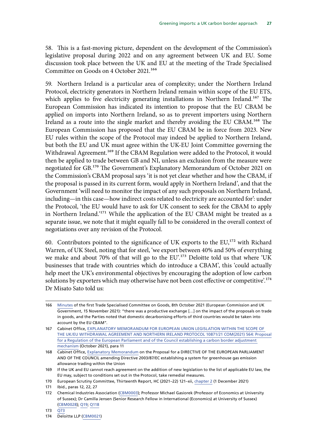58. This is a fast-moving picture, dependent on the development of the Commission's legislative proposal during 2022 and on any agreement between UK and EU. Some discussion took place between the UK and EU at the meeting of the Trade Specialised Committee on Goods on 4 October 2021.<sup>166</sup>

59. Northern Ireland is a particular area of complexity; under the Northern Ireland Protocol, electricity generators in Northern Ireland remain within scope of the EU ETS, which applies to five electricity generating installations in Northern Ireland.<sup>167</sup> The European Commission has indicated its intention to propose that the EU CBAM be applied on imports into Northern Ireland, so as to prevent importers using Northern Ireland as a route into the single market and thereby avoiding the EU CBAM.168 The European Commission has proposed that the EU CBAM be in force from 2023. New EU rules within the scope of the Protocol may indeed be applied to Northern Ireland, but both the EU and UK must agree within the UK-EU Joint Committee governing the Withdrawal Agreement.<sup>169</sup> If the CBAM Regulation were added to the Protocol, it would then be applied to trade between GB and NI, unless an exclusion from the measure were negotiated for GB.170 The Government's Explanatory Memorandum of October 2021 on the Commission's CBAM proposal says 'it is not yet clear whether and how the CBAM, if the proposal is passed in its current form, would apply in Northern Ireland', and that the Government 'will need to monitor the impact of any such proposals on Northern Ireland, including—in this case—how indirect costs related to electricity are accounted for': under the Protocol, 'the EU would have to ask for UK consent to seek for the CBAM to apply in Northern Ireland.'171 While the application of the EU CBAM might be treated as a separate issue, we note that it might equally fall to be considered in the overall context of negotiations over any revision of the Protocol.

60. Contributors pointed to the significance of UK exports to the  $EU$ ,<sup>172</sup> with Richard Warren, of UK Steel, noting that for steel, 'we export between 40% and 50% of everything we make and about 70% of that will go to the EU'.<sup>173</sup> Deloitte told us that where 'UK businesses that trade with countries which do introduce a CBAM', this 'could actually help meet the UK's environmental objectives by encouraging the adoption of low carbon solutions by exporters which may otherwise have not been cost effective or competitive'.<sup>174</sup> Dr Misato Sato told us:

<sup>166</sup> [Minutes](https://ec.europa.eu/info/sites/default/files/minutes_-_first_meeting_of_tsc_on_goods.pdf) of the first Trade Specialised Committee on Goods, 8th October 2021 (European Commission and UK Government, 15 November 2021): "there was a productive exchange […] on the impact of the proposals on trade in goods, and the Parties noted that domestic decarbonising efforts of third countries would be taken into account by the EU CBAM".

<sup>167</sup> Cabinet Office, [EXPLANATORY MEMORANDUM FOR EUROPEAN UNION LEGISLATION WITHIN THE SCOPE OF](https://europeanmemoranda.cabinetoffice.gov.uk/files/2021/10/2021-10-25_Explanatory_Memorandum_EU_CBAM_final.pdf)  [THE UK/EU WITHDRAWAL AGREEMENT AND NORTHERN IRELAND PROTOCOL 10871/21 COM\(2021\) 564: Proposal](https://europeanmemoranda.cabinetoffice.gov.uk/files/2021/10/2021-10-25_Explanatory_Memorandum_EU_CBAM_final.pdf) [for a Regulation of the European Parliament and of the Council establishing a carbon border adjustment](https://europeanmemoranda.cabinetoffice.gov.uk/files/2021/10/2021-10-25_Explanatory_Memorandum_EU_CBAM_final.pdf)  [mechanism](https://europeanmemoranda.cabinetoffice.gov.uk/files/2021/10/2021-10-25_Explanatory_Memorandum_EU_CBAM_final.pdf) (October 2021), para 11

<sup>168</sup> Cabinet Office, [Explanatory Memorandum](https://europeanmemoranda.cabinetoffice.gov.uk/files/2021/08/EM_10875.21_.pdf) on the Proposal for a DIRECTIVE OF THE EUROPEAN PARLIAMENT AND OF THE COUNCIL amending Directive 2003/87/EC establishing a system for greenhouse gas emission allowance trading within the Union

<sup>169</sup> If the UK and EU cannot reach agreement on the addition of new legislation to the list of applicable EU law, the EU may, subject to conditions set out in the Protocol, take remedial measures.

<sup>170</sup> European Scrutiny Committee, Thirteenth Report, HC (2021–22) 121–xii, chapter 2 (1 December 2021)

<sup>171</sup> Ibid., paras 12, 22, 27

<sup>172</sup> Chemical Industries Association ([CBM0003\)](https://committees.parliament.uk/writtenevidence/40294/html/); Professor Michael Gasiorek (Professor of Economics at University of Sussex); Dr Camilla Jensen (Senior Research Fellow in International (Economics) at University of Sussex) [\(CBM0028](https://committees.parliament.uk/writtenevidence/40914/html/)); [Q19;](https://committees.parliament.uk/oralevidence/3092/html/) [Q118](https://committees.parliament.uk/oralevidence/3179/html/)

<sup>173</sup> [Q73](https://committees.parliament.uk/oralevidence/3179/html/)

<sup>174</sup> Deloitte LLP ([CBM0021\)](https://committees.parliament.uk/writtenevidence/40351/html/)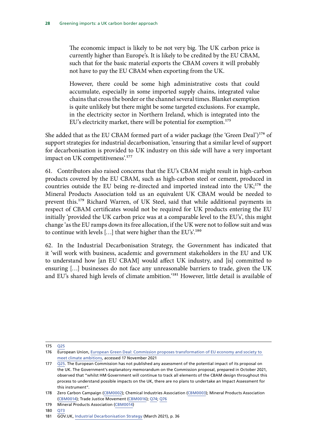The economic impact is likely to be not very big. The UK carbon price is currently higher than Europe's. It is likely to be credited by the EU CBAM, such that for the basic material exports the CBAM covers it will probably not have to pay the EU CBAM when exporting from the UK.

However, there could be some high administrative costs that could accumulate, especially in some imported supply chains, integrated value chains that cross the border or the channel several times. Blanket exemption is quite unlikely but there might be some targeted exclusions. For example, in the electricity sector in Northern Ireland, which is integrated into the EU's electricity market, there will be potential for exemption.<sup>175</sup>

She added that as the EU CBAM formed part of a wider package (the 'Green Deal')<sup>176</sup> of support strategies for industrial decarbonisation, 'ensuring that a similar level of support for decarbonisation is provided to UK industry on this side will have a very important impact on UK competitiveness'.177

61. Contributors also raised concerns that the EU's CBAM might result in high-carbon products covered by the EU CBAM, such as high-carbon steel or cement, produced in countries outside the EU being re-directed and imported instead into the  $UK<sub>i</sub><sup>178</sup>$  the Mineral Products Association told us an equivalent UK CBAM would be needed to prevent this.179 Richard Warren, of UK Steel, said that while additional payments in respect of CBAM certificates would not be required for UK products entering the EU initially 'provided the UK carbon price was at a comparable level to the EU's', this might change 'as the EU ramps down its free allocation, if the UK were not to follow suit and was to continue with levels  $[...]$  that were higher than the EU's'.<sup>180</sup>

62. In the Industrial Decarbonisation Strategy, the Government has indicated that it 'will work with business, academic and government stakeholders in the EU and UK to understand how [an EU CBAM] would affect UK industry, and [is] committed to ensuring […] businesses do not face any unreasonable barriers to trade, given the UK and EU's shared high levels of climate ambition.'181 However, little detail is available of

<sup>175</sup> [Q25](https://committees.parliament.uk/oralevidence/3092/html/)

<sup>176</sup> European Union, [European Green Deal: Commission proposes transformation of EU economy and society to](https://ec.europa.eu/commission/presscorner/detail/en/ip_21_3541)  [meet climate ambitions,](https://ec.europa.eu/commission/presscorner/detail/en/ip_21_3541) accessed 17 November 2021

<sup>177</sup> [Q25.](https://committees.parliament.uk/oralevidence/3092/html/) The European Commission has not published any assessment of the potential impact of its proposal on the UK. The Government's explanatory memorandum on the Commission proposal, prepared in October 2021, observed that "whilst HM Government will continue to track all elements of the CBAM design throughout this process to understand possible impacts on the UK, there are no plans to undertake an Impact Assessment for this instrument".

<sup>178</sup> Zero Carbon Campaign ([CBM0002\)](https://committees.parliament.uk/writtenevidence/40278/html/); Chemical Industries Association ([CBM0003\)](https://committees.parliament.uk/writtenevidence/40294/html/); Mineral Products Association [\(CBM0014\)](https://committees.parliament.uk/writtenevidence/40333/html/); Trade Justice Movement [\(CBM0016\)](https://committees.parliament.uk/writtenevidence/40338/html/); [Q74](https://committees.parliament.uk/oralevidence/3179/html/); [Q76](https://committees.parliament.uk/oralevidence/3179/html/)

<sup>179</sup> Mineral Products Association [\(CBM0014\)](https://committees.parliament.uk/writtenevidence/40333/html/)

<sup>180</sup> [Q73](https://committees.parliament.uk/oralevidence/3179/html/)

<sup>181</sup> GOV.UK, [Industrial Decarbonisation Strategy](https://assets.publishing.service.gov.uk/government/uploads/system/uploads/attachment_data/file/970229/Industrial_Decarbonisation_Strategy_March_2021.pdf) (March 2021), p. 36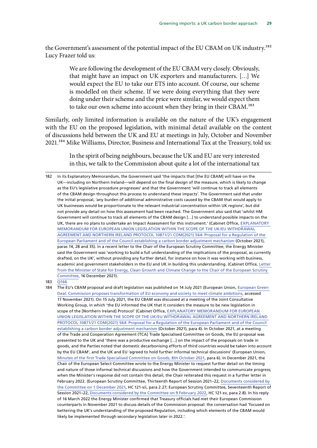the Government's assessment of the potential impact of the EU CBAM on UK industry.<sup>182</sup> Lucy Frazer told us:

> We are following the development of the EU CBAM very closely. Obviously, that might have an impact on UK exporters and manufacturers. […] We would expect the EU to take our ETS into account. Of course, our scheme is modelled on their scheme. If we were doing everything that they were doing under their scheme and the price were similar, we would expect them to take our own scheme into account when they bring in their CBAM.183

Similarly, only limited information is available on the nature of the UK's engagement with the EU on the proposed legislation, with minimal detail available on the content of discussions held between the UK and EU at meetings in July, October and November 2021.184 Mike Williams, Director, Business and International Tax at the Treasury, told us:

> In the spirit of being neighbours, because the UK and EU are very interested in this, we talk to the Commission about quite a lot of the international tax

<sup>182</sup> In its Explanatory Memorandum, the Government said 'the impacts that [the EU CBAM] will have on the UK—including on Northern Ireland—will depend on the final design of the measure, which is likely to change as the EU's legislative procedure progresses' and that the Government 'will continue to track all elements of the CBAM design throughout this process to understand these impacts'. The Government said that under the initial proposal, 'any burden of additional administrative costs caused by the CBAM that would apply to UK businesses would be proportionate to the relevant industrial concentration within UK regions', but did not provide any detail on how this assessment had been reached. The Government also said that 'whilst HM Government will continue to track all elements of the CBAM design […] to understand possible impacts on the UK, there are no plans to undertake an Impact Assessment for this instrument.' (Cabinet Office, [EXPLANATORY](https://europeanmemoranda.cabinetoffice.gov.uk/files/2021/10/2021-10-25_Explanatory_Memorandum_EU_CBAM_final.pdf)  [MEMORANDUM FOR EUROPEAN UNION LEGISLATION WITHIN THE SCOPE OF THE UK/EU WITHDRAWAL](https://europeanmemoranda.cabinetoffice.gov.uk/files/2021/10/2021-10-25_Explanatory_Memorandum_EU_CBAM_final.pdf)  [AGREEMENT AND NORTHERN IRELAND PROTOCOL 10871/21 COM\(2021\) 564: Proposal for a Regulation of the](https://europeanmemoranda.cabinetoffice.gov.uk/files/2021/10/2021-10-25_Explanatory_Memorandum_EU_CBAM_final.pdf)  [European Parliament and of the Council establishing a carbon border adjustment mechanism](https://europeanmemoranda.cabinetoffice.gov.uk/files/2021/10/2021-10-25_Explanatory_Memorandum_EU_CBAM_final.pdf) (October 2021), paras 14, 28 and 35). In a recent letter to the Chair of the European Scrutiny Committee, the Energy Minister said the Government was 'working to build a full understanding of the implications of the proposal, as currently drafted, on the UK', without providing any further detail, for instance on how it was working with business, academic and government stakeholders in the EU and UK in building this understanding. (Cabinet Office, [Letter](https://europeanmemoranda.cabinetoffice.gov.uk/files/2022/01/Response_to_Sir_Cash_CBAM_EM_16.12_.21_.pdf)  [from the Minister of State for Energy, Clean Growth and Climate Change to the Chair of the European Scrutiny](https://europeanmemoranda.cabinetoffice.gov.uk/files/2022/01/Response_to_Sir_Cash_CBAM_EM_16.12_.21_.pdf)  [Committee,](https://europeanmemoranda.cabinetoffice.gov.uk/files/2022/01/Response_to_Sir_Cash_CBAM_EM_16.12_.21_.pdf) 16 December 2021).

<sup>183</sup> [Q166](https://committees.parliament.uk/oralevidence/3460/html/)

<sup>184</sup> The EU's CBAM proposal and draft legislation was published on 14 July 2021 (European Union, [European Green](https://ec.europa.eu/commission/presscorner/detail/en/ip_21_3541)  [Deal: Commission proposes transformation of EU economy and society to meet climate ambitions](https://ec.europa.eu/commission/presscorner/detail/en/ip_21_3541), accessed 17 November 2021). On 15 July 2021, the EU CBAM was discussed at a meeting of the Joint Consultative Working Group, in which 'the EU informed the UK that it considers the measure to be new legislation in scope of the [Northern Ireland] Protocol' (Cabinet Office, [EXPLANATORY MEMORANDUM FOR EUROPEAN](https://europeanmemoranda.cabinetoffice.gov.uk/files/2021/10/2021-10-25_Explanatory_Memorandum_EU_CBAM_final.pdf)  [UNION LEGISLATION WITHIN THE SCOPE OF THE UK/EU WITHDRAWAL AGREEMENT AND NORTHERN IRELAND](https://europeanmemoranda.cabinetoffice.gov.uk/files/2021/10/2021-10-25_Explanatory_Memorandum_EU_CBAM_final.pdf)  [PROTOCOL 10871/21 COM\(2021\) 564: Proposal for a Regulation of the European Parliament and of the Council](https://europeanmemoranda.cabinetoffice.gov.uk/files/2021/10/2021-10-25_Explanatory_Memorandum_EU_CBAM_final.pdf)  [establishing a carbon border adjustment mechanism](https://europeanmemoranda.cabinetoffice.gov.uk/files/2021/10/2021-10-25_Explanatory_Memorandum_EU_CBAM_final.pdf) (October 2021), para 4). In October 2021, at a meeting of the Trade and Cooperation Agreement (TCA) Trade Specialised Committee on Goods, the EU proposal was presented to the UK and 'there was a productive exchange […] on the impact of the proposals on trade in goods, and the Parties noted that domestic decarbonising efforts of third countries would be taken into account by the EU CBAM', and the UK and EU 'agreed to hold further informal technical discussions' (European Union, [Minutes of the first Trade Specialised Committee on Goods, 8th October 2021,](https://ec.europa.eu/info/sites/default/files/minutes_-_first_meeting_of_tsc_on_goods.pdf) para 6). In December 2021, the Chair of the European Select Committee wrote to the Energy Minister to request further detail on the timing and nature of those informal technical discussions and how the Government intended to communicate progress; when the Minister's response did not contain this detail, the Chair reiterated this request in a further letter in February 2022. (European Scrutiny Committee, Thirteenth Report of Session 2021–22, [Documents considered by](https://committees.parliament.uk/publications/8107/documents/83272/default/)  [the Committee on 1 December 2021](https://committees.parliament.uk/publications/8107/documents/83272/default/), HC 121-xii, para 2.27; European Scrutiny Committee, Seventeenth Report of Session 2021–22, [Documents considered by the Committee on 9 February 2022,](https://committees.parliament.uk/publications/8872/documents/89323/default/) HC 121-xv, para 2.8). In his reply of 16 March 2022 the Energy Minister confirmed that Treasury officials had met their European Commission counterparts in November 2021 to discuss details of the Commission proposal: the conversation had 'focused on bettering the UK's understanding of the proposed Regulation, including which elements of the CBAM would likely be implemented through secondary legislation later in 2022.'.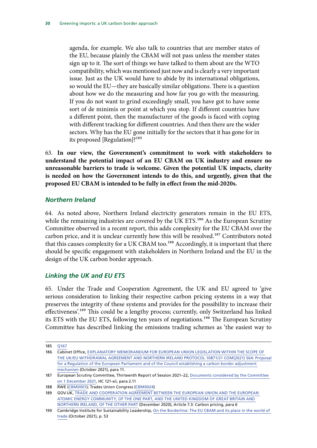<span id="page-33-0"></span>agenda, for example. We also talk to countries that are member states of the EU, because plainly the CBAM will not pass unless the member states sign up to it. The sort of things we have talked to them about are the WTO compatibility, which was mentioned just now and is clearly a very important issue. Just as the UK would have to abide by its international obligations, so would the EU—they are basically similar obligations. There is a question about how we do the measuring and how far you go with the measuring. If you do not want to grind exceedingly small, you have got to have some sort of de minimis or point at which you stop. If different countries have a different point, then the manufacturer of the goods is faced with coping with different tracking for different countries. And then there are the wider sectors. Why has the EU gone initially for the sectors that it has gone for in its proposed [Regulation]?185

63. **In our view, the Government's commitment to work with stakeholders to understand the potential impact of an EU CBAM on UK industry and ensure no unreasonable barriers to trade is welcome. Given the potential UK impacts, clarity is needed on how the Government intends to do this, and urgently, given that the proposed EU CBAM is intended to be fully in effect from the mid-2020s.**

#### *Northern Ireland*

64. As noted above, Northern Ireland electricity generators remain in the EU ETS, while the remaining industries are covered by the UK ETS.<sup>186</sup> As the European Scrutiny Committee observed in a recent report, this adds complexity for the EU CBAM over the carbon price, and it is unclear currently how this will be resolved.<sup>187</sup> Contributors noted that this causes complexity for a UK CBAM too.<sup>188</sup> Accordingly, it is important that there should be specific engagement with stakeholders in Northern Ireland and the EU in the design of the UK carbon border approach.

#### *Linking the UK and EU ETS*

65. Under the Trade and Cooperation Agreement, the UK and EU agreed to 'give serious consideration to linking their respective carbon pricing systems in a way that preserves the integrity of these systems and provides for the possibility to increase their effectiveness'.189 This could be a lengthy process; currently, only Switzerland has linked its ETS with the EU ETS, following ten years of negotiations.<sup>190</sup> The European Scrutiny Committee has described linking the emissions trading schemes as 'the easiest way to

<sup>185</sup> [Q167](https://committees.parliament.uk/oralevidence/3460/html/)

<sup>186</sup> Cabinet Office, [EXPLANATORY MEMORANDUM FOR EUROPEAN UNION LEGISLATION WITHIN THE SCOPE OF](https://europeanmemoranda.cabinetoffice.gov.uk/files/2021/10/2021-10-25_Explanatory_Memorandum_EU_CBAM_final.pdf)  [THE UK/EU WITHDRAWAL AGREEMENT AND NORTHERN IRELAND PROTOCOL 10871/21 COM\(2021\) 564: Proposal](https://europeanmemoranda.cabinetoffice.gov.uk/files/2021/10/2021-10-25_Explanatory_Memorandum_EU_CBAM_final.pdf) [for a Regulation of the European Parliament and of the Council establishing a carbon border adjustment](https://europeanmemoranda.cabinetoffice.gov.uk/files/2021/10/2021-10-25_Explanatory_Memorandum_EU_CBAM_final.pdf)  [mechanism](https://europeanmemoranda.cabinetoffice.gov.uk/files/2021/10/2021-10-25_Explanatory_Memorandum_EU_CBAM_final.pdf) (October 2021), para 11.

<sup>187</sup> European Scrutiny Committee, Thirteenth Report of Session 2021–22, [Documents considered by the Committee](https://committees.parliament.uk/publications/8107/documents/83272/default/)  [on 1 December 2021](https://committees.parliament.uk/publications/8107/documents/83272/default/), HC 121-xii, para 2.11

<sup>188</sup> RWE ([CBM0001](https://committees.parliament.uk/writtenevidence/40167/html/)); Trades Union Congress ([CBM0024](https://committees.parliament.uk/writtenevidence/40441/html/))

<sup>189</sup> GOV.UK, [TRADE AND COOPERATION AGREEMENT BETWEEN THE EUROPEAN UNION AND THE EUROPEAN](https://assets.publishing.service.gov.uk/government/uploads/system/uploads/attachment_data/file/948119/EU-UK_Trade_and_Cooperation_Agreement_24.12.2020.pdf)  [ATOMIC ENERGY COMMUNITY, OF THE ONE PART, AND THE UNITED KINGDOM OF GREAT BRITAIN AND](https://assets.publishing.service.gov.uk/government/uploads/system/uploads/attachment_data/file/948119/EU-UK_Trade_and_Cooperation_Agreement_24.12.2020.pdf)  [NORTHERN IRELAND, OF THE OTHER PART](https://assets.publishing.service.gov.uk/government/uploads/system/uploads/attachment_data/file/948119/EU-UK_Trade_and_Cooperation_Agreement_24.12.2020.pdf) (December 2020), Article 7.3: Carbon pricing, para 6

<sup>190</sup> Cambridge Institute for Sustainability Leadership, [On the Borderline: The EU CBAM and its place in the world of](https://www.cisl.cam.ac.uk/files/cbam_report.pdf)  [trade](https://www.cisl.cam.ac.uk/files/cbam_report.pdf) (October 2021), p. 53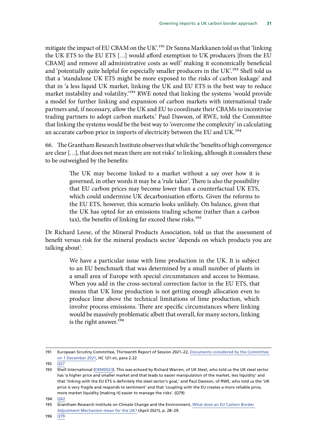mitigate the impact of EU CBAM on the UK'.<sup>191</sup> Dr Sanna Markkanen told us that 'linking the UK ETS to the EU ETS […] would afford exemption to UK producers [from the EU CBAM] and remove all administrative costs as well' making it economically beneficial and 'potentially quite helpful for especially smaller producers in the UK'.<sup>192</sup> Shell told us that a 'standalone UK ETS might be more exposed to the risks of carbon leakage' and that in 'a less liquid UK market, linking the UK and EU ETS is the best way to reduce market instability and volatility.'<sup>193</sup> RWE noted that linking the systems 'would provide a model for further linking and expansion of carbon markets with international trade partners and, if necessary, allow the UK and EU to coordinate their CBAMs to incentivise trading partners to adopt carbon markets.' Paul Dawson, of RWE, told the Committee that linking the systems would be the best way to 'overcome the complexity' in calculating an accurate carbon price in imports of electricity between the EU and UK.<sup>194</sup>

66. The Grantham Research Institute observes that while the 'benefits of high convergence are clear […], that does not mean there are not risks' to linking, although it considers these to be outweighed by the benefits:

> The UK may become linked to a market without a say over how it is governed, in other words it may be a 'rule taker'. There is also the possibility that EU carbon prices may become lower than a counterfactual UK ETS, which could undermine UK decarbonisation efforts. Given the reforms to the EU ETS, however, this scenario looks unlikely. On balance, given that the UK has opted for an emissions trading scheme (rather than a carbon tax), the benefits of linking far exceed these risks.<sup>195</sup>

Dr Richard Leese, of the Mineral Products Association, told us that the assessment of benefit versus risk for the mineral products sector 'depends on which products you are talking about':

> We have a particular issue with lime production in the UK. It is subject to an EU benchmark that was determined by a small number of plants in a small area of Europe with special circumstances and access to biomass. When you add in the cross-sectoral correction factor in the EU ETS, that means that UK lime production is not getting enough allocation even to produce lime above the technical limitations of lime production, which involve process emissions. There are specific circumstances where linking would be massively problematic albeit that overall, for many sectors, linking is the right answer.<sup>196</sup>

<sup>191</sup> European Scrutiny Committee, Thirteenth Report of Session 2021–22, [Documents considered by the Committee](https://committees.parliament.uk/publications/8107/documents/83272/default/)  [on 1 December 2021](https://committees.parliament.uk/publications/8107/documents/83272/default/), HC 121-xii, para 2.22

<sup>192</sup> [Q27](https://committees.parliament.uk/oralevidence/3092/html/)

<sup>193</sup> Shell International [\(CBM0023](https://committees.parliament.uk/writtenevidence/40361/html/)). This was echoed by Richard Warren, of UK Steel, who told us the UK steel sector has 'a higher price and smaller market and that leads to easier manipulation of the market, less liquidity' and that 'linking with the EU ETS is definitely the steel sector's goal,' and Paul Dawson, of RWE, who told us the 'UK price is very fragile and responds to sentiment' and that 'coupling with the EU creates a more reliable price, more market liquidity [making it] easier to manage the risks'. (Q79)

<sup>194</sup> [Q62](https://committees.parliament.uk/oralevidence/3179/html/)

<sup>195</sup> Grantham Research Institute on Climate Change and the Environment, [What does an EU Carbon Border](https://www.lse.ac.uk/granthaminstitute/wp-content/uploads/2021/04/What-does-an-EU-Carbon-Border-Adjustment-Mechanism-mean-for-the-UK_FULL-REPORT.pdf)  [Adjustment Mechanism mean for the UK?](https://www.lse.ac.uk/granthaminstitute/wp-content/uploads/2021/04/What-does-an-EU-Carbon-Border-Adjustment-Mechanism-mean-for-the-UK_FULL-REPORT.pdf) (April 2021), p. 28–29.

<sup>196</sup> [Q79](https://committees.parliament.uk/oralevidence/3179/html/)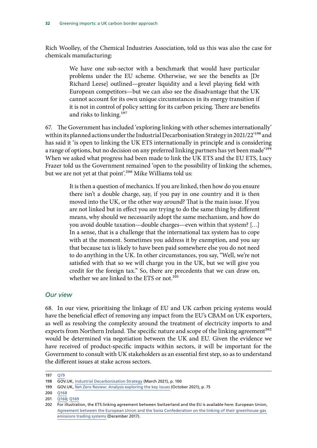Rich Woolley, of the Chemical Industries Association, told us this was also the case for chemicals manufacturing:

> We have one sub-sector with a benchmark that would have particular problems under the EU scheme. Otherwise, we see the benefits as [Dr Richard Leese] outlined—greater liquidity and a level playing field with European competitors—but we can also see the disadvantage that the UK cannot account for its own unique circumstances in its energy transition if it is not in control of policy setting for its carbon pricing. There are benefits and risks to linking.197

67. The Government has included 'exploring linking with other schemes internationally' within its planned actions under the Industrial Decarbonisation Strategy in 2021/22<sup>'198</sup> and has said it 'is open to linking the UK ETS internationally in principle and is considering a range of options, but no decision on any preferred linking partners has yet been made<sup>'199</sup> When we asked what progress had been made to link the UK ETS and the EU ETS, Lucy Frazer told us the Government remained 'open to the possibility of linking the schemes, but we are not yet at that point'.<sup>200</sup> Mike Williams told us:

> It is then a question of mechanics. If you are linked, then how do you ensure there isn't a double charge, say, if you pay in one country and it is then moved into the UK, or the other way around? That is the main issue. If you are not linked but in effect you are trying to do the same thing by different means, why should we necessarily adopt the same mechanism, and how do you avoid double taxation—double charges—even within that system? […] In a sense, that is a challenge that the international tax system has to cope with at the moment. Sometimes you address it by exemption, and you say that because tax is likely to have been paid somewhere else you do not need to do anything in the UK. In other circumstances, you say, "Well, we're not satisfied with that so we will charge you in the UK, but we will give you credit for the foreign tax." So, there are precedents that we can draw on, whether we are linked to the ETS or not.<sup>201</sup>

#### *Our view*

68. In our view, prioritising the linkage of EU and UK carbon pricing systems would have the beneficial effect of removing any impact from the EU's CBAM on UK exporters, as well as resolving the complexity around the treatment of electricity imports to and exports from Northern Ireland. The specific nature and scope of the linking agreement<sup>202</sup> would be determined via negotiation between the UK and EU. Given the evidence we have received of product-specific impacts within sectors, it will be important for the Government to consult with UK stakeholders as an essential first step, so as to understand the different issues at stake across sectors.

<sup>197</sup> O79

<sup>198</sup> GOV.UK, [Industrial Decarbonisation Strategy](https://assets.publishing.service.gov.uk/government/uploads/system/uploads/attachment_data/file/970229/Industrial_Decarbonisation_Strategy_March_2021.pdf) (March 2021), p. 100

<sup>199</sup> GOV.UK, [Net Zero Review: Analysis exploring the key issues](https://assets.publishing.service.gov.uk/government/uploads/system/uploads/attachment_data/file/1026725/NZR_-_Final_Report_-_Published_version.pdf) (October 2021), p. 75

<sup>200</sup> [Q168](https://committees.parliament.uk/oralevidence/3460/html/)

<sup>201</sup> [Q168](https://committees.parliament.uk/oralevidence/3460/html/); [Q169](https://committees.parliament.uk/oralevidence/3460/html/)

<sup>202</sup> For illustration, the ETS linking agreement between Switzerland and the EU is available here: European Union, [Agreement between the European Union and the Swiss Confederation on the linking of their greenhouse gas](https://eur-lex.europa.eu/legal-content/EN/TXT/?uri=uriserv:OJ.L_.2017.322.01.0003.01.ENG&toc=OJ:L:2017:322:TOC)  [emissions trading systems](https://eur-lex.europa.eu/legal-content/EN/TXT/?uri=uriserv:OJ.L_.2017.322.01.0003.01.ENG&toc=OJ:L:2017:322:TOC) (December 2017).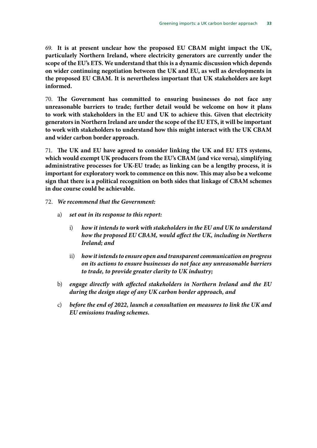69. **It is at present unclear how the proposed EU CBAM might impact the UK, particularly Northern Ireland, where electricity generators are currently under the scope of the EU's ETS. We understand that this is a dynamic discussion which depends on wider continuing negotiation between the UK and EU, as well as developments in the proposed EU CBAM. It is nevertheless important that UK stakeholders are kept informed.**

70. **The Government has committed to ensuring businesses do not face any unreasonable barriers to trade; further detail would be welcome on how it plans to work with stakeholders in the EU and UK to achieve this. Given that electricity generators in Northern Ireland are under the scope of the EU ETS, it will be important to work with stakeholders to understand how this might interact with the UK CBAM and wider carbon border approach.**

71. **The UK and EU have agreed to consider linking the UK and EU ETS systems, which would exempt UK producers from the EU's CBAM (and vice versa), simplifying administrative processes for UK-EU trade; as linking can be a lengthy process, it is important for exploratory work to commence on this now. This may also be a welcome sign that there is a political recognition on both sides that linkage of CBAM schemes in due course could be achievable.**

- 72. *We recommend that the Government:*
	- a) *set out in its response to this report:*
		- i) *how it intends to work with stakeholders in the EU and UK to understand how the proposed EU CBAM, would affect the UK, including in Northern Ireland; and*
		- ii) *how it intends to ensure open and transparent communication on progress on its actions to ensure businesses do not face any unreasonable barriers to trade, to provide greater clarity to UK industry;*
	- b) *engage directly with affected stakeholders in Northern Ireland and the EU during the design stage of any UK carbon border approach, and*
	- c) *before the end of 2022, launch a consultation on measures to link the UK and EU emissions trading schemes.*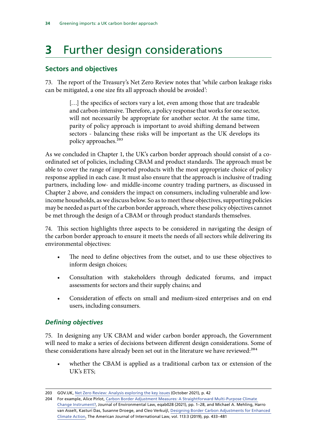# <span id="page-37-0"></span>**3** Further design considerations

#### **Sectors and objectives**

73. The report of the Treasury's Net Zero Review notes that 'while carbon leakage risks can be mitigated, a one size fits all approach should be avoided':

> [...] the specifics of sectors vary a lot, even among those that are tradeable and carbon-intensive. Therefore, a policy response that works for one sector, will not necessarily be appropriate for another sector. At the same time, parity of policy approach is important to avoid shifting demand between sectors - balancing these risks will be important as the UK develops its policy approaches.203

As we concluded in Chapter 1, the UK's carbon border approach should consist of a coordinated set of policies, including CBAM and product standards. The approach must be able to cover the range of imported products with the most appropriate choice of policy response applied in each case. It must also ensure that the approach is inclusive of trading partners, including low- and middle-income country trading partners, as discussed in Chapter 2 above, and considers the impact on consumers, including vulnerable and lowincome households, as we discuss below. So as to meet these objectives, supporting policies may be needed as part of the carbon border approach, where these policy objectives cannot be met through the design of a CBAM or through product standards themselves.

74. This section highlights three aspects to be considered in navigating the design of the carbon border approach to ensure it meets the needs of all sectors while delivering its environmental objectives:

- The need to define objectives from the outset, and to use these objectives to inform design choices;
- Consultation with stakeholders through dedicated forums, and impact assessments for sectors and their supply chains; and
- Consideration of effects on small and medium-sized enterprises and on end users, including consumers.

#### *Defining objectives*

75. In designing any UK CBAM and wider carbon border approach, the Government will need to make a series of decisions between different design considerations. Some of these considerations have already been set out in the literature we have reviewed:<sup>204</sup>

• whether the CBAM is applied as a traditional carbon tax or extension of the UK's ETS;

<sup>203</sup> GOV.UK, [Net Zero Review: Analysis exploring the key issues](https://assets.publishing.service.gov.uk/government/uploads/system/uploads/attachment_data/file/1026725/NZR_-_Final_Report_-_Published_version.pdf) (October 2021), p. 42

<sup>204</sup> For example, Alice Pirlot, Carbon Border Adjustment Measures: A Straightforward Multi-Purpose Climate [Change Instrument?](https://academic.oup.com/jel/advance-article/doi/10.1093/jel/eqab028/6423116?login=true), Journal of Environmental Law, eqab028 (2021), pp. 1–28, and Michael A. Mehling, Harro van Asselt, Kasturi Das, Susanne Droege, and Cleo Verkuijl, [Designing Border Carbon Adjustments for Enhanced](https://www.cambridge.org/core/journals/american-journal-of-international-law/article/designing-border-carbon-adjustments-for-enhanced-climate-action/BF4266550F09E5E4A7479E09C047B984)  [Climate Action,](https://www.cambridge.org/core/journals/american-journal-of-international-law/article/designing-border-carbon-adjustments-for-enhanced-climate-action/BF4266550F09E5E4A7479E09C047B984) The American Journal of International Law, vol. 113:3 (2019), pp. 433–481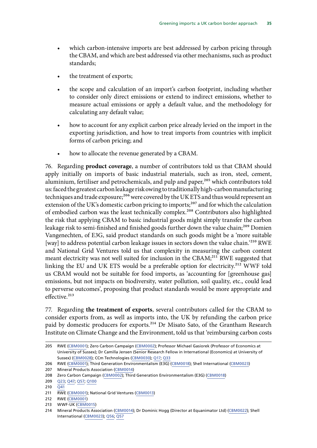- which carbon-intensive imports are best addressed by carbon pricing through the CBAM, and which are best addressed via other mechanisms, such as product standards;
- the treatment of exports;
- the scope and calculation of an import's carbon footprint, including whether to consider only direct emissions or extend to indirect emissions, whether to measure actual emissions or apply a default value, and the methodology for calculating any default value;
- how to account for any explicit carbon price already levied on the import in the exporting jurisdiction, and how to treat imports from countries with implicit forms of carbon pricing; and
- how to allocate the revenue generated by a CBAM.

76. Regarding **product coverage**, a number of contributors told us that CBAM should apply initially on imports of basic industrial materials, such as iron, steel, cement, aluminium, fertiliser and petrochemicals, and pulp and paper,<sup>205</sup> which contributors told us: faced the greatest carbon leakage risk owing to traditionally high-carbon manufacturing techniques and trade exposure;<sup>206</sup> were covered by the UK ETS and thus would represent an extension of the UK's domestic carbon pricing to imports;<sup>207</sup> and for which the calculation of embodied carbon was the least technically complex.<sup>208</sup> Contributors also highlighted the risk that applying CBAM to basic industrial goods might simply transfer the carbon leakage risk to semi-finished and finished goods further down the value chain;<sup>209</sup> Domien Vangenechten, of E3G, said product standards on such goods might be a 'more suitable [way] to address potential carbon leakage issues in sectors down the value chain.'<sup>210</sup> RWE and National Grid Ventures told us that complexity in measuring the carbon content meant electricity was not well suited for inclusion in the CBAM;<sup>211</sup> RWE suggested that linking the EU and UK ETS would be a preferable option for electricity.<sup>212</sup> WWF told us CBAM would not be suitable for food imports, as 'accounting for [greenhouse gas] emissions, but not impacts on biodiversity, water pollution, soil quality, etc., could lead to perverse outcomes', proposing that product standards would be more appropriate and effective.<sup>213</sup>

77. Regarding **the treatment of exports**, several contributors called for the CBAM to consider exports from, as well as imports into, the UK by refunding the carbon price paid by domestic producers for exports.<sup>214</sup> Dr Misato Sato, of the Grantham Research Institute on Climate Change and the Environment, told us that 'reimbursing carbon costs

206 RWE ([CBM0001](https://committees.parliament.uk/writtenevidence/40167/html/)); Third Generation Environmentalism (E3G) [\(CBM0018](https://committees.parliament.uk/writtenevidence/40347/html/)); Shell International [\(CBM0023](https://committees.parliament.uk/writtenevidence/40361/html/))

207 Mineral Products Association [\(CBM0014\)](https://committees.parliament.uk/writtenevidence/40333/html/)

213 WWF-UK [\(CBM0015\)](https://committees.parliament.uk/writtenevidence/40337/html/)

<sup>205</sup> RWE ([CBM0001](https://committees.parliament.uk/writtenevidence/40167/html/)); Zero Carbon Campaign [\(CBM0002](https://committees.parliament.uk/writtenevidence/40278/html/)); Professor Michael Gasiorek (Professor of Economics at University of Sussex); Dr Camilla Jensen (Senior Research Fellow in International (Economics) at University of Sussex) ([CBM0028\)](https://committees.parliament.uk/writtenevidence/40914/html/); CCm Technologies ([CBM0030\)](https://committees.parliament.uk/writtenevidence/41310/html/); [Q17; Q33](https://committees.parliament.uk/oralevidence/3092/html/)

<sup>208</sup> Zero Carbon Campaign ([CBM0002\)](https://committees.parliament.uk/writtenevidence/40278/html/); Third Generation Environmentalism (E3G) [\(CBM0018\)](https://committees.parliament.uk/writtenevidence/40347/html/)

<sup>209</sup> [Q23; Q47](https://committees.parliament.uk/oralevidence/3092/html/); [Q57;](https://committees.parliament.uk/oralevidence/3179/html/) [Q100](https://committees.parliament.uk/oralevidence/3179/html/)

<sup>210</sup>  $\overline{Q41}$  $\overline{Q41}$  $\overline{Q41}$ 

<sup>211</sup> RWE ([CBM0001](https://committees.parliament.uk/writtenevidence/40167/html/)); National Grid Ventures ([CBM0013\)](https://committees.parliament.uk/writtenevidence/40332/html/)

<sup>212</sup> RWE ([CBM0001](https://committees.parliament.uk/writtenevidence/40167/html/))

<sup>214</sup> Mineral Products Association [\(CBM0014\)](https://committees.parliament.uk/writtenevidence/40333/html/); Dr Dominic Hogg (Director at Equanimator Ltd) ([CBM0022\)](https://committees.parliament.uk/writtenevidence/40360/html/); Shell International [\(CBM0023](https://committees.parliament.uk/writtenevidence/40361/html/)); [Q56](https://committees.parliament.uk/oralevidence/3179/html/); [Q57](https://committees.parliament.uk/oralevidence/3179/html/)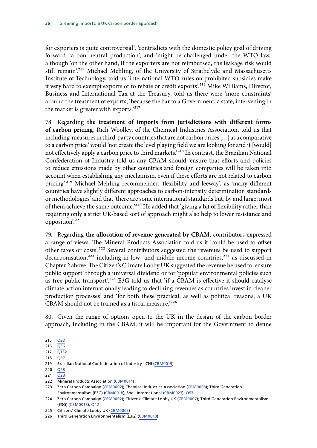for exporters is quite controversial', 'contradicts with the domestic policy goal of driving forward carbon neutral production', and 'might be challenged under the WTO law,' although 'on the other hand, if the exporters are not reimbursed, the leakage risk would still remain'.215 Michael Mehling, of the University of Strathclyde and Massachusetts Institute of Technology, told us 'international WTO rules on prohibited subsidies make it very hard to exempt exports or to rebate or credit exports'.216 Mike Williams, Director, Business and International Tax at the Treasury, told us there were 'more constraints' around the treatment of exports, 'because the bar to a Government, a state, intervening in the market is greater with exports.'217

78. Regarding **the treatment of imports from jurisdictions with different forms of carbon pricing**, Rich Woolley, of the Chemical Industries Association, told us that including 'measures in third-party countries that are not carbon prices […] as a comparative to a carbon price' would 'not create the level playing field we are looking for and it [would] not effectively apply a carbon price to third markets.'218 In contrast, the Brazilian National Confederation of Industry told us any CBAM should 'ensure that efforts and policies to reduce emissions made by other countries and foreign companies will be taken into account when establishing any mechanism, even if these efforts are not related to carbon pricing'.219 Michael Mehling recommended 'flexibility and leeway', as 'many different countries have slightly different approaches to carbon-intensity determination standards or methodologies' and that 'there are some international standards but, by and large, most of them achieve the same outcome.<sup>'220</sup> He added that 'giving a bit of flexibility rather than requiring only a strict UK-based sort of approach might also help to lower resistance and opposition'.221

79. Regarding **the allocation of revenue generated by CBAM**, contributors expressed a range of views. The Mineral Products Association told us it 'could be used to offset other taxes or costs'.222 Several contributors suggested the revenues be used to support decarbonisation,<sup>223</sup> including in low- and middle-income countries,<sup>224</sup> as discussed in Chapter 2 above. The Citizen's Climate Lobby UK suggested the revenue be used to 'ensure public support' through a universal dividend or for 'popular environmental policies such as free public transport'.<sup>225</sup> E3G told us that 'if a CBAM is effective it should catalyse climate action internationally leading to declining revenues as countries invest in cleaner production processes' and 'for both these practical, as well as political reasons, a UK CBAM should not be framed as a fiscal measure.'226

80. Given the range of options open to the UK in the design of the carbon border approach, including in the CBAM, it will be important for the Government to define

<sup>215</sup> [Q23](https://committees.parliament.uk/oralevidence/3092/html/)

<sup>216</sup> [Q36](https://committees.parliament.uk/oralevidence/3092/html/)

<sup>217</sup> [Q152](https://committees.parliament.uk/oralevidence/3460/html/) 218 [Q57](https://committees.parliament.uk/oralevidence/3179/html/)

<sup>219</sup> Brazilian National Confederation of Industry - CNI [\(CBM0019\)](https://committees.parliament.uk/writtenevidence/40348/html/)

<sup>220</sup> [Q28](https://committees.parliament.uk/oralevidence/3092/html/)

<sup>221</sup> [Q28](https://committees.parliament.uk/oralevidence/3092/html/)

<sup>222</sup> Mineral Products Association [\(CBM0014\)](https://committees.parliament.uk/writtenevidence/40333/html/)

<sup>223</sup> Zero Carbon Campaign ([CBM0002\)](https://committees.parliament.uk/writtenevidence/40278/html/); Chemical Industries Association ([CBM0003\)](https://committees.parliament.uk/writtenevidence/40294/html/); Third Generation Environmentalism (E3G) ([CBM0018](https://committees.parliament.uk/writtenevidence/40347/html/)); Shell International ([CBM0023](https://committees.parliament.uk/writtenevidence/40361/html/)); [Q57](https://committees.parliament.uk/oralevidence/3179/html/)

<sup>224</sup> Zero Carbon Campaign ([CBM0002\)](https://committees.parliament.uk/writtenevidence/40278/html/); Citizens' Climate Lobby UK ([CBM0007\)](https://committees.parliament.uk/writtenevidence/40304/html/); Third Generation Environmentalism (E3G) [\(CBM0018\)](https://committees.parliament.uk/writtenevidence/40347/html/); [Q42](https://committees.parliament.uk/oralevidence/3092/html/)

<sup>225</sup> Citizens' Climate Lobby UK ([CBM0007\)](https://committees.parliament.uk/writtenevidence/40304/html/)

<sup>226</sup> Third Generation Environmentalism (E3G) [\(CBM0018\)](https://committees.parliament.uk/writtenevidence/40347/html/)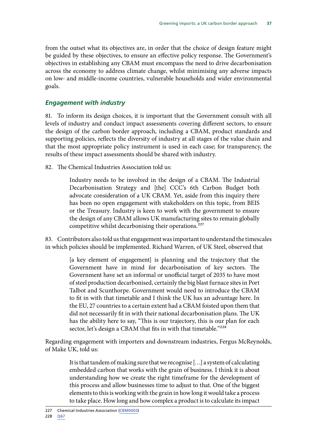<span id="page-40-0"></span>from the outset what its objectives are, in order that the choice of design feature might be guided by these objectives, to ensure an effective policy response. The Government's objectives in establishing any CBAM must encompass the need to drive decarbonisation across the economy to address climate change, whilst minimising any adverse impacts on low- and middle-income countries, vulnerable households and wider environmental goals.

#### *Engagement with industry*

81. To inform its design choices, it is important that the Government consult with all levels of industry and conduct impact assessments covering different sectors, to ensure the design of the carbon border approach, including a CBAM, product standards and supporting policies, reflects the diversity of industry at all stages of the value chain and that the most appropriate policy instrument is used in each case; for transparency, the results of these impact assessments should be shared with industry.

82. The Chemical Industries Association told us:

Industry needs to be involved in the design of a CBAM. The Industrial Decarbonisation Strategy and [the] CCC's 6th Carbon Budget both advocate consideration of a UK CBAM. Yet, aside from this inquiry there has been no open engagement with stakeholders on this topic, from BEIS or the Treasury. Industry is keen to work with the government to ensure the design of any CBAM allows UK manufacturing sites to remain globally competitive whilst decarbonising their operations.<sup>227</sup>

83. Contributors also told us that engagement was important to understand the timescales in which policies should be implemented. Richard Warren, of UK Steel, observed that

> [a key element of engagement] is planning and the trajectory that the Government have in mind for decarbonisation of key sectors. The Government have set an informal or unofficial target of 2035 to have most of steel production decarbonised, certainly the big blast furnace sites in Port Talbot and Scunthorpe. Government would need to introduce the CBAM to fit in with that timetable and I think the UK has an advantage here. In the EU, 27 countries to a certain extent had a CBAM foisted upon them that did not necessarily fit in with their national decarbonisation plans. The UK has the ability here to say, "This is our trajectory, this is our plan for each sector, let's design a CBAM that fits in with that timetable."<sup>228</sup>

Regarding engagement with importers and downstream industries, Fergus McReynolds, of Make UK, told us:

> It is that tandem of making sure that we recognise […] a system of calculating embedded carbon that works with the grain of business. I think it is about understanding how we create the right timeframe for the development of this process and allow businesses time to adjust to that. One of the biggest elements to this is working with the grain in how long it would take a process to take place. How long and how complex a product is to calculate its impact

<sup>227</sup> Chemical Industries Association ([CBM0003\)](https://committees.parliament.uk/writtenevidence/40294/html/) 228 [Q67](https://committees.parliament.uk/oralevidence/3179/html/)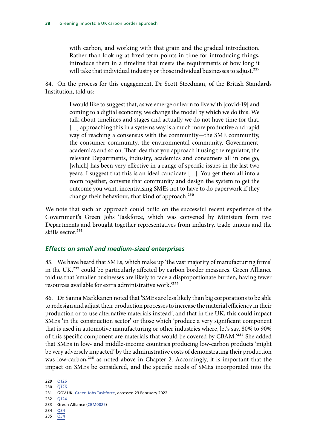<span id="page-41-0"></span>with carbon, and working with that grain and the gradual introduction. Rather than looking at fixed term points in time for introducing things, introduce them in a timeline that meets the requirements of how long it will take that individual industry or those individual businesses to adjust.<sup>229</sup>

84. On the process for this engagement, Dr Scott Steedman, of the British Standards Institution, told us:

> I would like to suggest that, as we emerge or learn to live with [covid-19] and coming to a digital economy, we change the model by which we do this. We talk about timelines and stages and actually we do not have time for that. [...] approaching this in a systems way is a much more productive and rapid way of reaching a consensus with the community—the SME community, the consumer community, the environmental community, Government, academics and so on. That idea that you approach it using the regulator, the relevant Departments, industry, academics and consumers all in one go, [which] has been very effective in a range of specific issues in the last two years. I suggest that this is an ideal candidate […]. You get them all into a room together, convene that community and design the system to get the outcome you want, incentivising SMEs not to have to do paperwork if they change their behaviour, that kind of approach.<sup>230</sup>

We note that such an approach could build on the successful recent experience of the Government's Green Jobs Taskforce, which was convened by Ministers from two Departments and brought together representatives from industry, trade unions and the skills sector.<sup>231</sup>

#### *Effects on small and medium-sized enterprises*

85. We have heard that SMEs, which make up 'the vast majority of manufacturing firms' in the UK,<sup>232</sup> could be particularly affected by carbon border measures. Green Alliance told us that 'smaller businesses are likely to face a disproportionate burden, having fewer resources available for extra administrative work.'233

86. Dr Sanna Markkanen noted that 'SMEs are less likely than big corporations to be able to redesign and adjust their production processes to increase the material efficiency in their production or to use alternative materials instead', and that in the UK, this could impact SMEs 'in the construction sector' or those which 'produce a very significant component that is used in automotive manufacturing or other industries where, let's say, 80% to 90% of this specific component are materials that would be covered by CBAM.'234 She added that SMEs in low- and middle-income countries producing low-carbon products 'might be very adversely impacted' by the administrative costs of demonstrating their production was low-carbon,<sup>235</sup> as noted above in Chapter 2. Accordingly, it is important that the impact on SMEs be considered, and the specific needs of SMEs incorporated into the

- 234 [Q34](https://committees.parliament.uk/oralevidence/3092/html/)
- 235 [Q34](https://committees.parliament.uk/oralevidence/3092/html/)

<sup>229</sup> [Q126](https://committees.parliament.uk/oralevidence/3179/html/)

<sup>230</sup> [Q126](https://committees.parliament.uk/oralevidence/3179/html/)

<sup>231</sup> GOV.UK, [Green Jobs Taskforce](https://www.gov.uk/government/groups/green-jobs-taskforce), accessed 23 February 2022

<sup>232</sup> [Q124](https://committees.parliament.uk/oralevidence/3179/html/)

<sup>233</sup> Green Alliance ([CBM0025](https://committees.parliament.uk/writtenevidence/40510/html/))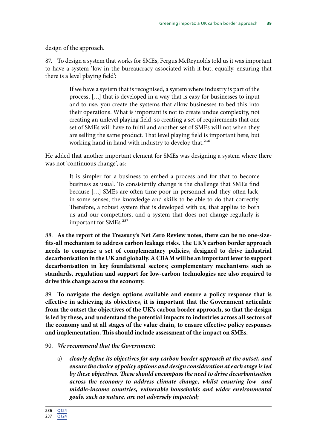design of the approach.

87. To design a system that works for SMEs, Fergus McReynolds told us it was important to have a system 'low in the bureaucracy associated with it but, equally, ensuring that there is a level playing field':

> If we have a system that is recognised, a system where industry is part of the process, […] that is developed in a way that is easy for businesses to input and to use, you create the systems that allow businesses to bed this into their operations. What is important is not to create undue complexity, not creating an unlevel playing field, so creating a set of requirements that one set of SMEs will have to fulfil and another set of SMEs will not when they are selling the same product. That level playing field is important here, but working hand in hand with industry to develop that.<sup>236</sup>

He added that another important element for SMEs was designing a system where there was not 'continuous change', as:

> It is simpler for a business to embed a process and for that to become business as usual. To consistently change is the challenge that SMEs find because […] SMEs are often time poor in personnel and they often lack, in some senses, the knowledge and skills to be able to do that correctly. Therefore, a robust system that is developed with us, that applies to both us and our competitors, and a system that does not change regularly is important for SMEs.<sup>237</sup>

88. **As the report of the Treasury's Net Zero Review notes, there can be no one-sizefits-all mechanism to address carbon leakage risks. The UK's carbon border approach needs to comprise a set of complementary policies, designed to drive industrial decarbonisation in the UK and globally. A CBAM will be an important lever to support decarbonisation in key foundational sectors; complementary mechanisms such as standards, regulation and support for low-carbon technologies are also required to drive this change across the economy.**

89. **To navigate the design options available and ensure a policy response that is effective in achieving its objectives, it is important that the Government articulate from the outset the objectives of the UK's carbon border approach, so that the design is led by these, and understand the potential impacts to industries across all sectors of the economy and at all stages of the value chain, to ensure effective policy responses and implementation. This should include assessment of the impact on SMEs.**

#### 90. *We recommend that the Government:*

a) *clearly define its objectives for any carbon border approach at the outset, and ensure the choice of policy options and design consideration at each stage is led by these objectives. These should encompass the need to drive decarbonisation across the economy to address climate change, whilst ensuring low- and middle-income countries, vulnerable households and wider environmental goals, such as nature, are not adversely impacted;*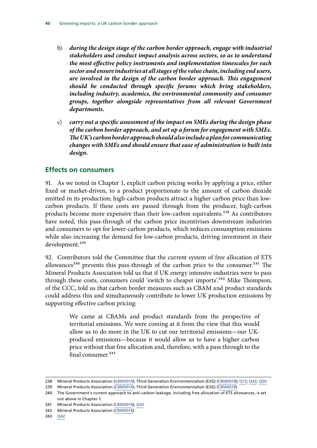- <span id="page-43-0"></span>b) *during the design stage of the carbon border approach, engage with industrial stakeholders and conduct impact analysis across sectors, so as to understand the most effective policy instruments and implementation timescales for each sector and ensure industries at all stages of the value chain, including end users, are involved in the design of the carbon border approach. This engagement should be conducted through specific forums which bring stakeholders,*  including industry, academics, the environmental community and consumer *groups, together alongside representatives from all relevant Government departments.*
- c) *carry out a specific assessment of the impact on SMEs during the design phase of the carbon border approach, and set up a forum for engagement with SMEs. The UK's carbon border approach should also include a plan for communicating changes with SMEs and should ensure that ease of administration is built into design.*

#### **Effects on consumers**

91. As we noted in Chapter 1, explicit carbon pricing works by applying a price, either fixed or market-driven, to a product proportionate to the amount of carbon dioxide emitted in its production; high-carbon products attract a higher carbon price than lowcarbon products. If these costs are passed through from the producer, high-carbon products become more expensive than their low-carbon equivalents.<sup>238</sup> As contributors have noted, this pass-through of the carbon price incentivises downstream industries and consumers to opt for lower-carbon products, which reduces consumption emissions while also increasing the demand for low-carbon products, driving investment in their development.<sup>239</sup>

92. Contributors told the Committee that the current system of free allocation of ETS allowances<sup>240</sup> prevents this pass-through of the carbon price to the consumer.<sup>241</sup> The Mineral Products Association told us that if UK energy intensive industries were to pass through these costs, consumers could 'switch to cheaper imports'.<sup>242</sup> Mike Thompson, of the CCC, told us that carbon border measures such as CBAM and product standards could address this and simultaneously contribute to lower UK production emissions by supporting effective carbon pricing:

> We came at CBAMs and product standards from the perspective of territorial emissions. We were coming at it from the view that this would allow us to do more in the UK to cut our territorial emissions—our UKproduced emissions—because it would allow us to have a higher carbon price without that free allocation and, therefore, with a pass through to the final consumer.243

<sup>238</sup> Mineral Products Association [\(CBM0014\)](https://committees.parliament.uk/writtenevidence/40333/html/); Third Generation Environmentalism (E3G) ([CBM0018](https://committees.parliament.uk/writtenevidence/40347/html/)); [Q13](https://committees.parliament.uk/oralevidence/3092/html/); [Q42](https://committees.parliament.uk/oralevidence/3092/html/); [Q50](https://committees.parliament.uk/oralevidence/3092/html/)

<sup>239</sup> Mineral Products Association [\(CBM0014\)](https://committees.parliament.uk/writtenevidence/40333/html/); Third Generation Environmentalism (E3G) ([CBM0018](https://committees.parliament.uk/writtenevidence/40347/html/))

<sup>240</sup> The Government's current approach to anti-carbon leakage, including free allocation of ETS allowances, is set out above in Chapter 1.

<sup>241</sup> Mineral Products Association [\(CBM0014\)](https://committees.parliament.uk/writtenevidence/40333/html/); [Q42](https://committees.parliament.uk/oralevidence/3092/html/)

<sup>242</sup> Mineral Products Association [\(CBM0014\)](https://committees.parliament.uk/writtenevidence/40333/html/)

<sup>243</sup> [Q42](https://committees.parliament.uk/oralevidence/3092/html/)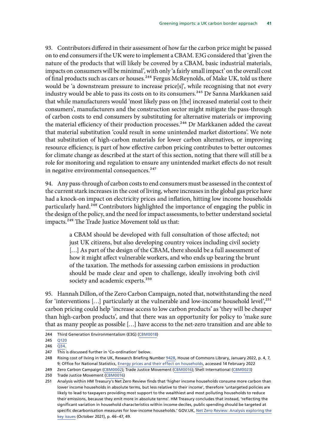93. Contributors differed in their assessment of how far the carbon price might be passed on to end consumers if the UK were to implement a CBAM. E3G considered that 'given the nature of the products that will likely be covered by a CBAM, basic industrial materials, impacts on consumers will be minimal', with only 'a fairly small impact' on the overall cost of final products such as cars or houses.<sup>244</sup> Fergus McReynolds, of Make UK, told us there would be 'a downstream pressure to increase price[s]', while recognising that not every industry would be able to pass its costs on to its consumers.<sup>245</sup> Dr Sanna Markkanen said that while manufacturers would 'most likely pass on [the] increased material cost to their consumers', manufacturers and the construction sector might mitigate the pass-through of carbon costs to end consumers by substituting for alternative materials or improving the material efficiency of their production processes.<sup>246</sup> Dr Markkanen added the caveat that material substitution 'could result in some unintended market distortions'. We note that substitution of high-carbon materials for lower carbon alternatives, or improving resource efficiency, is part of how effective carbon pricing contributes to better outcomes for climate change as described at the start of this section, noting that there will still be a role for monitoring and regulation to ensure any unintended market effects do not result in negative environmental consequences. $247$ 

94. Any pass-through of carbon costs to end consumers must be assessed in the context of the current stark increases in the cost of living, where increases in the global gas price have had a knock-on impact on electricity prices and inflation, hitting low income households particularly hard.<sup>248</sup> Contributors highlighted the importance of engaging the public in the design of the policy, and the need for impact assessments, to better understand societal impacts.<sup>249</sup> The Trade Justice Movement told us that:

> a CBAM should be developed with full consultation of those affected; not just UK citizens, but also developing country voices including civil society [...] As part of the design of the CBAM, there should be a full assessment of how it might affect vulnerable workers, and who ends up bearing the brunt of the taxation. The methods for assessing carbon emissions in production should be made clear and open to challenge, ideally involving both civil society and academic experts.<sup>250</sup>

95. Hannah Dillon, of the Zero Carbon Campaign, noted that, notwithstanding the need for 'interventions  $[...]$  particularly at the vulnerable and low-income household level',  $251$ carbon pricing could help 'increase access to low carbon products' as 'they will be cheaper than high-carbon products', and that there was an opportunity for policy to 'make sure that as many people as possible […] have access to the net-zero transition and are able to

<sup>244</sup> Third Generation Environmentalism (E3G) [\(CBM0018\)](https://committees.parliament.uk/writtenevidence/40347/html/)

<sup>245</sup> [Q120](https://committees.parliament.uk/oralevidence/3179/html/)

<sup>246</sup>  $\overline{Q34}$  $\overline{Q34}$  $\overline{Q34}$ .

<sup>247</sup> This is discussed further in 'Co-ordination' below.

<sup>248</sup> Rising cost of living in the UK, Research Briefing Number [9428](https://researchbriefings.files.parliament.uk/documents/CBP-9428/CBP-9428.pdf), House of Commons Library, January 2022, p. 4, 7, 9; Office for National Statistics, [Energy prices and their effect on households](https://www.ons.gov.uk/economy/inflationandpriceindices/articles/energypricesandtheireffectonhouseholds/2022-02-01), accessed 14 February 2022

<sup>249</sup> Zero Carbon Campaign ([CBM0002\)](https://committees.parliament.uk/writtenevidence/40278/html/); Trade Justice Movement ([CBM0016](https://committees.parliament.uk/writtenevidence/40338/html/)); Shell International ([CBM0023](https://committees.parliament.uk/writtenevidence/40361/html/))

<sup>250</sup> Trade Justice Movement ([CBM0016](https://committees.parliament.uk/writtenevidence/40338/html/))

<sup>251</sup> Analysis within HM Treasury's Net Zero Review finds that 'higher income households consume more carbon than lower income households in absolute terms, but less relative to their income', therefore 'untargeted policies are likely to lead to taxpayers providing most support to the wealthiest and most polluting households to reduce their emissions, because they emit more in absolute terms'. HM Treasury concludes that instead, 'reflecting the significant variation in household characteristics within income deciles, public spending should be targeted at specific decarbonisation measures for low-income households.' GOV.UK, [Net Zero Review: Analysis exploring the](https://assets.publishing.service.gov.uk/government/uploads/system/uploads/attachment_data/file/1026725/NZR_-_Final_Report_-_Published_version.pdf) [key issues](https://assets.publishing.service.gov.uk/government/uploads/system/uploads/attachment_data/file/1026725/NZR_-_Final_Report_-_Published_version.pdf) (October 2021), p. 46–47, 49.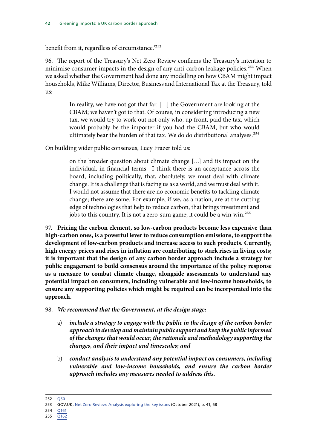benefit from it, regardless of circumstance.<sup>252</sup>

96. The report of the Treasury's Net Zero Review confirms the Treasury's intention to minimise consumer impacts in the design of any anti-carbon leakage policies.<sup>253</sup> When we asked whether the Government had done any modelling on how CBAM might impact households, Mike Williams, Director, Business and International Tax at the Treasury, told  $11S$ 

> In reality, we have not got that far. […] the Government are looking at the CBAM; we haven't got to that. Of course, in considering introducing a new tax, we would try to work out not only who, up front, paid the tax, which would probably be the importer if you had the CBAM, but who would ultimately bear the burden of that tax. We do do distributional analyses.<sup>254</sup>

On building wider public consensus, Lucy Frazer told us:

on the broader question about climate change […] and its impact on the individual, in financial terms—I think there is an acceptance across the board, including politically, that, absolutely, we must deal with climate change. It is a challenge that is facing us as a world, and we must deal with it. I would not assume that there are no economic benefits to tackling climate change; there are some. For example, if we, as a nation, are at the cutting edge of technologies that help to reduce carbon, that brings investment and jobs to this country. It is not a zero-sum game; it could be a win-win.<sup>255</sup>

97. **Pricing the carbon element, so low-carbon products become less expensive than high-carbon ones, is a powerful lever to reduce consumption emissions, to support the development of low-carbon products and increase access to such products. Currently, high energy prices and rises in inflation are contributing to stark rises in living costs; it is important that the design of any carbon border approach include a strategy for public engagement to build consensus around the importance of the policy response as a measure to combat climate change, alongside assessments to understand any potential impact on consumers, including vulnerable and low-income households, to ensure any supporting policies which might be required can be incorporated into the approach.**

98. *We recommend that the Government, at the design stage:*

- a) *include a strategy to engage with the public in the design of the carbon border approach to develop and maintain public support and keep the public informed of the changes that would occur, the rationale and methodology supporting the changes, and their impact and timescales; and*
- b) *conduct analysis to understand any potential impact on consumers, including vulnerable and low-income households, and ensure the carbon border approach includes any measures needed to address this.*

252 [Q50](https://committees.parliament.uk/oralevidence/3092/html/)

<sup>253</sup> GOV.UK, [Net Zero Review: Analysis exploring the key issues](https://assets.publishing.service.gov.uk/government/uploads/system/uploads/attachment_data/file/1026725/NZR_-_Final_Report_-_Published_version.pdf) (October 2021), p. 41, 68

<sup>254</sup> [Q161](https://committees.parliament.uk/oralevidence/3460/html/)

<sup>255</sup> [Q162](https://committees.parliament.uk/oralevidence/3460/html/)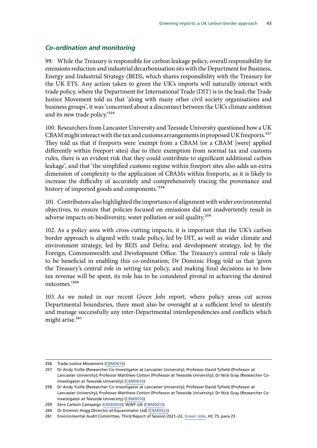#### <span id="page-46-0"></span>*Co-ordination and monitoring*

99. While the Treasury is responsible for carbon leakage policy, overall responsibility for emissions reduction and industrial decarbonisation sits with the Department for Business, Energy and Industrial Strategy (BEIS), which shares responsibility with the Treasury for the UK ETS. Any action taken to green the UK's imports will naturally interact with trade policy, where the Department for International Trade (DIT) is in the lead; the Trade Justice Movement told us that 'along with many other civil society organisations and business groups', it was 'concerned about a disconnect between the UK's climate ambition and its new trade policy.'256

100. Researchers from Lancaster University and Teesside University questioned how a UK CBAM might interact with the tax and customs arrangements in proposed UK freeports.<sup>257</sup> They told us that if freeports were 'exempt from a CBAM (or a CBAM [were] applied differently within freeport sites) due to their exemption from normal tax and customs rules, there is an evident risk that they could contribute to significant additional carbon leakage', and that 'the simplified customs regime within freeport sites also adds an extra dimension of complexity to the application of CBAMs within freeports, as it is likely to increase the difficulty of accurately and comprehensively tracing the provenance and history of imported goods and components.<sup>'258</sup>

101. Contributors also highlighted the importance of alignment with wider environmental objectives, to ensure that policies focused on emissions did not inadvertently result in adverse impacts on biodiversity, water pollution or soil quality.<sup>259</sup>

102. As a policy area with cross-cutting impacts, it is important that the UK's carbon border approach is aligned with: trade policy, led by DIT, as well as wider climate and environment strategy, led by BEIS and Defra; and development strategy, led by the Foreign, Commonwealth and Development Office. The Treasury's central role is likely to be beneficial in enabling this co-ordination; Dr Dominic Hogg told us that 'given the Treasury's central role in setting tax policy, and making final decisions as to how tax revenue will be spent, its role has to be considered pivotal in achieving the desired outcomes.'260

103. As we noted in our recent *Green Jobs* report, where policy areas cut across Departmental boundaries, there must also be oversight at a sufficient level to identify and manage successfully any inter-Departmental interdependencies and conflicts which might arise.<sup>261</sup>

<sup>256</sup> Trade Justice Movement ([CBM0016](https://committees.parliament.uk/writtenevidence/40338/html/))

<sup>257</sup> Dr Andy Yuille (Researcher Co-Investigator at Lancaster University); Professor David Tyfield (Professor at Lancaster University); Professor Matthew Cotton (Professor at Teesside University); Dr Nick Gray (Researcher Co-Investigator at Teesside University) [\(CBM0010](https://committees.parliament.uk/writtenevidence/40325/html/))

<sup>258</sup> Dr Andy Yuille (Researcher Co-Investigator at Lancaster University); Professor David Tyfield (Professor at Lancaster University); Professor Matthew Cotton (Professor at Teesside University); Dr Nick Gray (Researcher Co-Investigator at Teesside University) [\(CBM0010](https://committees.parliament.uk/writtenevidence/40325/html/))

<sup>259</sup> Zero Carbon Campaign ([CBM0002\)](https://committees.parliament.uk/writtenevidence/40278/html/); WWF-UK [\(CBM0015\)](https://committees.parliament.uk/writtenevidence/40337/html/)

<sup>260</sup> Dr Dominic Hogg (Director at Equanimator Ltd) [\(CBM0022](https://committees.parliament.uk/writtenevidence/40360/html/))

<sup>261</sup> Environmental Audit Committee, Third Report of Session 2021–22, [Green Jobs](https://committees.parliament.uk/publications/7615/documents/79773/default/), HC 75, para 23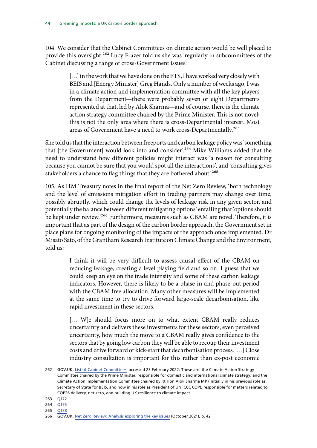104. We consider that the Cabinet Committees on climate action would be well placed to provide this oversight.<sup>262</sup> Lucy Frazer told us she was 'regularly in subcommittees of the Cabinet discussing a range of cross-Government issues':

> [...] in the work that we have done on the ETS, I have worked very closely with BEIS and [Energy Minister] Greg Hands. Only a number of weeks ago, I was in a climate action and implementation committee with all the key players from the Department—there were probably seven or eight Departments represented at that, led by Alok Sharma—and of course, there is the climate action strategy committee chaired by the Prime Minister. This is not novel; this is not the only area where there is cross-Departmental interest. Most areas of Government have a need to work cross-Departmentally.<sup>263</sup>

She told us that the interaction between freeports and carbon leakage policy was 'something that [the Government] would look into and consider'.<sup>264</sup> Mike Williams added that the need to understand how different policies might interact was 'a reason for consulting because you cannot be sure that you would spot all the interactions', and 'consulting gives stakeholders a chance to flag things that they are bothered about'.<sup>265</sup>

105. As HM Treasury notes in the final report of the Net Zero Review, 'both technology and the level of emissions mitigation effort in trading partners may change over time, possibly abruptly, which could change the levels of leakage risk in any given sector, and potentially the balance between different mitigating options' entailing that 'options should be kept under review.'<sup>266</sup> Furthermore, measures such as CBAM are novel. Therefore, it is important that as part of the design of the carbon border approach, the Government set in place plans for ongoing monitoring of the impacts of the approach once implemented. Dr Misato Sato, of the Grantham Research Institute on Climate Change and the Environment, told us:

> I think it will be very difficult to assess causal effect of the CBAM on reducing leakage, creating a level playing field and so on. I guess that we could keep an eye on the trade intensity and some of these carbon leakage indicators. However, there is likely to be a phase-in and phase-out period with the CBAM free allocation. Many other measures will be implemented at the same time to try to drive forward large-scale decarbonisation, like rapid investment in these sectors.

> [… W]e should focus more on to what extent CBAM really reduces uncertainty and delivers these investments for these sectors, even perceived uncertainty, how much the move to a CBAM really gives confidence to the sectors that by going low carbon they will be able to recoup their investment costs and drive forward or kick-start that decarbonisation process. […] Close industry consultation is important for this rather than ex-post economic

<sup>262</sup> GOV.UK, [List of Cabinet Committees,](https://www.gov.uk/government/publications/the-cabinet-committees-system-and-list-of-cabinet-committees) accessed 23 February 2022. These are: the Climate Action Strategy Committee chaired by the Prime Minister, responsible for domestic and international climate strategy; and the Climate Action Implementation Committee chaired by Rt Hon Alok Sharma MP (initially in his previous role as Secretary of State for BEIS, and now in his role as President of UNFCCC COP), responsible for matters related to COP26 delivery, net zero, and building UK resilience to climate impact.

<sup>263</sup> [Q172](https://committees.parliament.uk/oralevidence/3460/html/)

<sup>264</sup> [Q176](https://committees.parliament.uk/oralevidence/3460/html/)

<sup>265</sup> [Q178](https://committees.parliament.uk/oralevidence/3460/html/)

<sup>266</sup> GOV.UK, [Net Zero Review: Analysis exploring the key issues](https://assets.publishing.service.gov.uk/government/uploads/system/uploads/attachment_data/file/1026725/NZR_-_Final_Report_-_Published_version.pdf) (October 2021), p. 42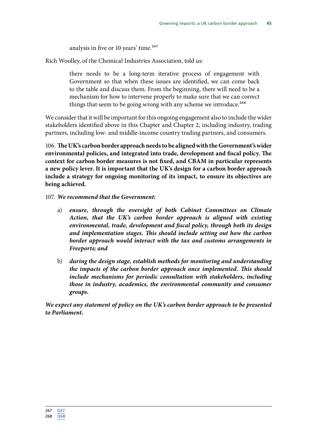analysis in five or 10 years' time.<sup>267</sup>

Rich Woolley, of the Chemical Industries Association, told us:

there needs to be a long-term iterative process of engagement with Government so that when these issues are identified, we can come back to the table and discuss them. From the beginning, there will need to be a mechanism for how to intervene properly to make sure that we can correct things that seem to be going wrong with any scheme we introduce.<sup>268</sup>

We consider that it will be important for this ongoing engagement also to include the wider stakeholders identified above in this Chapter and Chapter 2, including industry, trading partners, including low- and middle-income country trading partners, and consumers.

106. **The UK's carbon border approach needs to be aligned with the Government's wider environmental policies, and integrated into trade, development and fiscal policy. The context for carbon border measures is not fixed, and CBAM in particular represents a new policy lever. It is important that the UK's design for a carbon border approach include a strategy for ongoing monitoring of its impact, to ensure its objectives are being achieved.**

107. *We recommend that the Government:*

- a) *ensure, through the oversight of both Cabinet Committees on Climate Action, that the UK's carbon border approach is aligned with existing environmental, trade, development and fiscal policy, through both its design and implementation stages. This should include setting out how the carbon border approach would interact with the tax and customs arrangements in Freeports; and*
- b) *during the design stage, establish methods for monitoring and understanding the impacts of the carbon border approach once implemented. This should include mechanisms for periodic consultation with stakeholders, including those in industry, academics, the environmental community and consumer groups.*

*We expect any statement of policy on the UK's carbon border approach to be presented to Parliament.*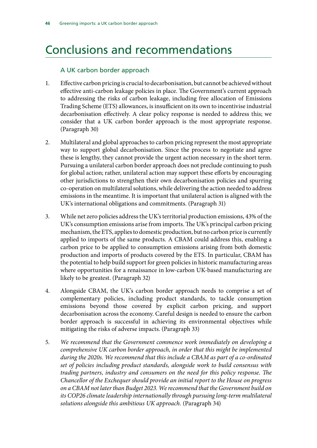## <span id="page-49-0"></span>Conclusions and recommendations

#### A UK carbon border approach

- 1. Effective carbon pricing is crucial to decarbonisation, but cannot be achieved without effective anti-carbon leakage policies in place. The Government's current approach to addressing the risks of carbon leakage, including free allocation of Emissions Trading Scheme (ETS) allowances, is insufficient on its own to incentivise industrial decarbonisation effectively. A clear policy response is needed to address this; we consider that a UK carbon border approach is the most appropriate response. (Paragraph 30)
- 2. Multilateral and global approaches to carbon pricing represent the most appropriate way to support global decarbonisation. Since the process to negotiate and agree these is lengthy, they cannot provide the urgent action necessary in the short term. Pursuing a unilateral carbon border approach does not preclude continuing to push for global action; rather, unilateral action may support these efforts by encouraging other jurisdictions to strengthen their own decarbonisation policies and spurring co-operation on multilateral solutions, while delivering the action needed to address emissions in the meantime. It is important that unilateral action is aligned with the UK's international obligations and commitments. (Paragraph 31)
- 3. While net zero policies address the UK's territorial production emissions, 43% of the UK's consumption emissions arise from imports. The UK's principal carbon pricing mechanism, the ETS, applies to domestic production, but no carbon price is currently applied to imports of the same products. A CBAM could address this, enabling a carbon price to be applied to consumption emissions arising from both domestic production and imports of products covered by the ETS. In particular, CBAM has the potential to help build support for green policies in historic manufacturing areas where opportunities for a renaissance in low-carbon UK-based manufacturing are likely to be greatest. (Paragraph 32)
- 4. Alongside CBAM, the UK's carbon border approach needs to comprise a set of complementary policies, including product standards, to tackle consumption emissions beyond those covered by explicit carbon pricing, and support decarbonisation across the economy. Careful design is needed to ensure the carbon border approach is successful in achieving its environmental objectives while mitigating the risks of adverse impacts. (Paragraph 33)
- 5. *We recommend that the Government commence work immediately on developing a comprehensive UK carbon border approach, in order that this might be implemented during the 2020s. We recommend that this include a CBAM as part of a co-ordinated set of policies including product standards, alongside work to build consensus with trading partners, industry and consumers on the need for this policy response. The Chancellor of the Exchequer should provide an initial report to the House on progress on a CBAM not later than Budget 2023. We recommend that the Government build on its COP26 climate leadership internationally through pursuing long-term multilateral solutions alongside this ambitious UK approach.* (Paragraph 34)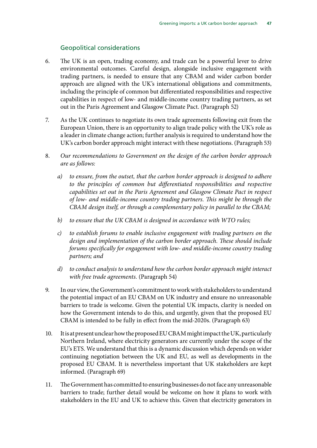#### Geopolitical considerations

- 6. The UK is an open, trading economy, and trade can be a powerful lever to drive environmental outcomes. Careful design, alongside inclusive engagement with trading partners, is needed to ensure that any CBAM and wider carbon border approach are aligned with the UK's international obligations and commitments, including the principle of common but differentiated responsibilities and respective capabilities in respect of low- and middle-income country trading partners, as set out in the Paris Agreement and Glasgow Climate Pact. (Paragraph 52)
- 7. As the UK continues to negotiate its own trade agreements following exit from the European Union, there is an opportunity to align trade policy with the UK's role as a leader in climate change action; further analysis is required to understand how the UK's carbon border approach might interact with these negotiations. (Paragraph 53)
- 8. *Our recommendations to Government on the design of the carbon border approach are as follows:*
	- *a) to ensure, from the outset, that the carbon border approach is designed to adhere to the principles of common but differentiated responsibilities and respective capabilities set out in the Paris Agreement and Glasgow Climate Pact in respect of low- and middle-income country trading partners. This might be through the CBAM design itself, or through a complementary policy in parallel to the CBAM;*
	- *b) to ensure that the UK CBAM is designed in accordance with WTO rules;*
	- *c) to establish forums to enable inclusive engagement with trading partners on the design and implementation of the carbon border approach. These should include forums specifically for engagement with low- and middle-income country trading partners; and*
	- *d) to conduct analysis to understand how the carbon border approach might interact with free trade agreements.* (Paragraph 54)
- 9. In our view, the Government's commitment to work with stakeholders to understand the potential impact of an EU CBAM on UK industry and ensure no unreasonable barriers to trade is welcome. Given the potential UK impacts, clarity is needed on how the Government intends to do this, and urgently, given that the proposed EU CBAM is intended to be fully in effect from the mid-2020s. (Paragraph 63)
- 10. It is at present unclear how the proposed EU CBAM might impact the UK, particularly Northern Ireland, where electricity generators are currently under the scope of the EU's ETS. We understand that this is a dynamic discussion which depends on wider continuing negotiation between the UK and EU, as well as developments in the proposed EU CBAM. It is nevertheless important that UK stakeholders are kept informed. (Paragraph 69)
- 11. The Government has committed to ensuring businesses do not face any unreasonable barriers to trade; further detail would be welcome on how it plans to work with stakeholders in the EU and UK to achieve this. Given that electricity generators in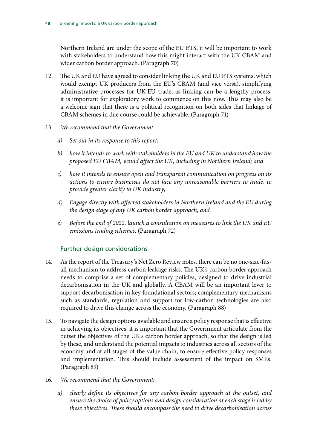Northern Ireland are under the scope of the EU ETS, it will be important to work with stakeholders to understand how this might interact with the UK CBAM and wider carbon border approach. (Paragraph 70)

- 12. The UK and EU have agreed to consider linking the UK and EU ETS systems, which would exempt UK producers from the EU's CBAM (and vice versa), simplifying administrative processes for UK-EU trade; as linking can be a lengthy process, it is important for exploratory work to commence on this now. This may also be a welcome sign that there is a political recognition on both sides that linkage of CBAM schemes in due course could be achievable. (Paragraph 71)
- 13. *We recommend that the Government:*
	- *a) Set out in its response to this report:*
	- *b) how it intends to work with stakeholders in the EU and UK to understand how the proposed EU CBAM, would affect the UK, including in Northern Ireland; and*
	- *c) how it intends to ensure open and transparent communication on progress on its actions to ensure businesses do not face any unreasonable barriers to trade, to provide greater clarity to UK industry;*
	- *d) Engage directly with affected stakeholders in Northern Ireland and the EU during the design stage of any UK carbon border approach, and*
	- *e) Before the end of 2022, launch a consultation on measures to link the UK and EU emissions trading schemes.* (Paragraph 72)

#### Further design considerations

- 14. As the report of the Treasury's Net Zero Review notes, there can be no one-size-fitsall mechanism to address carbon leakage risks. The UK's carbon border approach needs to comprise a set of complementary policies, designed to drive industrial decarbonisation in the UK and globally. A CBAM will be an important lever to support decarbonisation in key foundational sectors; complementary mechanisms such as standards, regulation and support for low-carbon technologies are also required to drive this change across the economy. (Paragraph 88)
- 15. To navigate the design options available and ensure a policy response that is effective in achieving its objectives, it is important that the Government articulate from the outset the objectives of the UK's carbon border approach, so that the design is led by these, and understand the potential impacts to industries across all sectors of the economy and at all stages of the value chain, to ensure effective policy responses and implementation. This should include assessment of the impact on SMEs. (Paragraph 89)
- 16. *We recommend that the Government:*
	- *a) clearly define its objectives for any carbon border approach at the outset, and ensure the choice of policy options and design consideration at each stage is led by these objectives. These should encompass the need to drive decarbonisation across*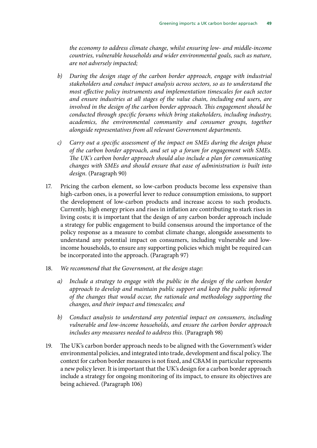*the economy to address climate change, whilst ensuring low- and middle-income countries, vulnerable households and wider environmental goals, such as nature, are not adversely impacted;*

- *b) During the design stage of the carbon border approach, engage with industrial stakeholders and conduct impact analysis across sectors, so as to understand the most effective policy instruments and implementation timescales for each sector and ensure industries at all stages of the value chain, including end users, are involved in the design of the carbon border approach. This engagement should be conducted through specific forums which bring stakeholders, including industry, academics, the environmental community and consumer groups, together alongside representatives from all relevant Government departments.*
- *c) Carry out a specific assessment of the impact on SMEs during the design phase of the carbon border approach, and set up a forum for engagement with SMEs. The UK's carbon border approach should also include a plan for communicating changes with SMEs and should ensure that ease of administration is built into design.* (Paragraph 90)
- 17. Pricing the carbon element, so low-carbon products become less expensive than high-carbon ones, is a powerful lever to reduce consumption emissions, to support the development of low-carbon products and increase access to such products. Currently, high energy prices and rises in inflation are contributing to stark rises in living costs; it is important that the design of any carbon border approach include a strategy for public engagement to build consensus around the importance of the policy response as a measure to combat climate change, alongside assessments to understand any potential impact on consumers, including vulnerable and lowincome households, to ensure any supporting policies which might be required can be incorporated into the approach. (Paragraph 97)
- 18. *We recommend that the Government, at the design stage:*
	- *a) Include a strategy to engage with the public in the design of the carbon border approach to develop and maintain public support and keep the public informed of the changes that would occur, the rationale and methodology supporting the changes, and their impact and timescales; and*
	- *b) Conduct analysis to understand any potential impact on consumers, including vulnerable and low-income households, and ensure the carbon border approach includes any measures needed to address this.* (Paragraph 98)
- 19. The UK's carbon border approach needs to be aligned with the Government's wider environmental policies, and integrated into trade, development and fiscal policy. The context for carbon border measures is not fixed, and CBAM in particular represents a new policy lever. It is important that the UK's design for a carbon border approach include a strategy for ongoing monitoring of its impact, to ensure its objectives are being achieved. (Paragraph 106)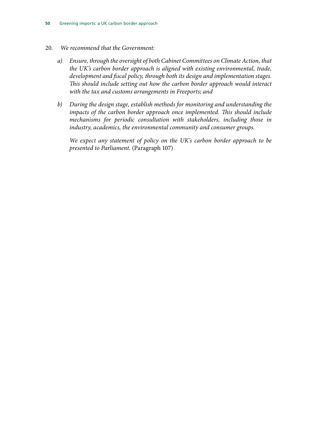- 20. *We recommend that the Government:*
	- *a) Ensure, through the oversight of both Cabinet Committees on Climate Action, that the UK's carbon border approach is aligned with existing environmental, trade, development and fiscal policy, through both its design and implementation stages. This should include setting out how the carbon border approach would interact with the tax and customs arrangements in Freeports; and*
	- *b) During the design stage, establish methods for monitoring and understanding the impacts of the carbon border approach once implemented. This should include mechanisms for periodic consultation with stakeholders, including those in industry, academics, the environmental community and consumer groups.*

*We expect any statement of policy on the UK's carbon border approach to be presented to Parliament.* (Paragraph 107)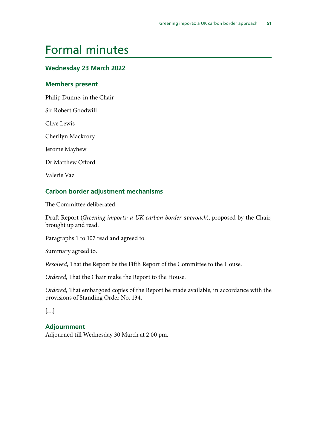### <span id="page-54-0"></span>Formal minutes

#### **Wednesday 23 March 2022**

#### **Members present**

Philip Dunne, in the Chair

Sir Robert Goodwill

Clive Lewis

Cherilyn Mackrory

Jerome Mayhew

Dr Matthew Offord

Valerie Vaz

#### **Carbon border adjustment mechanisms**

The Committee deliberated.

Draft Report (*Greening imports: a UK carbon border approach*), proposed by the Chair, brought up and read.

Paragraphs 1 to 107 read and agreed to.

Summary agreed to.

*Resolved*, That the Report be the Fifth Report of the Committee to the House.

*Ordered*, That the Chair make the Report to the House.

*Ordered*, That embargoed copies of the Report be made available, in accordance with the provisions of Standing Order No. 134.

[…]

#### **Adjournment**

Adjourned till Wednesday 30 March at 2.00 pm.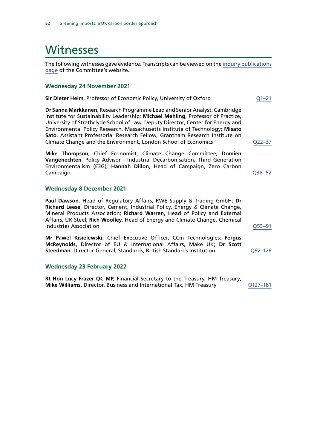### <span id="page-55-0"></span>**Witnesses**

The following witnesses gave evidence. Transcripts can be viewed on the [inquiry publications](https://committees.parliament.uk/work/1535/default/publications/oral-evidence/) [page](https://committees.parliament.uk/work/1535/default/publications/oral-evidence/) of the Committee's website.

#### **Wednesday 24 November 2021**

| Sir Dieter Helm, Professor of Economic Policy, University of Oxford                                                                                                                                                                                                                                                                                                                                                                                                                | 01–21   |  |  |  |
|------------------------------------------------------------------------------------------------------------------------------------------------------------------------------------------------------------------------------------------------------------------------------------------------------------------------------------------------------------------------------------------------------------------------------------------------------------------------------------|---------|--|--|--|
| Dr Sanna Markkanen, Research Programme Lead and Senior Analyst, Cambridge<br>Institute for Sustainability Leadership; Michael Mehling, Professor of Practice,<br>University of Strathclyde School of Law, Deputy Director, Center for Energy and<br>Environmental Policy Research, Massachusetts Institute of Technology; Misato<br>Sato, Assistant Professorial Research Fellow, Grantham Research Institute on<br>Climate Change and the Environment, London School of Economics | Q22–37  |  |  |  |
| Mike Thompson, Chief Economist, Climate Change Committee; Domien<br>Vangenechten, Policy Advisor - Industrial Decarbonisation, Third Generation<br>Environmentalism (E3G); Hannah Dillon, Head of Campaign, Zero Carbon<br>Campaign                                                                                                                                                                                                                                                | 038–52  |  |  |  |
| <b>Wednesday 8 December 2021</b>                                                                                                                                                                                                                                                                                                                                                                                                                                                   |         |  |  |  |
| Paul Dawson, Head of Regulatory Affairs, RWE Supply & Trading GmbH; Dr<br>Richard Leese, Director, Cement, Industrial Policy, Energy & Climate Change,<br>Mineral Products Association; Richard Warren, Head of Policy and External<br>Affairs, UK Steel; Rich Woolley, Head of Energy and Climate Change, Chemical<br><b>Industries Association</b>                                                                                                                               | 053–91  |  |  |  |
| Mr Pawel Kisielewski, Chief Executive Officer, CCm Technologies; Fergus<br>McReynolds, Director of EU & International Affairs, Make UK; Dr Scott<br>Steedman, Director-General, Standards, British Standards Institution                                                                                                                                                                                                                                                           | 092–126 |  |  |  |

#### **Wednesday 23 February 2022**

**Rt Hon Lucy Frazer QC MP**, Financial Secretary to the Treasury, HM Treasury; **Mike Williams**, Director, Business and International Tax, HM Treasury Q127-181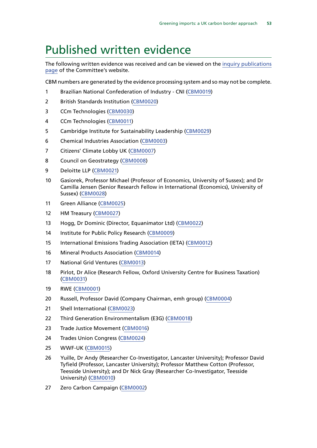### <span id="page-56-0"></span>Published written evidence

The following written evidence was received and can be viewed on the [inquiry publications](https://committees.parliament.uk/work/1535/default/publications/written-evidence/) [page](https://committees.parliament.uk/work/1535/default/publications/written-evidence/) of the Committee's website.

CBM numbers are generated by the evidence processing system and so may not be complete.

- Brazilian National Confederation of Industry CNI [\(CBM0019](https://committees.parliament.uk/writtenevidence/40348/html/))
- British Standards Institution [\(CBM0020\)](https://committees.parliament.uk/writtenevidence/40349/html/)
- CCm Technologies [\(CBM0030\)](https://committees.parliament.uk/writtenevidence/41310/html/)
- CCm Technologies [\(CBM0011\)](https://committees.parliament.uk/writtenevidence/40327/html/)
- Cambridge Institute for Sustainability Leadership [\(CBM0029](https://committees.parliament.uk/writtenevidence/41145/html/))
- Chemical Industries Association [\(CBM0003\)](https://committees.parliament.uk/writtenevidence/40294/html/)
- Citizens' Climate Lobby UK [\(CBM0007](https://committees.parliament.uk/writtenevidence/40304/html/))
- 8 Council on Geostrategy [\(CBM0008\)](https://committees.parliament.uk/writtenevidence/40307/html/)
- Deloitte LLP [\(CBM0021\)](https://committees.parliament.uk/writtenevidence/40351/html/)
- Gasiorek, Professor Michael (Professor of Economics, University of Sussex); and Dr Camilla Jensen (Senior Research Fellow in International (Economics), University of Sussex) ([CBM0028](https://committees.parliament.uk/writtenevidence/40914/html/))
- Green Alliance ([CBM0025](https://committees.parliament.uk/writtenevidence/40510/html/))
- HM Treasury [\(CBM0027\)](https://committees.parliament.uk/writtenevidence/40714/html/)
- Hogg, Dr Dominic (Director, Equanimator Ltd) [\(CBM0022](https://committees.parliament.uk/writtenevidence/40360/html/))
- Institute for Public Policy Research ([CBM0009\)](https://committees.parliament.uk/writtenevidence/40311/html/)
- International Emissions Trading Association (IETA) [\(CBM0012\)](https://committees.parliament.uk/writtenevidence/40331/html/)
- Mineral Products Association [\(CBM0014\)](https://committees.parliament.uk/writtenevidence/40333/html/)
- National Grid Ventures [\(CBM0013](https://committees.parliament.uk/writtenevidence/40332/html/))
- Pirlot, Dr Alice (Research Fellow, Oxford University Centre for Business Taxation) ([CBM0031](https://committees.parliament.uk/writtenevidence/42611/html/))
- RWE [\(CBM0001](https://committees.parliament.uk/writtenevidence/40167/html/))
- Russell, Professor David (Company Chairman, emh group) [\(CBM0004](https://committees.parliament.uk/writtenevidence/40298/html/))
- Shell International ([CBM0023\)](https://committees.parliament.uk/writtenevidence/40361/html/)
- Third Generation Environmentalism (E3G) [\(CBM0018\)](https://committees.parliament.uk/writtenevidence/40347/html/)
- Trade Justice Movement ([CBM0016\)](https://committees.parliament.uk/writtenevidence/40338/html/)
- Trades Union Congress [\(CBM0024\)](https://committees.parliament.uk/writtenevidence/40441/html/)
- WWF-UK ([CBM0015\)](https://committees.parliament.uk/writtenevidence/40337/html/)
- Yuille, Dr Andy (Researcher Co-Investigator, Lancaster University); Professor David Tyfield (Professor, Lancaster University); Professor Matthew Cotton (Professor, Teesside University); and Dr Nick Gray (Researcher Co-Investigator, Teesside University) [\(CBM0010](https://committees.parliament.uk/writtenevidence/40325/html/))
- Zero Carbon Campaign ([CBM0002](https://committees.parliament.uk/writtenevidence/40278/html/))